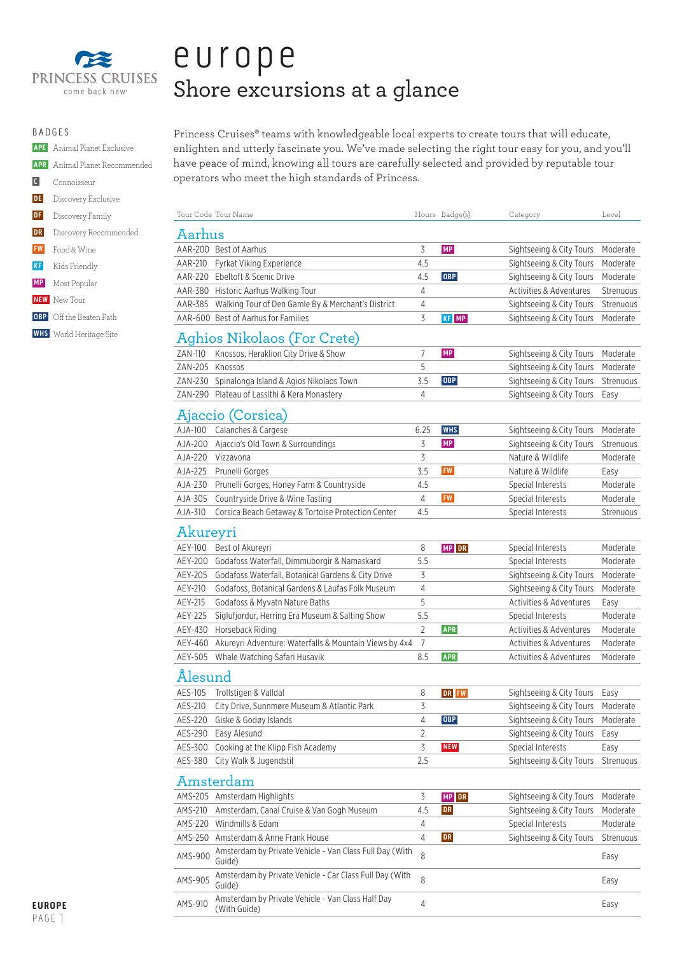

|                                | <b>APE</b> Animal Planet Exclusive   |
|--------------------------------|--------------------------------------|
|                                | <b>APR</b> Animal Planet Recommended |
| $\lfloor \mathfrak{c} \rfloor$ | Connoisseur                          |
|                                | <b>DE</b> Discovery Exclusive        |
|                                | <b>DF</b> Discovery Family           |
| DR                             | Discovery Recommended                |
|                                | <b>FW</b> Food & Wine                |
|                                | KF Kids Friendly                     |
|                                | <b>MP</b> Most Popular               |
|                                | <b>NEW</b> New Tour                  |
|                                | <b>OBP</b> Off the Beaten Path       |
|                                | <b>WHS</b> World Heritage Site       |
|                                |                                      |

# europe Shore excursions at a glance

Princess Cruises® teams with knowledgeable local experts to create tours that will educate, enlighten and utterly fascinate you. We've made selecting the right tour easy for you, and you'll have peace of mind, knowing all tours are carefully selected and provided by reputable tour operators who meet the high standards of Princess.

|                 | Tour Code Tour Name                                               |                | Hours Badge(s) | Category                 | Level     |
|-----------------|-------------------------------------------------------------------|----------------|----------------|--------------------------|-----------|
| Aarhus          |                                                                   |                |                |                          |           |
|                 | AAR-200 Best of Aarhus                                            | 3              | MP             | Sightseeing & City Tours | Moderate  |
|                 | AAR-210 Fyrkat Viking Experience                                  | 4.5            |                | Sightseeing & City Tours | Moderate  |
|                 | AAR-220 Ebeltoft & Scenic Drive                                   | 4.5            | <b>OBP</b>     | Sightseeing & City Tours | Moderate  |
|                 | AAR-380 Historic Aarhus Walking Tour                              | 4              |                | Activities & Adventures  | Strenuous |
|                 | AAR-385 Walking Tour of Den Gamle By & Merchant's District        | 4              |                | Sightseeing & City Tours | Strenuous |
|                 | AAR-600 Best of Aarhus for Families                               | 3              | KF MP          | Sightseeing & City Tours | Moderate  |
|                 | Aghios Nikolaos (For Crete)                                       |                |                |                          |           |
| ZAN-110         | Knossos, Heraklion City Drive & Show                              | $\overline{7}$ | MP             | Sightseeing & City Tours | Moderate  |
| ZAN-205 Knossos |                                                                   | 5              |                | Sightseeing & City Tours | Moderate  |
|                 | ZAN-230 Spinalonga Island & Agios Nikolaos Town                   | 3.5            | <b>OBP</b>     | Sightseeing & City Tours | Strenuous |
|                 | ZAN-290 Plateau of Lassithi & Kera Monastery                      | $\overline{4}$ |                | Sightseeing & City Tours | Easy      |
|                 | Ajaccio (Corsica)                                                 |                |                |                          |           |
| AJA-100         | Calanches & Cargese                                               | 6.25           | <b>WHS</b>     | Sightseeing & City Tours | Moderate  |
|                 | AJA-200 Ajaccio's Old Town & Surroundings                         | 3              | MP             | Sightseeing & City Tours | Strenuous |
|                 | AJA-220 Vizzavona                                                 | 3              |                | Nature & Wildlife        | Moderate  |
| AJA-225         | Prunelli Gorges                                                   | 3.5            | <b>FW</b>      | Nature & Wildlife        | Easy      |
| AJA-230         | Prunelli Gorges, Honey Farm & Countryside                         | 4.5            |                | Special Interests        | Moderate  |
| AJA-305         | Countryside Drive & Wine Tasting                                  | 4              | FW             | Special Interests        | Moderate  |
| AJA-310         | Corsica Beach Getaway & Tortoise Protection Center                | 4.5            |                | Special Interests        | Strenuous |
| Akureyri        |                                                                   |                |                |                          |           |
| AEY-100         | Best of Akureyri                                                  | 8              | MP DR          | Special Interests        | Moderate  |
| AEY-200         | Godafoss Waterfall, Dimmuborgir & Namaskard                       | 5.5            |                | Special Interests        | Moderate  |
| AEY-205         | Godafoss Waterfall, Botanical Gardens & City Drive                | 3              |                | Sightseeing & City Tours | Moderate  |
| AEY-210         | Godafoss, Botanical Gardens & Laufas Folk Museum                  | 4              |                | Sightseeing & City Tours | Moderate  |
| AEY-215         | Godafoss & Myvatn Nature Baths                                    | 5              |                | Activities & Adventures  | Easy      |
| AEY-225         | Siglufjordur, Herring Era Museum & Salting Show                   | 5.5            |                | Special Interests        | Moderate  |
| AEY-430         | Horseback Riding                                                  | $\overline{2}$ | <b>APR</b>     | Activities & Adventures  | Moderate  |
| AEY-460         | Akureyri Adventure: Waterfalls & Mountain Views by 4x4            | $\overline{7}$ |                | Activities & Adventures  | Moderate  |
| AEY-505         | Whale Watching Safari Husavik                                     | 8.5            | <b>APR</b>     | Activities & Adventures  | Moderate  |
| Ålesund         |                                                                   |                |                |                          |           |
| AES-105         | Trollstigen & Valldal                                             | 8              | DR FW          | Sightseeing & City Tours | Easy      |
| AES-210         | City Drive, Sunnmøre Museum & Atlantic Park                       | 3              |                | Sightseeing & City Tours | Moderate  |
| AES-220         | Giske & Godøy Islands                                             | 4              | <b>OBP</b>     | Sightseeing & City Tours | Moderate  |
| AES-290         | Easy Alesund                                                      | 2              |                | Sightseeing & City Tours | Easy      |
| AES-300         | Cooking at the Klipp Fish Academy                                 | 3              | <b>NEW</b>     | Special Interests        | Easy      |
| AES-380         | City Walk & Jugendstil                                            | 2.5            |                | Sightseeing & City Tours | Strenuous |
|                 | Amsterdam                                                         |                |                |                          |           |
|                 | AMS-205 Amsterdam Highlights                                      | 3              | MP DR          | Sightseeing & City Tours | Moderate  |
| AMS-210         | Amsterdam, Canal Cruise & Van Gogh Museum                         | 4.5            | DR             | Sightseeing & City Tours | Moderate  |
|                 | AMS-220 Windmills & Edam                                          | 4              |                | Special Interests        | Moderate  |
|                 | AMS-250 Amsterdam & Anne Frank House                              | 4              | <b>DR</b>      | Sightseeing & City Tours | Strenuous |
|                 | Amsterdam by Private Vehicle - Van Class Full Day (With           |                |                |                          |           |
| AMS-900         | Guide)                                                            | 8              |                |                          | Easy      |
| AMS-905         | Amsterdam by Private Vehicle - Car Class Full Day (With<br>Guide) | 8              |                |                          | Easy      |
| AMS-910         | Amsterdam by Private Vehicle - Van Class Half Day<br>(With Guide) | 4              |                |                          | Easy      |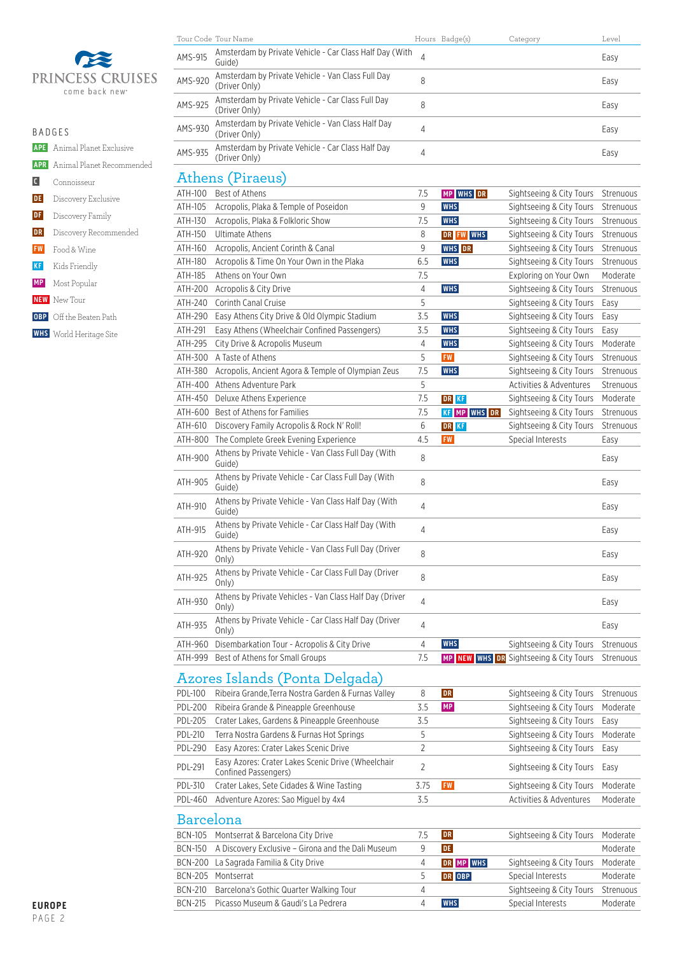

 **APE** Animal Planet Exclusive  **APR** Animal Planet Recommended **C** Connoisseur **DE** Discovery Exclusive **DF** Discovery Family **DR** Discovery Recommended  **FW** Food & Wine  **KF** Kids Friendly  **MP** Most Popular  **NEW** New Tour **OBP** Off the Beaten Path

 **WHS** World Heritage Site

|         | Tour Code Tour Name                                                |   | Hours Badge(s) | Category | Level |
|---------|--------------------------------------------------------------------|---|----------------|----------|-------|
| AMS-915 | Amsterdam by Private Vehicle - Car Class Half Day (With<br>Guide)  |   |                |          | Easy  |
| AMS-920 | Amsterdam by Private Vehicle - Van Class Full Day<br>(Driver Only) | 8 |                |          | Easy  |
| AMS-925 | Amsterdam by Private Vehicle - Car Class Full Day<br>(Driver Only) | 8 |                |          | Easy  |
| AMS-930 | Amsterdam by Private Vehicle - Van Class Half Day<br>(Driver Only) | 4 |                |          | Easy  |
| AMS-935 | Amsterdam by Private Vehicle - Car Class Half Day<br>(Driver Only) | 4 |                |          | Easy  |
|         |                                                                    |   |                |          |       |

#### Athens (Piraeus)

| ATH-100 | Best of Athens                                                   | 7.5            | MP WHS DR           | Sightseeing & City Tours               | Strenuous |
|---------|------------------------------------------------------------------|----------------|---------------------|----------------------------------------|-----------|
| ATH-105 | Acropolis, Plaka & Temple of Poseidon                            | 9              | <b>WHS</b>          | Sightseeing & City Tours               | Strenuous |
| ATH-130 | Acropolis, Plaka & Folkloric Show                                | 7.5            | <b>WHS</b>          | Sightseeing & City Tours               | Strenuous |
| ATH-150 | <b>Ultimate Athens</b>                                           | 8              | DR FW WHS           | Sightseeing & City Tours               | Strenuous |
| ATH-160 | Acropolis, Ancient Corinth & Canal                               | 9              | WHS DR              | Sightseeing & City Tours               | Strenuous |
| ATH-180 | Acropolis & Time On Your Own in the Plaka                        | 6.5            | <b>WHS</b>          | Sightseeing & City Tours               | Strenuous |
| ATH-185 | Athens on Your Own                                               | 7.5            |                     | Exploring on Your Own                  | Moderate  |
| ATH-200 | Acropolis & City Drive                                           | 4              | <b>WHS</b>          | Sightseeing & City Tours               | Strenuous |
| ATH-240 | Corinth Canal Cruise                                             | 5              |                     | Sightseeing & City Tours               | Easy      |
| ATH-290 | Easy Athens City Drive & Old Olympic Stadium                     | 3.5            | <b>WHS</b>          | Sightseeing & City Tours               | Easy      |
| ATH-291 | Easy Athens (Wheelchair Confined Passengers)                     | 3.5            | <b>WHS</b>          | Sightseeing & City Tours               | Easy      |
| ATH-295 | City Drive & Acropolis Museum                                    | 4              | <b>WHS</b>          | Sightseeing & City Tours               | Moderate  |
| ATH-300 | A Taste of Athens                                                | 5              | <b>FW</b>           | Sightseeing & City Tours               | Strenuous |
| ATH-380 | Acropolis, Ancient Agora & Temple of Olympian Zeus               | 7.5            | <b>WHS</b>          | Sightseeing & City Tours               | Strenuous |
| ATH-400 | Athens Adventure Park                                            | 5              |                     | <b>Activities &amp; Adventures</b>     | Strenuous |
| ATH-450 | Deluxe Athens Experience                                         | 7.5            | DR KF               | Sightseeing & City Tours               | Moderate  |
| ATH-600 | Best of Athens for Families                                      | 7.5            | <b>KF MP WHS DR</b> | Sightseeing & City Tours               | Strenuous |
| ATH-610 | Discovery Family Acropolis & Rock N' Roll!                       | 6              | DR KF               | Sightseeing & City Tours               | Strenuous |
| ATH-800 | The Complete Greek Evening Experience                            | 4.5            | <b>FW</b>           | Special Interests                      | Easy      |
| ATH-900 | Athens by Private Vehicle - Van Class Full Day (With<br>Guide)   | 8              |                     |                                        | Easy      |
| ATH-905 | Athens by Private Vehicle - Car Class Full Day (With<br>Guide)   | 8              |                     |                                        | Easy      |
| ATH-910 | Athens by Private Vehicle - Van Class Half Day (With<br>Guide)   | 4              |                     |                                        | Easy      |
| ATH-915 | Athens by Private Vehicle - Car Class Half Day (With<br>Guide)   | 4              |                     |                                        | Easy      |
| ATH-920 | Athens by Private Vehicle - Van Class Full Day (Driver<br>Only)  | 8              |                     |                                        | Easy      |
| ATH-925 | Athens by Private Vehicle - Car Class Full Day (Driver<br>Only)  | 8              |                     |                                        | Easy      |
| ATH-930 | Athens by Private Vehicles - Van Class Half Day (Driver<br>Only) | $\overline{4}$ |                     |                                        | Easy      |
| ATH-935 | Athens by Private Vehicle - Car Class Half Day (Driver<br>Only)  | 4              |                     |                                        | Easy      |
| ATH-960 | Disembarkation Tour - Acropolis & City Drive                     | 4              | <b>WHS</b>          | Sightseeing & City Tours               | Strenuous |
| ATH-999 | Best of Athens for Small Groups                                  | 7.5            |                     | MP NEW WHS DR Sightseeing & City Tours | Strenuous |

#### Azores Islands (Ponta Delgada)

| PDL-100        | Ribeira Grande, Terra Nostra Garden & Furnas Valley                        | 8    | <b>DR</b> | Sightseeing & City Tours | Strenuous |
|----------------|----------------------------------------------------------------------------|------|-----------|--------------------------|-----------|
| <b>PDL-200</b> | Ribeira Grande & Pineapple Greenhouse                                      | .5.5 | <b>MP</b> | Sightseeing & City Tours | Moderate  |
| <b>PDL-205</b> | Crater Lakes, Gardens & Pineapple Greenhouse                               | 3.5  |           | Sightseeing & City Tours | Easv      |
| <b>PDL-210</b> | Terra Nostra Gardens & Furnas Hot Springs                                  | 5    |           | Sightseeing & City Tours | Moderate  |
| <b>PDL-290</b> | Easy Azores: Crater Lakes Scenic Drive                                     |      |           | Sightseeing & City Tours | Easv      |
| <b>PDL-291</b> | Easy Azores: Crater Lakes Scenic Drive (Wheelchair<br>Confined Passengers) |      |           | Sightseeing & City Tours | Easv      |
| PDL-310        | Crater Lakes, Sete Cidades & Wine Tasting                                  | 3.75 | <b>FW</b> | Sightseeing & City Tours | Moderate  |
| PDL-460        | Adventure Azores: Sao Miguel by 4x4                                        | 3.5  |           | Activities & Adventures  | Moderate  |
|                |                                                                            |      |           |                          |           |

### Barcelona

|         | BCN-105 Montserrat & Barcelona City Drive          | <b>DR</b>     | Sightseeing & City Tours Moderate  |          |
|---------|----------------------------------------------------|---------------|------------------------------------|----------|
| BCN-150 | A Discovery Exclusive - Girona and the Dali Museum | DE.           |                                    | Moderate |
|         | BCN-200 La Sagrada Familia & City Drive            | DR MP WHS     | Sightseeing & City Tours Moderate  |          |
|         | BCN-205 Montserrat                                 | <b>DR</b> OBP | Special Interests                  | Moderate |
| BCN-210 | Barcelona's Gothic Quarter Walking Tour            |               | Sightseeing & City Tours Strenuous |          |
|         | BCN-215 Picasso Museum & Gaudi's La Pedrera        | <b>WHS</b>    | Special Interests                  | Moderate |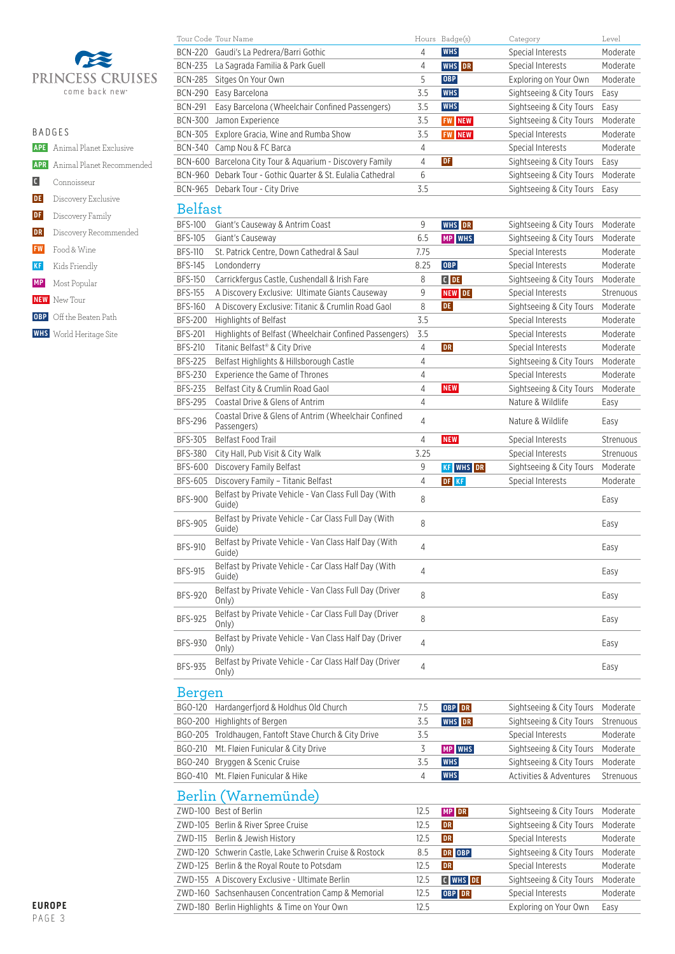

| ۹<br>٠ |  |
|--------|--|
|--------|--|

|    | R A D G F S                          |
|----|--------------------------------------|
|    | <b>APE</b> Animal Planet Exclusive   |
|    | <b>APR</b> Animal Planet Recommended |
|    | C Connoisseur                        |
|    | <b>DE</b> Discovery Exclusive        |
| DF | Discovery Family                     |
| DR | Discovery Recommended                |
|    | <b>FW</b> Food & Wine                |
| KF | Kids Friendly                        |
|    | <b>MP</b> Most Popular               |
|    |                                      |

- **NEW** New Tour
- **OBP** Off the Beaten Path
- **WHS** World Heritage Site

|                | Tour Code Tour Name                                                       |             | Hours Badge(s)   | Category                                      | Level     |
|----------------|---------------------------------------------------------------------------|-------------|------------------|-----------------------------------------------|-----------|
| <b>BCN-220</b> | Gaudi's La Pedrera/Barri Gothic                                           | 4           | <b>WHS</b>       | Special Interests                             | Moderate  |
|                | BCN-235 La Sagrada Familia & Park Guell                                   | 4           | <b>WHS</b> DR    | Special Interests                             | Moderate  |
|                | BCN-285 Sitges On Your Own                                                | 5           | <b>OBP</b>       | Exploring on Your Own                         | Moderate  |
|                | BCN-290 Easy Barcelona                                                    | 3.5         | <b>WHS</b>       | Sightseeing & City Tours                      | Easy      |
| <b>BCN-291</b> | Easy Barcelona (Wheelchair Confined Passengers)                           | 3.5         | <b>WHS</b>       | Sightseeing & City Tours                      | Easy      |
| <b>BCN-300</b> | Jamon Experience                                                          | 3.5         | <b>FW NEW</b>    | Sightseeing & City Tours                      | Moderate  |
|                | BCN-305 Explore Gracia, Wine and Rumba Show                               | 3.5         | <b>FW NEW</b>    | Special Interests                             | Moderate  |
|                | BCN-340 Camp Nou & FC Barca                                               | 4           |                  | Special Interests                             | Moderate  |
|                | BCN-600 Barcelona City Tour & Aquarium - Discovery Family                 | 4           | DF               | Sightseeing & City Tours                      | Easy      |
|                | BCN-960 Debark Tour - Gothic Quarter & St. Eulalia Cathedral              | 6           |                  | Sightseeing & City Tours                      | Moderate  |
|                | BCN-965 Debark Tour - City Drive                                          | 3.5         |                  | Sightseeing & City Tours                      | Easy      |
|                |                                                                           |             |                  |                                               |           |
| <b>Belfast</b> |                                                                           |             |                  |                                               |           |
| <b>BFS-100</b> | Giant's Causeway & Antrim Coast                                           | 9           | <b>WHS</b> DR    | Sightseeing & City Tours                      | Moderate  |
| <b>BFS-105</b> | Giant's Causeway                                                          | 6.5         | MP WHS           | Sightseeing & City Tours                      | Moderate  |
| <b>BFS-110</b> | St. Patrick Centre, Down Cathedral & Saul                                 | 7.75        |                  | Special Interests                             | Moderate  |
| <b>BFS-145</b> | Londonderry                                                               | 8.25        | <b>OBP</b>       | Special Interests                             | Moderate  |
| <b>BFS-150</b> | Carrickfergus Castle, Cushendall & Irish Fare                             | 8           | $C$ DE           | Sightseeing & City Tours                      | Moderate  |
| <b>BFS-155</b> | A Discovery Exclusive: Ultimate Giants Causeway                           | 9           | <b>NEW DE</b>    | Special Interests                             | Strenuous |
| <b>BFS-160</b> | A Discovery Exclusive: Titanic & Crumlin Road Gaol                        | 8           | <b>DE</b>        | Sightseeing & City Tours                      | Moderate  |
| <b>BFS-200</b> | <b>Highlights of Belfast</b>                                              | 3.5         |                  | Special Interests                             | Moderate  |
| <b>BFS-201</b> | Highlights of Belfast (Wheelchair Confined Passengers)                    | 3.5         |                  | Special Interests                             | Moderate  |
| <b>BFS-210</b> | Titanic Belfast® & City Drive                                             | 4           | DR               | Special Interests                             | Moderate  |
| <b>BFS-225</b> | Belfast Highlights & Hillsborough Castle                                  | 4           |                  | Sightseeing & City Tours                      | Moderate  |
| <b>BFS-230</b> | Experience the Game of Thrones                                            | 4           |                  | Special Interests                             | Moderate  |
| <b>BFS-235</b> | Belfast City & Crumlin Road Gaol                                          | 4           | <b>NEW</b>       | Sightseeing & City Tours                      | Moderate  |
| <b>BFS-295</b> | Coastal Drive & Glens of Antrim                                           | 4           |                  | Nature & Wildlife                             | Easy      |
|                | Coastal Drive & Glens of Antrim (Wheelchair Confined                      |             |                  |                                               |           |
| <b>BFS-296</b> | Passengers)                                                               | 4           |                  | Nature & Wildlife                             | Easy      |
| <b>BFS-305</b> | Belfast Food Trail                                                        | 4           | <b>NEW</b>       | Special Interests                             | Strenuous |
|                |                                                                           |             |                  |                                               |           |
| <b>BFS-380</b> | City Hall, Pub Visit & City Walk                                          | 3.25        |                  | Special Interests                             | Strenuous |
| <b>BFS-600</b> | Discovery Family Belfast                                                  | 9           | <b>KF WHS DR</b> | Sightseeing & City Tours                      | Moderate  |
| BFS-605        | Discovery Family - Titanic Belfast                                        | 4           | DF KF            | Special Interests                             | Moderate  |
| <b>BFS-900</b> | Belfast by Private Vehicle - Van Class Full Day (With<br>Guide)           | 8           |                  |                                               | Easy      |
| <b>BFS-905</b> | Belfast by Private Vehicle - Car Class Full Day (With<br>Guide)           | 8           |                  |                                               | Easy      |
| <b>BFS-910</b> | Belfast by Private Vehicle - Van Class Half Day (With<br>Guide)           | 4           |                  |                                               | Easy      |
| <b>BFS-915</b> | Belfast by Private Vehicle - Car Class Half Day (With<br>Guide)           | 4           |                  |                                               | Easy      |
| <b>BFS-920</b> | Belfast by Private Vehicle - Van Class Full Day (Driver                   | 8           |                  |                                               | Easy      |
| <b>BFS-925</b> | Only)<br>Belfast by Private Vehicle - Car Class Full Day (Driver          | 8           |                  |                                               | Easy      |
| <b>BFS-930</b> | Only)<br>Belfast by Private Vehicle - Van Class Half Day (Driver          | 4           |                  |                                               | Easy      |
| <b>BFS-935</b> | Only)<br>Belfast by Private Vehicle - Car Class Half Day (Driver          | 4           |                  |                                               | Easy      |
|                | Only)                                                                     |             |                  |                                               |           |
| Bergen         |                                                                           |             |                  |                                               |           |
| BGO-120        | Hardangerfjord & Holdhus Old Church                                       | 7.5         | OBP DR           | Sightseeing & City Tours                      | Moderate  |
|                | BGO-200 Highlights of Bergen                                              | 3.5         | <b>WHS</b> DR    | Sightseeing & City Tours                      | Strenuous |
| BGO-205        | Troldhaugen, Fantoft Stave Church & City Drive                            | 3.5         |                  | Special Interests                             | Moderate  |
| BGO-210        | Mt. Fløien Funicular & City Drive                                         | 3           | MP WHS           | Sightseeing & City Tours                      | Moderate  |
| BGO-240        | Bryggen & Scenic Cruise                                                   | 3.5         | <b>WHS</b>       | Sightseeing & City Tours                      | Moderate  |
| BGO-410        | Mt. Fløien Funicular & Hike                                               | 4           | <b>WHS</b>       | Activities & Adventures                       | Strenuous |
|                | Berlin (Warnemünde)                                                       |             |                  |                                               |           |
|                | ZWD-100 Best of Berlin                                                    | 12.5        | <b>MP DR</b>     | Sightseeing & City Tours                      | Moderate  |
|                | ZWD-105 Berlin & River Spree Cruise<br>714/D 11E Darlin & Jourich Hictory | 12.5<br>12E | DR<br>nn.        | Sightseeing & City Tours<br>Concial Interacte | Moderate  |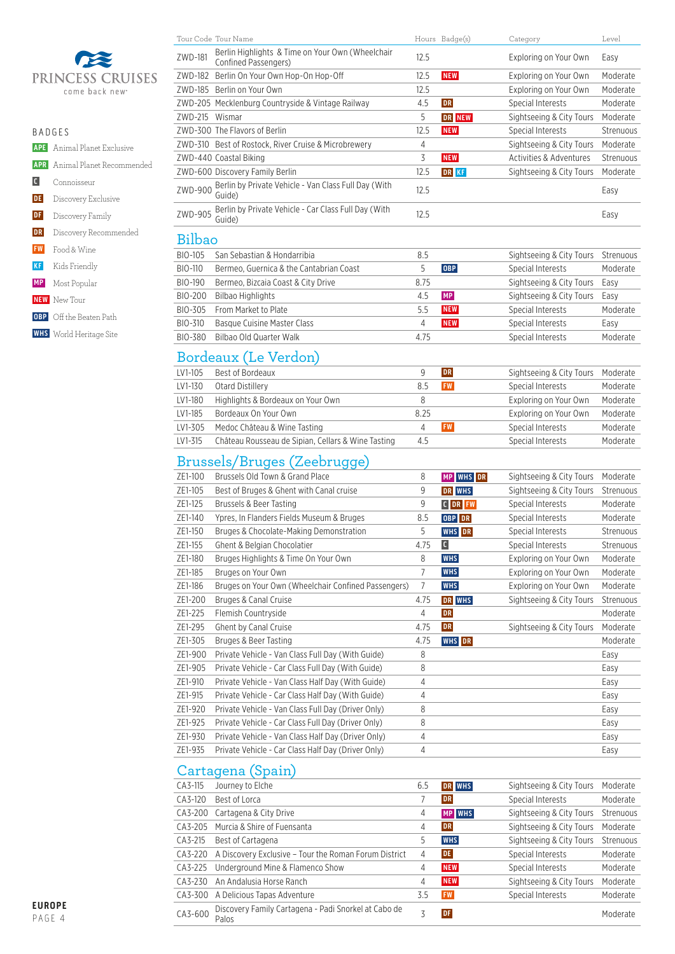

|                   | R A D G F S                          |
|-------------------|--------------------------------------|
|                   | <b>APE</b> Animal Planet Exclusive   |
|                   | <b>APR</b> Animal Planet Recommended |
| $\vert$ C $\vert$ | Connoisseur                          |
| DE                | Discovery Exclusive                  |
| DF                | Discovery Family                     |
| DR                | Discovery Recommended                |
|                   | <b>FW</b> Food & Wine                |
| KF                | Kids Friendly                        |
| <b>MP</b>         | Most Popular                         |
|                   | <b>NEW</b> New Tour                  |
|                   | <b>OBP</b> Off the Beaten Path       |

 **WHS** World Heritage Site

| Tour Code Tour Name                                                                 |      | Hours Badge(s) | Category                           | Level     |
|-------------------------------------------------------------------------------------|------|----------------|------------------------------------|-----------|
| Berlin Highlights & Time on Your Own (Wheelchair<br>ZWD-181<br>Confined Passengers) | 12.5 |                | Exploring on Your Own              | Easy      |
| Berlin On Your Own Hop-On Hop-Off<br>ZWD-182                                        | 12.5 | <b>NEW</b>     | Exploring on Your Own              | Moderate  |
| ZWD-185 Berlin on Your Own                                                          | 12.5 |                | Exploring on Your Own              | Moderate  |
| ZWD-205 Mecklenburg Countryside & Vintage Railway                                   | 4.5  | DR             | Special Interests                  | Moderate  |
| ZWD-215 Wismar                                                                      | 5    | DR NEW         | Sightseeing & City Tours           | Moderate  |
| ZWD-300 The Flavors of Berlin                                                       | 12.5 | <b>NEW</b>     | Special Interests                  | Strenuous |
| ZWD-310 Best of Rostock, River Cruise & Microbrewery                                | 4    |                | Sightseeing & City Tours           | Moderate  |
| ZWD-440 Coastal Biking                                                              | 3    | <b>NEW</b>     | <b>Activities &amp; Adventures</b> | Strenuous |
| ZWD-600 Discovery Family Berlin                                                     | 12.5 | DR KF          | Sightseeing & City Tours           | Moderate  |
| Berlin by Private Vehicle - Van Class Full Day (With<br>ZWD-900<br>Guide)           | 12.5 |                |                                    | Easy      |
| Berlin by Private Vehicle - Car Class Full Day (With<br>ZWD-905<br>Guide)           | 12.5 |                |                                    | Easy      |
| Bilbao                                                                              |      |                |                                    |           |
| BIO-105<br>San Sebastian & Hondarribia                                              | 8.5  |                | Sightseeing & City Tours           | Strenuous |
| BIO-110<br>Bermeo, Guernica & the Cantabrian Coast                                  | 5    | <b>OBP</b>     | Special Interests                  | Moderate  |
| BIO-190<br>Bermeo, Bizcaia Coast & City Drive                                       | 8.75 |                | Sightseeing & City Tours           | Easy      |
| BIO-200<br><b>Bilbao Highlights</b>                                                 | 4.5  | <b>MP</b>      | Sightseeing & City Tours           | Easy      |
| BIO-305<br>From Market to Plate                                                     | 5.5  | <b>NEW</b>     | Special Interests                  | Moderate  |
| BIO-310<br>Basque Cuisine Master Class                                              | 4    | <b>NEW</b>     | Special Interests                  | Easy      |
| Bilbao Old Quarter Walk<br>BIO-380                                                  | 4.75 |                | Special Interests                  | Moderate  |

# Bordeaux (Le Verdon)

| LV1-105 | Best of Bordeaux                                   |      | <b>DR</b> | Sightseeing & City Tours | Moderate |
|---------|----------------------------------------------------|------|-----------|--------------------------|----------|
| LV1-130 | Otard Distillery                                   | 8.5  | <b>FW</b> | Special Interests        | Moderate |
| LV1-180 | Highlights & Bordeaux on Your Own                  | 8    |           | Exploring on Your Own    | Moderate |
| LV1-185 | Bordeaux On Your Own                               | 8.25 |           | Exploring on Your Own    | Moderate |
| LV1-305 | Medoc Château & Wine Tasting                       |      | <b>FW</b> | Special Interests        | Moderate |
| LV1-315 | Château Rousseau de Sipian, Cellars & Wine Tasting | 4.5  |           | Special Interests        | Moderate |

## Brussels/Bruges (Zeebrugge)

| ZE1-100 | Brussels Old Town & Grand Place                     | 8    | MP WHS DR     | Sightseeing & City Tours | Moderate  |
|---------|-----------------------------------------------------|------|---------------|--------------------------|-----------|
| ZE1-105 | Best of Bruges & Ghent with Canal cruise            | 9    | DR WHS        | Sightseeing & City Tours | Strenuous |
| ZE1-125 | Brussels & Beer Tasting                             | 9    | <b>CDR FW</b> | Special Interests        | Moderate  |
| ZE1-140 | Ypres, In Flanders Fields Museum & Bruges           | 8.5  | OBP DR        | Special Interests        | Moderate  |
| ZE1-150 | Bruges & Chocolate-Making Demonstration             | 5    | <b>WHS</b> DR | Special Interests        | Strenuous |
| ZE1-155 | Ghent & Belgian Chocolatier                         | 4.75 | C             | Special Interests        | Strenuous |
| ZE1-180 | Bruges Highlights & Time On Your Own                | 8    | <b>WHS</b>    | Exploring on Your Own    | Moderate  |
| ZE1-185 | Bruges on Your Own                                  | 7    | <b>WHS</b>    | Exploring on Your Own    | Moderate  |
| ZE1-186 | Bruges on Your Own (Wheelchair Confined Passengers) | 7    | <b>WHS</b>    | Exploring on Your Own    | Moderate  |
| ZE1-200 | Bruges & Canal Cruise                               | 4.75 | DR WHS        | Sightseeing & City Tours | Strenuous |
| ZE1-225 | Flemish Countryside                                 | 4    | <b>DR</b>     |                          | Moderate  |
| ZE1-295 | <b>Ghent by Canal Cruise</b>                        | 4.75 | DR            | Sightseeing & City Tours | Moderate  |
| ZE1-305 | Bruges & Beer Tasting                               | 4.75 | <b>WHS</b> DR |                          | Moderate  |
| ZE1-900 | Private Vehicle - Van Class Full Day (With Guide)   | 8    |               |                          | Easy      |
| ZE1-905 | Private Vehicle - Car Class Full Day (With Guide)   | 8    |               |                          | Easy      |
| ZE1-910 | Private Vehicle - Van Class Half Day (With Guide)   | 4    |               |                          | Easy      |
| ZE1-915 | Private Vehicle - Car Class Half Day (With Guide)   | 4    |               |                          | Easy      |
| ZE1-920 | Private Vehicle - Van Class Full Day (Driver Only)  | 8    |               |                          | Easy      |
| ZE1-925 | Private Vehicle - Car Class Full Day (Driver Only)  | 8    |               |                          | Easy      |
| ZE1-930 | Private Vehicle - Van Class Half Day (Driver Only)  | 4    |               |                          | Easy      |
| ZE1-935 | Private Vehicle - Car Class Half Day (Driver Only)  | 4    |               |                          | Easy      |
|         |                                                     |      |               |                          |           |

# Cartagena (Spain)

| CA3-115   | Journey to Elche                                              | 6.5 | DR WHS        | Sightseeing & City Tours | Moderate  |
|-----------|---------------------------------------------------------------|-----|---------------|--------------------------|-----------|
| CA3-120   | Best of Lorca                                                 |     | <b>DR</b>     | Special Interests        | Moderate  |
| CA3-200   | Cartagena & City Drive                                        | 4   | <b>MP</b> WHS | Sightseeing & City Tours | Strenuous |
| CA3-205   | Murcia & Shire of Fuensanta                                   | 4   | DR            | Sightseeing & City Tours | Moderate  |
| CA3-215   | Best of Cartagena                                             | 5   | <b>WHS</b>    | Sightseeing & City Tours | Strenuous |
| CA3-220   | A Discovery Exclusive - Tour the Roman Forum District         | 4   | <b>DE</b>     | Special Interests        | Moderate  |
| CA3-225   | Underground Mine & Flamenco Show                              | 4   | <b>NEW</b>    | Special Interests        | Moderate  |
| $CA3-230$ | An Andalusia Horse Ranch                                      | 4   | <b>NEW</b>    | Sightseeing & City Tours | Moderate  |
| $CA3-300$ | A Delicious Tapas Adventure                                   | 3.5 | <b>FW</b>     | Special Interests        | Moderate  |
| CA3-600   | Discovery Family Cartagena - Padi Snorkel at Cabo de<br>Palos | Z   | <b>DF</b>     |                          | Moderate  |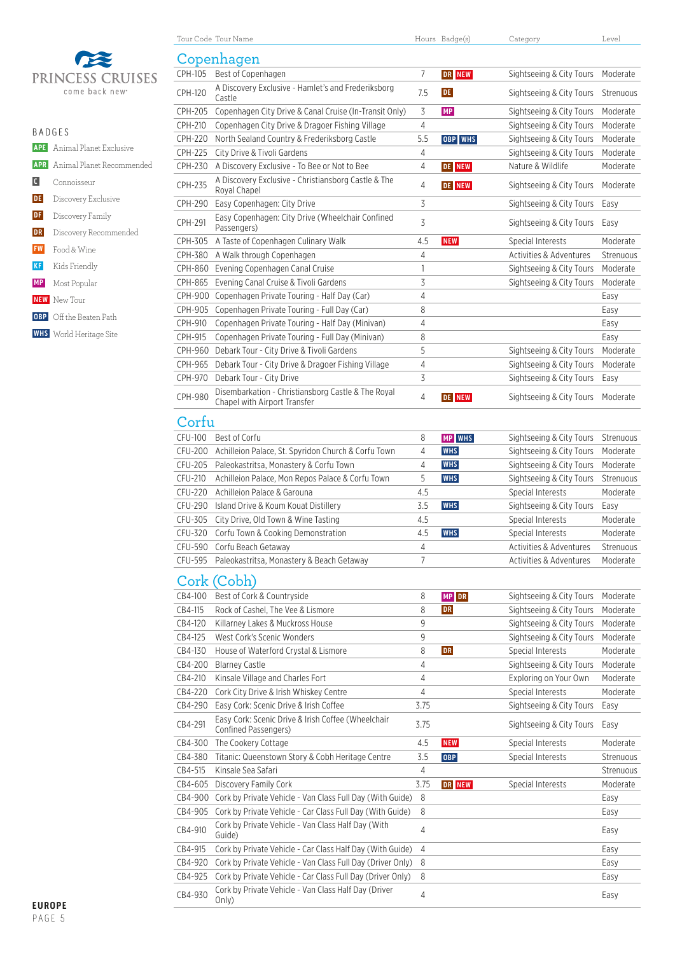

| <b>BADGES</b>  |                                      |  |  |  |  |  |
|----------------|--------------------------------------|--|--|--|--|--|
|                | <b>APE</b> Animal Planet Exclusive   |  |  |  |  |  |
|                | <b>APR</b> Animal Planet Recommended |  |  |  |  |  |
| $\blacksquare$ | Connoisseur                          |  |  |  |  |  |
| <b>DE</b>      | Discovery Exclusive                  |  |  |  |  |  |
| DF             | Discovery Family                     |  |  |  |  |  |
| DR             | Discovery Recommended                |  |  |  |  |  |
| <b>FW</b>      | Food & Wine                          |  |  |  |  |  |
| <b>KF</b>      | Kids Friendly                        |  |  |  |  |  |
|                | <b>MP</b> Most Popular               |  |  |  |  |  |
|                | <b>NEW</b> New Tour                  |  |  |  |  |  |
|                | <b>OBP</b> Off the Beaten Path       |  |  |  |  |  |
|                | <b>WHS</b> World Heritage Site       |  |  |  |  |  |
|                |                                      |  |  |  |  |  |

|                | Tour Code Tour Name                                                        |                | Hours Badge(s) | Category                 | Level     |  |
|----------------|----------------------------------------------------------------------------|----------------|----------------|--------------------------|-----------|--|
| Copenhagen     |                                                                            |                |                |                          |           |  |
| CPH-105        | Best of Copenhagen                                                         | 7              | DR NEW         | Sightseeing & City Tours | Moderate  |  |
|                | A Discovery Exclusive - Hamlet's and Frederiksborg                         |                |                |                          |           |  |
| <b>CPH-120</b> | Castle                                                                     | 7.5            | <b>DE</b>      | Sightseeing & City Tours | Strenuous |  |
| <b>CPH-205</b> | Copenhagen City Drive & Canal Cruise (In-Transit Only)                     | 3              | <b>MP</b>      | Sightseeing & City Tours | Moderate  |  |
| CPH-210        | Copenhagen City Drive & Dragoer Fishing Village                            | $\overline{4}$ |                | Sightseeing & City Tours | Moderate  |  |
| CPH-220        | North Sealand Country & Frederiksborg Castle                               | 5.5            | OBP WHS        | Sightseeing & City Tours | Moderate  |  |
| CPH-225        | City Drive & Tivoli Gardens                                                | 4              |                | Sightseeing & City Tours | Moderate  |  |
| CPH-230        | A Discovery Exclusive - To Bee or Not to Bee                               | $\overline{4}$ | <b>DE NEW</b>  | Nature & Wildlife        | Moderate  |  |
| CPH-235        | A Discovery Exclusive - Christiansborg Castle & The                        | 4              | <b>DE NEW</b>  | Sightseeing & City Tours | Moderate  |  |
| CPH-290        | Royal Chapel<br>Easy Copenhagen: City Drive                                | 3              |                | Sightseeing & City Tours | Easy      |  |
|                | Easy Copenhagen: City Drive (Wheelchair Confined                           |                |                |                          |           |  |
| CPH-291        | Passengers)                                                                | $\overline{3}$ |                | Sightseeing & City Tours | Easy      |  |
| CPH-305        | A Taste of Copenhagen Culinary Walk                                        | 4.5            | <b>NEW</b>     | Special Interests        | Moderate  |  |
| CPH-380        | A Walk through Copenhagen                                                  | 4              |                | Activities & Adventures  | Strenuous |  |
| CPH-860        | Evening Copenhagen Canal Cruise                                            | 1              |                | Sightseeing & City Tours | Moderate  |  |
| CPH-865        | Evening Canal Cruise & Tivoli Gardens                                      | 3              |                | Sightseeing & City Tours | Moderate  |  |
| CPH-900        | Copenhagen Private Touring - Half Day (Car)                                | 4              |                |                          | Easy      |  |
| CPH-905        | Copenhagen Private Touring - Full Day (Car)                                | 8              |                |                          | Easy      |  |
| CPH-910        | Copenhagen Private Touring - Half Day (Minivan)                            | 4              |                |                          | Easy      |  |
| CPH-915        | Copenhagen Private Touring - Full Day (Minivan)                            | 8              |                |                          | Easy      |  |
| CPH-960        | Debark Tour - City Drive & Tivoli Gardens                                  | 5              |                | Sightseeing & City Tours | Moderate  |  |
| CPH-965        | Debark Tour - City Drive & Dragoer Fishing Village                         | $\overline{4}$ |                | Sightseeing & City Tours | Moderate  |  |
| CPH-970        | Debark Tour - City Drive                                                   | 3              |                | Sightseeing & City Tours | Easy      |  |
| CPH-980        | Disembarkation - Christiansborg Castle & The Royal                         | 4              | <b>DE NEW</b>  | Sightseeing & City Tours | Moderate  |  |
|                | Chapel with Airport Transfer                                               |                |                |                          |           |  |
| Corfu          |                                                                            |                |                |                          |           |  |
| CFU-100        | Best of Corfu                                                              | 8              | <b>MP</b> WHS  | Sightseeing & City Tours | Strenuous |  |
| CFU-200        | Achilleion Palace, St. Spyridon Church & Corfu Town                        | 4              | <b>WHS</b>     | Sightseeing & City Tours | Moderate  |  |
| CFU-205        | Paleokastritsa, Monastery & Corfu Town                                     | 4              | <b>WHS</b>     | Sightseeing & City Tours | Moderate  |  |
| CFU-210        | Achilleion Palace, Mon Repos Palace & Corfu Town                           | 5              | <b>WHS</b>     | Sightseeing & City Tours | Strenuous |  |
| CFU-220        | Achilleion Palace & Garouna                                                | 4.5            |                | Special Interests        | Moderate  |  |
| CFU-290        | Island Drive & Koum Kouat Distillery                                       | 3.5            | <b>WHS</b>     | Sightseeing & City Tours | Easy      |  |
| CFU-305        | City Drive, Old Town & Wine Tasting                                        | 4.5            |                | Special Interests        | Moderate  |  |
| CFU-320        | Corfu Town & Cooking Demonstration                                         | 4.5            | <b>WHS</b>     | Special Interests        | Moderate  |  |
| CFU-590        | Corfu Beach Getaway                                                        | 4              |                | Activities & Adventures  | Strenuous |  |
| CFU-595        | Paleokastritsa, Monastery & Beach Getaway                                  | 7              |                | Activities & Adventures  | Moderate  |  |
|                | Cork (Cobh)                                                                |                |                |                          |           |  |
|                |                                                                            |                |                |                          |           |  |
| CB4-100        | Best of Cork & Countryside                                                 | 8              | MP DR          | Sightseeing & City Tours | Moderate  |  |
| CB4-115        | Rock of Cashel, The Vee & Lismore                                          | 8              | <b>DR</b>      | Sightseeing & City Tours | Moderate  |  |
| CB4-120        | Killarney Lakes & Muckross House                                           | 9              |                | Sightseeing & City Tours | Moderate  |  |
| CB4-125        | West Cork's Scenic Wonders                                                 | 9              |                | Sightseeing & City Tours | Moderate  |  |
| CB4-130        | House of Waterford Crystal & Lismore                                       | 8              | <b>DR</b>      | Special Interests        | Moderate  |  |
| CB4-200        | <b>Blarney Castle</b>                                                      | 4              |                | Sightseeing & City Tours | Moderate  |  |
| CB4-210        | Kinsale Village and Charles Fort                                           | 4              |                | Exploring on Your Own    | Moderate  |  |
| CB4-220        | Cork City Drive & Irish Whiskey Centre                                     | 4              |                | Special Interests        | Moderate  |  |
| CB4-290        | Easy Cork: Scenic Drive & Irish Coffee                                     | 3.75           |                | Sightseeing & City Tours | Easy      |  |
| CB4-291        | Easy Cork: Scenic Drive & Irish Coffee (Wheelchair<br>Confined Passengers) | 3.75           |                | Sightseeing & City Tours | Easy      |  |
| CB4-300        | The Cookery Cottage                                                        | 4.5            | <b>NEW</b>     | Special Interests        | Moderate  |  |
| CB4-380        | Titanic: Queenstown Story & Cobh Heritage Centre                           | 3.5            | OBP            | Special Interests        | Strenuous |  |
| CB4-515        | Kinsale Sea Safari                                                         | 4              |                |                          | Strenuous |  |
| CB4-605        | Discovery Family Cork                                                      | 3.75           | DR NEW         | Special Interests        | Moderate  |  |
|                | CB4-900 Cork by Private Vehicle - Van Class Full Day (With Guide)          | 8              |                |                          | Easy      |  |
| CB4-905        | Cork by Private Vehicle - Car Class Full Day (With Guide)                  | 8              |                |                          | Easy      |  |
|                | Cork by Private Vehicle - Van Class Half Day (With                         |                |                |                          |           |  |
| CB4-910        | Guide)                                                                     | 4              |                |                          | Easy      |  |
| CB4-915        | Cork by Private Vehicle - Car Class Half Day (With Guide)                  | $\overline{4}$ |                |                          | Easy      |  |
| CB4-920        | Cork by Private Vehicle - Van Class Full Day (Driver Only)                 | 8              |                |                          | Easy      |  |
| CB4-925        | Cork by Private Vehicle - Car Class Full Day (Driver Only)                 | 8              |                |                          | Easy      |  |
| CB4-930        | Cork by Private Vehicle - Van Class Half Day (Driver                       | $\overline{4}$ |                |                          | Easy      |  |
|                | Only)                                                                      |                |                |                          |           |  |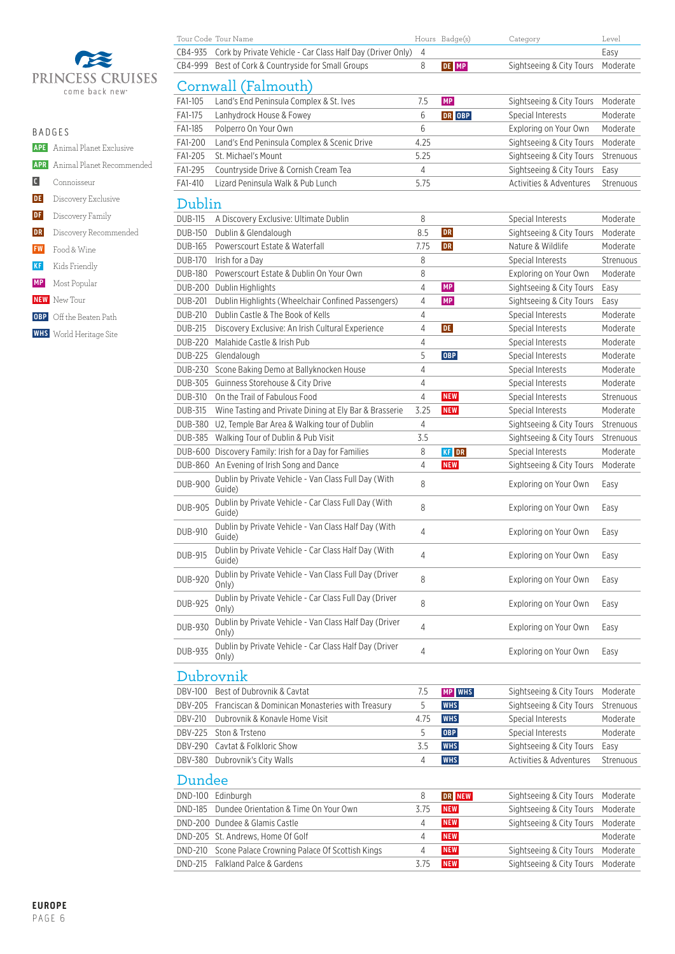

|            | PRINCESS CRUISES           |                | Cornwall (Falmouth)                                             |                |              |                          |           |
|------------|----------------------------|----------------|-----------------------------------------------------------------|----------------|--------------|--------------------------|-----------|
|            | come back new <sup>®</sup> | FA1-105        | Land's End Peninsula Complex & St. Ives                         | 7.5            | <b>MP</b>    | Sightseeing & City Tours | Moderate  |
|            |                            | FA1-175        | Lanhydrock House & Fowey                                        | 6              | DR OBP       | Special Interests        | Moderate  |
|            | <b>BADGES</b>              | FA1-185        | Polperro On Your Own                                            | 6              |              | Exploring on Your Own    | Moderate  |
| <b>APE</b> | Animal Planet Exclusive    | FA1-200        | Land's End Peninsula Complex & Scenic Drive                     | 4.25           |              | Sightseeing & City Tours | Moderate  |
|            |                            | FA1-205        | St. Michael's Mount                                             | 5.25           |              | Sightseeing & City Tours | Strenuous |
| <b>APR</b> | Animal Planet Recommended  | FA1-295        | Countryside Drive & Cornish Cream Tea                           | $\overline{4}$ |              | Sightseeing & City Tours | Easy      |
| $\vert$ C  | Connoisseur                | FA1-410        | Lizard Peninsula Walk & Pub Lunch                               | 5.75           |              | Activities & Adventures  | Strenuous |
| DE         | Discovery Exclusive        | Dublin         |                                                                 |                |              |                          |           |
| DF         | Discovery Family           | <b>DUB-115</b> | A Discovery Exclusive: Ultimate Dublin                          | 8              |              | Special Interests        | Moderate  |
| DR         | Discovery Recommended      | <b>DUB-150</b> | Dublin & Glendalough                                            | 8.5            | DR           | Sightseeing & City Tours | Moderate  |
| <b>FW</b>  | Food & Wine                | <b>DUB-165</b> | Powerscourt Estate & Waterfall                                  | 7.75           | <b>DR</b>    | Nature & Wildlife        | Moderate  |
| <b>KF</b>  |                            | <b>DUB-170</b> | Irish for a Day                                                 | 8              |              | Special Interests        | Strenuous |
|            | Kids Friendly              | <b>DUB-180</b> | Powerscourt Estate & Dublin On Your Own                         | 8              |              | Exploring on Your Own    | Moderate  |
| <b>MP</b>  | Most Popular               | <b>DUB-200</b> | Dublin Highlights                                               | $\overline{4}$ | MP           | Sightseeing & City Tours | Easy      |
| <b>NEW</b> | New Tour                   | <b>DUB-201</b> | Dublin Highlights (Wheelchair Confined Passengers)              | 4              | MP           | Sightseeing & City Tours | Easy      |
| <b>OBP</b> | Off the Beaten Path        | <b>DUB-210</b> | Dublin Castle & The Book of Kells                               | $\overline{4}$ |              | Special Interests        | Moderate  |
| <b>WHS</b> | World Heritage Site        | <b>DUB-215</b> | Discovery Exclusive: An Irish Cultural Experience               | $\overline{4}$ | <b>DE</b>    | Special Interests        | Moderate  |
|            |                            | <b>DUB-220</b> | Malahide Castle & Irish Pub                                     | 4              |              | Special Interests        | Moderate  |
|            |                            | <b>DUB-225</b> | Glendalough                                                     | 5              | <b>OBP</b>   | Special Interests        | Moderate  |
|            |                            | DUB-230        | Scone Baking Demo at Ballyknocken House                         | $\sqrt{4}$     |              | Special Interests        | Moderate  |
|            |                            | <b>DUB-305</b> | Guinness Storehouse & City Drive                                | $\overline{4}$ |              | Special Interests        | Moderate  |
|            |                            | DUB-310        | On the Trail of Fabulous Food                                   | $\overline{4}$ | <b>NEW</b>   | Special Interests        | Strenuous |
|            |                            | <b>DUB-315</b> | Wine Tasting and Private Dining at Ely Bar & Brasserie          | 3.25           | <b>NEW</b>   | Special Interests        | Moderate  |
|            |                            | <b>DUB-380</b> | U2, Temple Bar Area & Walking tour of Dublin                    | $\overline{4}$ |              | Sightseeing & City Tours | Strenuous |
|            |                            | <b>DUB-385</b> | Walking Tour of Dublin & Pub Visit                              | 3.5            |              | Sightseeing & City Tours | Strenuous |
|            |                            |                | DUB-600 Discovery Family: Irish for a Day for Families          | 8              | <b>KF</b> DR | Special Interests        | Moderate  |
|            |                            |                | DUB-860 An Evening of Irish Song and Dance                      | 4              | <b>NEW</b>   | Sightseeing & City Tours | Moderate  |
|            |                            | <b>DUB-900</b> | Dublin by Private Vehicle - Van Class Full Day (With<br>Guide)  | 8              |              | Exploring on Your Own    | Easy      |
|            |                            | <b>DUB-905</b> | Dublin by Private Vehicle - Car Class Full Day (With<br>Guide)  | 8              |              | Exploring on Your Own    | Easy      |
|            |                            | DUB-910        | Dublin by Private Vehicle - Van Class Half Day (With<br>Guide)  | $\overline{4}$ |              | Exploring on Your Own    | Easy      |
|            |                            | <b>DUB-915</b> | Dublin by Private Vehicle - Car Class Half Day (With<br>Guide)  | $\sqrt{4}$     |              | Exploring on Your Own    | Easy      |
|            |                            | DUB-920        | Dublin by Private Vehicle - Van Class Full Day (Driver<br>Only) | 8              |              | Exploring on Your Own    | Easy      |

DUB-935 Dublin by Private Vehicle - Car Class Half Day (Driver

Dubrovnik

Dundee

Tour Code Tour Name Hours Badge(s) Category Level CB4-935 Cork by Private Vehicle - Car Class Half Day (Driver Only) 4 Easy CB4-999 Best of Cork & Countryside for Small Groups 8 **DE MP** Sightseeing & City Tours Moderate

DUB-925 Dublin by Private Vehicle - Car Class Full Day (Driver Only) <sup>8</sup> Exploring on Your Own Easy

DUB-930 Dublin by Private Vehicle - Van Class Half Day (Driver  $\frac{4}{4}$  Exploring on Your Own Easy

DBV-100 Best of Dubrovnik & Cavtat **7.5 MP WHS** Sightseeing & City Tours Moderate DBV-205 Franciscan & Dominican Monasteries with Treasury 5 **WHS** Sightseeing & City Tours Strenuous DBV-210 Dubrovnik & Konavle Home Visit **4.75 WHS** Special Interests Moderate DBV-225 Ston & Trsteno **Special Interests** Moderate DBV-290 Cavtat & Folkloric Show 3.5 **WHS** Sightseeing & City Tours Easy DBV-380 Dubrovnik's City Walls **Activities & Adventures Strenuous 4 WHS** Activities & Adventures Strenuous

DND-100 Edinburgh 8 **DR NEW** Sightseeing & City Tours Moderate DND-185 Dundee Orientation & Time On Your Own 3.75 **NEW** Sightseeing & City Tours Moderate DND-200 Dundee & Glamis Castle **1988 Castle 12 Contract 24 NEW** Sightseeing & City Tours Moderate DND-205 St. Andrews, Home Of Golf **1998 Cold 100 Andrews**, Home Of Golf **4** NEW **Moderate** DND-210 Scone Palace Crowning Palace Of Scottish Kings 4 NEW Sightseeing & City Tours Moderate DND-215 Falkland Palce & Gardens 3.75 **NEW** Sightseeing & City Tours Moderate

4 Exploring on Your Own Easy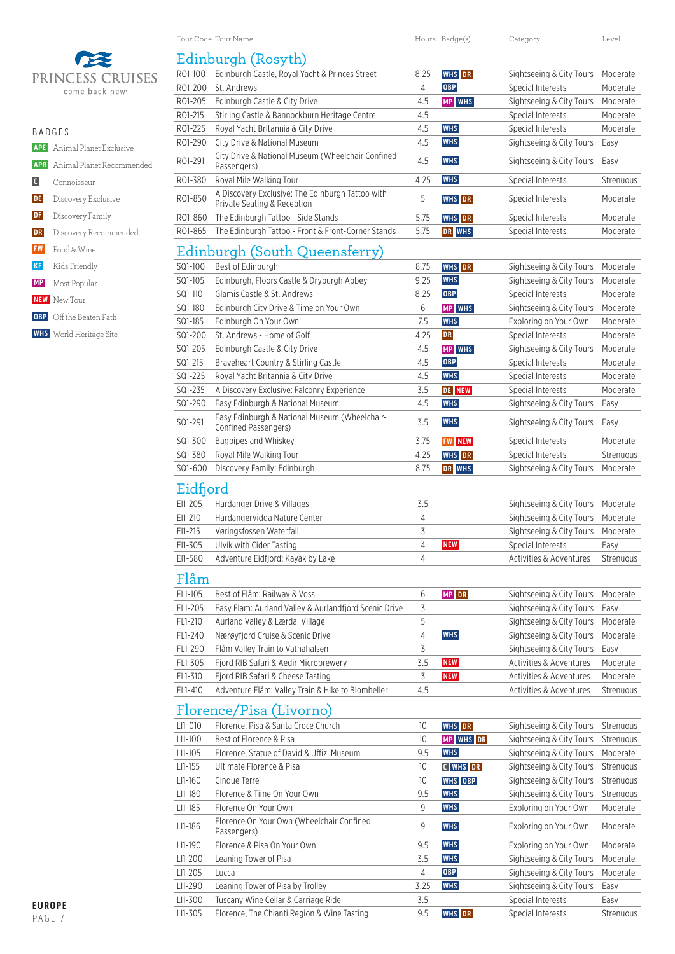

|                       | $B$ $A$ $D$ $G$ $F$ $S$              |  |  |  |  |  |  |
|-----------------------|--------------------------------------|--|--|--|--|--|--|
|                       | <b>APE</b> Animal Planet Exclusive   |  |  |  |  |  |  |
|                       | <b>APR</b> Animal Planet Recommended |  |  |  |  |  |  |
| $\lfloor$ C $\rfloor$ | Connoisseur                          |  |  |  |  |  |  |
| DE                    | Discovery Exclusive                  |  |  |  |  |  |  |
| DF                    | Discovery Family                     |  |  |  |  |  |  |
| DR                    | Discovery Recommended                |  |  |  |  |  |  |
| <b>FW</b>             | Food & Wine                          |  |  |  |  |  |  |
| <b>KF</b>             | Kids Friendly                        |  |  |  |  |  |  |
|                       | <b>MP</b> Most Popular               |  |  |  |  |  |  |
|                       | <b>NEW</b> New Tour                  |  |  |  |  |  |  |
|                       | <b>OBP</b> Off the Beaten Path       |  |  |  |  |  |  |
|                       | <b>WHS</b> World Heritage Site       |  |  |  |  |  |  |
|                       |                                      |  |  |  |  |  |  |

| Edinburgh (Rosyth) |                                                                                 |        |               |                                                      |           |  |  |
|--------------------|---------------------------------------------------------------------------------|--------|---------------|------------------------------------------------------|-----------|--|--|
| RO1-100            | Edinburgh Castle, Royal Yacht & Princes Street                                  | 8.25   | WHS DR        | Sightseeing & City Tours                             | Moderate  |  |  |
| R01-200            | St. Andrews                                                                     | 4      | <b>OBP</b>    | Special Interests                                    | Moderate  |  |  |
| R01-205            | Edinburgh Castle & City Drive                                                   | 4.5    | <b>MP WHS</b> | Sightseeing & City Tours                             | Moderate  |  |  |
| RO1-215            | Stirling Castle & Bannockburn Heritage Centre                                   | 4.5    |               | Special Interests                                    | Moderate  |  |  |
| R01-225            | Royal Yacht Britannia & City Drive                                              | 4.5    | <b>WHS</b>    | Special Interests                                    | Moderate  |  |  |
| R01-290            | City Drive & National Museum                                                    | 4.5    | <b>WHS</b>    | Sightseeing & City Tours                             | Easy      |  |  |
| RO1-291            | City Drive & National Museum (Wheelchair Confined<br>Passengers)                | 4.5    | <b>WHS</b>    | Sightseeing & City Tours                             | Easy      |  |  |
| R01-380            | Royal Mile Walking Tour                                                         | 4.25   | <b>WHS</b>    | Special Interests                                    | Strenuous |  |  |
| R01-850            | A Discovery Exclusive: The Edinburgh Tattoo with<br>Private Seating & Reception | 5      | <b>WHS</b> DR | Special Interests                                    | Moderate  |  |  |
| R01-860            | The Edinburgh Tattoo - Side Stands                                              | 5.75   | WHS DR        | Special Interests                                    | Moderate  |  |  |
| RO1-865            | The Edinburgh Tattoo - Front & Front-Corner Stands                              | 5.75   | DR WHS        | Special Interests                                    | Moderate  |  |  |
|                    | Edinburgh (South Queensferry)                                                   |        |               |                                                      |           |  |  |
|                    |                                                                                 |        |               |                                                      |           |  |  |
| SQ1-100            | Best of Edinburgh                                                               | 8.75   | WHS DR        | Sightseeing & City Tours                             | Moderate  |  |  |
| SQ1-105            | Edinburgh, Floors Castle & Dryburgh Abbey                                       | 9.25   | WHS           | Sightseeing & City Tours                             | Moderate  |  |  |
| SQ1-110            | Glamis Castle & St. Andrews                                                     | 8.25   | <b>OBP</b>    | Special Interests                                    | Moderate  |  |  |
| SQ1-180            | Edinburgh City Drive & Time on Your Own                                         | 6      | MP WHS        | Sightseeing & City Tours                             | Moderate  |  |  |
| SQ1-185            | Edinburgh On Your Own                                                           | 7.5    | <b>WHS</b>    | Exploring on Your Own                                | Moderate  |  |  |
| SQ1-200            | St. Andrews - Home of Golf                                                      | 4.25   | <b>DR</b>     | Special Interests                                    | Moderate  |  |  |
| SQ1-205            | Edinburgh Castle & City Drive                                                   | 4.5    | <b>MP WHS</b> | Sightseeing & City Tours                             | Moderate  |  |  |
| SQ1-215            | Braveheart Country & Stirling Castle                                            | 4.5    | <b>OBP</b>    | Special Interests                                    | Moderate  |  |  |
| SQ1-225            | Royal Yacht Britannia & City Drive                                              | 4.5    | <b>WHS</b>    | Special Interests                                    | Moderate  |  |  |
| SQ1-235            | A Discovery Exclusive: Falconry Experience                                      | 3.5    | <b>DE NEW</b> | Special Interests                                    | Moderate  |  |  |
| SQ1-290            | Easy Edinburgh & National Museum                                                | 4.5    | <b>WHS</b>    | Sightseeing & City Tours                             | Easy      |  |  |
| SQ1-291            | Easy Edinburgh & National Museum (Wheelchair-<br>Confined Passengers)           | 3.5    | <b>WHS</b>    | Sightseeing & City Tours                             | Easy      |  |  |
| SQ1-300            | Bagpipes and Whiskey                                                            | 3.75   | <b>FW NEW</b> | Special Interests                                    | Moderate  |  |  |
| SQ1-380            | Royal Mile Walking Tour                                                         | 4.25   | <b>WHS</b> DR | Special Interests                                    | Strenuous |  |  |
| SQ1-600            | Discovery Family: Edinburgh                                                     | 8.75   | DR WHS        | Sightseeing & City Tours                             | Moderate  |  |  |
| Eidfjord           |                                                                                 |        |               |                                                      |           |  |  |
| EI1-205            | Hardanger Drive & Villages                                                      | 3.5    |               | Sightseeing & City Tours                             | Moderate  |  |  |
| EI1-210            | Hardangervidda Nature Center                                                    | 4      |               | Sightseeing & City Tours                             | Moderate  |  |  |
| EI1-215            | Vøringsfossen Waterfall                                                         | 3      |               | Sightseeing & City Tours                             | Moderate  |  |  |
| EI1-305            | Ulvik with Cider Tasting                                                        | 4      | <b>NEW</b>    | Special Interests                                    | Easy      |  |  |
| EI1-580            | Adventure Eidfjord: Kayak by Lake                                               | 4      |               | Activities & Adventures                              | Strenuous |  |  |
| Flåm               |                                                                                 |        |               |                                                      |           |  |  |
|                    |                                                                                 |        |               |                                                      |           |  |  |
| FL1-105            | Best of Flåm: Railway & Voss                                                    | 6      | MP DR         | Sightseeing & City Tours                             | Moderate  |  |  |
| FL1-205            | Easy Flam: Aurland Valley & Aurlandfjord Scenic Drive                           | 3<br>5 |               | Sightseeing & City Tours                             | Easy      |  |  |
| FL1-210            | Aurland Valley & Lærdal Village                                                 |        |               | Sightseeing & City Tours<br>Sightseeing & City Tours | Moderate  |  |  |
| FL1-240            | Nærøyfjord Cruise & Scenic Drive<br>Flåm Valley Train to Vatnahalsen            | 4<br>3 | <b>WHS</b>    |                                                      | Moderate  |  |  |
| FL1-290            |                                                                                 | 3.5    | <b>NEW</b>    | Sightseeing & City Tours<br>Activities & Adventures  | Easy      |  |  |
| FL1-305            | Fjord RIB Safari & Aedir Microbrewery                                           | 3      | <b>NEW</b>    | Activities & Adventures                              | Moderate  |  |  |
| FL1-310            | Fjord RIB Safari & Cheese Tasting                                               |        |               |                                                      | Moderate  |  |  |
| FL1-410            | Adventure Flåm: Valley Train & Hike to Blomheller                               | 4.5    |               | Activities & Adventures                              | Strenuous |  |  |
|                    | Florence/Pisa (Livorno)                                                         |        |               |                                                      |           |  |  |
| LI1-010            | Florence, Pisa & Santa Croce Church                                             | 10     | WHS DR        | Sightseeing & City Tours                             | Strenuous |  |  |
| LI1-100            | Best of Florence & Pisa                                                         | 10     | MP WHS DR     | Sightseeing & City Tours                             | Strenuous |  |  |
| $L11-105$          | Florence, Statue of David & Uffizi Museum                                       | 9.5    | <b>WHS</b>    | Sightseeing & City Tours                             | Moderate  |  |  |
| LI1-155            | Ultimate Florence & Pisa                                                        | 10     | C WHS DR      | Sightseeing & City Tours                             | Strenuous |  |  |
| LI1-160            | Cinque Terre                                                                    | 10     | WHS OBP       | Sightseeing & City Tours                             | Strenuous |  |  |
| LI1-180            | Florence & Time On Your Own                                                     | 9.5    | <b>WHS</b>    | Sightseeing & City Tours                             | Strenuous |  |  |
| LI1-185            | Florence On Your Own                                                            | 9      | <b>WHS</b>    | Exploring on Your Own                                | Moderate  |  |  |
| LI1-186            | Florence On Your Own (Wheelchair Confined<br>Passengers)                        | 9      | <b>WHS</b>    | Exploring on Your Own                                | Moderate  |  |  |
| LI1-190            | Florence & Pisa On Your Own                                                     | 9.5    | <b>WHS</b>    | Exploring on Your Own                                | Moderate  |  |  |
| LI1-200            | Leaning Tower of Pisa                                                           | 3.5    | <b>WHS</b>    | Sightseeing & City Tours                             | Moderate  |  |  |
| LI1-205            | Lucca                                                                           | 4      | OBP           | Sightseeing & City Tours                             | Moderate  |  |  |
| LI1-290            | Leaning Tower of Pisa by Trolley                                                | 3.25   | <b>WHS</b>    | Sightseeing & City Tours                             | Easy      |  |  |
| LI1-300            | Tuscany Wine Cellar & Carriage Ride                                             | 3.5    |               | Special Interests                                    | Easy      |  |  |

LI1-305 Florence, The Chianti Region & Wine Tasting 9.5 WHS DR Special Interests Strenuous

Tour Code Tour Name Hours Badge(s) Category Level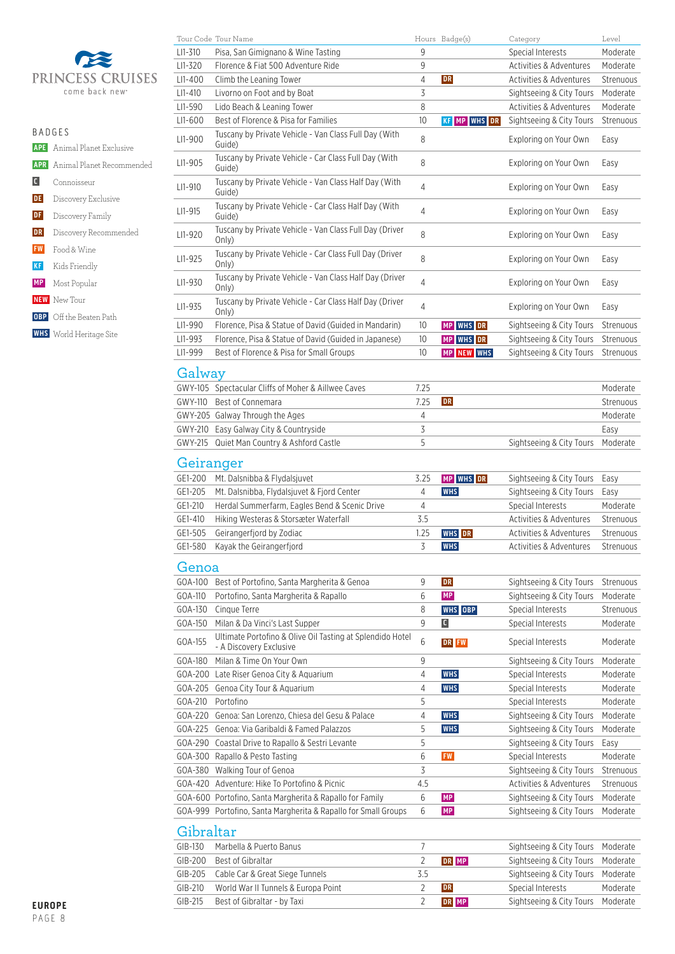

|               |                                      | LI1-5   |
|---------------|--------------------------------------|---------|
|               |                                      | $L11-6$ |
| <b>BADGES</b> |                                      | $L11-9$ |
|               | <b>APE</b> Animal Planet Exclusive   |         |
|               | <b>APR</b> Animal Planet Recommended | $L11-9$ |
| C             | Connoisseur                          | $L11-9$ |
| <b>DE</b>     | Discovery Exclusive                  |         |
| DF            | Discovery Family                     | $L11-9$ |
| DR            | Discovery Recommended                | $L11-9$ |
|               | <b>FW</b> Food & Wine                |         |
| <b>KF</b>     | Kids Friendly                        | $L11-9$ |
|               | <b>MP</b> Most Popular               | $L11-9$ |
|               | <b>NEW</b> New Tour                  | $L11-9$ |
|               | <b>OBP</b> Off the Beaten Path       |         |
|               | <b>WHS</b> World Heritage Site       | $L11-9$ |
|               |                                      | l I1-9  |

|                    | Tour Code Tour Name                                                                  |                | Hours Badge(s)      | Category                                      | Level                |
|--------------------|--------------------------------------------------------------------------------------|----------------|---------------------|-----------------------------------------------|----------------------|
| LI1-310            | Pisa, San Gimignano & Wine Tasting                                                   | 9              |                     | Special Interests                             | Moderate             |
| LI1-320            | Florence & Fiat 500 Adventure Ride                                                   | 9              |                     | Activities & Adventures                       | Moderate             |
| $L11 - 400$        | Climb the Leaning Tower                                                              | 4              | <b>DR</b>           | <b>Activities &amp; Adventures</b>            | Strenuous            |
| $L11-410$          | Livorno on Foot and by Boat                                                          | 3              |                     | Sightseeing & City Tours                      | Moderate             |
| LI1-590            | Lido Beach & Leaning Tower                                                           | 8              |                     | <b>Activities &amp; Adventures</b>            | Moderate             |
| LI1-600            | Best of Florence & Pisa for Families                                                 | 10             | <b>KF MP WHS DR</b> | Sightseeing & City Tours                      | Strenuous            |
| LI1-900            | Tuscany by Private Vehicle - Van Class Full Day (With<br>Guide)                      | 8              |                     | Exploring on Your Own                         | Easy                 |
| LI1-905            | Tuscany by Private Vehicle - Car Class Full Day (With<br>Guide)                      | 8              |                     | Exploring on Your Own                         | Easy                 |
| LI1-910            | Tuscany by Private Vehicle - Van Class Half Day (With<br>Guide)                      | 4              |                     | Exploring on Your Own                         | Easy                 |
| LI1-915            | Tuscany by Private Vehicle - Car Class Half Day (With<br>Guide)                      | 4              |                     | Exploring on Your Own                         | Easy                 |
| LI1-920            | Tuscany by Private Vehicle - Van Class Full Day (Driver<br>Only)                     | 8              |                     | Exploring on Your Own                         | Easy                 |
| LI1-925            | Tuscany by Private Vehicle - Car Class Full Day (Driver<br>Only)                     | 8              |                     | Exploring on Your Own                         | Easy                 |
| LI1-930            | Tuscany by Private Vehicle - Van Class Half Day (Driver<br>Only)                     | 4              |                     | Exploring on Your Own                         | Easy                 |
| LI1-935            | Tuscany by Private Vehicle - Car Class Half Day (Driver<br>Only)                     | 4              |                     | Exploring on Your Own                         | Easy                 |
| LI1-990            | Florence, Pisa & Statue of David (Guided in Mandarin)                                | 10             | <b>MP WHS DR</b>    | Sightseeing & City Tours                      | Strenuous            |
| LI1-993            | Florence, Pisa & Statue of David (Guided in Japanese)                                | 10             | MP WHS DR           | Sightseeing & City Tours                      | Strenuous            |
| LI1-999            | Best of Florence & Pisa for Small Groups                                             | 10             | MP NEW WHS          | Sightseeing & City Tours                      | Strenuous            |
| Galway             |                                                                                      |                |                     |                                               |                      |
|                    | GWY-105 Spectacular Cliffs of Moher & Aillwee Caves                                  | 7.25           |                     |                                               | Moderate             |
| GWY-110            | Best of Connemara                                                                    | 7.25           | <b>DR</b>           |                                               | Strenuous            |
|                    | GWY-205 Galway Through the Ages                                                      | 4              |                     |                                               | Moderate             |
|                    | GWY-210 Easy Galway City & Countryside                                               | 3              |                     |                                               | Easy                 |
| GWY-215            | Quiet Man Country & Ashford Castle                                                   | 5              |                     | Sightseeing & City Tours                      | Moderate             |
|                    |                                                                                      |                |                     |                                               |                      |
| Geiranger          |                                                                                      |                |                     |                                               |                      |
| GE1-200            | Mt. Dalsnibba & Flydalsjuvet                                                         | 3.25           | MP WHS DR           | Sightseeing & City Tours                      | Easy                 |
| GE1-205            | Mt. Dalsnibba, Flydalsjuvet & Fjord Center                                           | 4              | <b>WHS</b>          | Sightseeing & City Tours                      | Easy                 |
| GE1-210            | Herdal Summerfarm, Eagles Bend & Scenic Drive                                        | 4              |                     | Special Interests                             | Moderate             |
| GE1-410            | Hiking Westeras & Storsæter Waterfall                                                | 3.5            |                     | <b>Activities &amp; Adventures</b>            | Strenuous            |
| GE1-505            | Geirangerfjord by Zodiac                                                             | 1.25           | <b>WHS</b> DR       | Activities & Adventures                       | Strenuous            |
| GE1-580            | Kayak the Geirangerfjord                                                             | 3              | WHS                 | Activities & Adventures                       | Strenuous            |
| Genoa              |                                                                                      |                |                     |                                               |                      |
| GOA-100            | Best of Portofino, Santa Margherita & Genoa                                          | 9              | <b>DR</b>           | Sightseeing & City Tours                      | Strenuous            |
| GOA-110            | Portofino, Santa Margherita & Rapallo                                                | 6              | MP                  | Sightseeing & City Tours                      | Moderate             |
| GOA-130            | Cinque Terre                                                                         | 8              | WHS OBP             | Special Interests                             | Strenuous            |
| GOA-150            | Milan & Da Vinci's Last Supper                                                       | 9              | $\blacksquare$      | Special Interests                             | Moderate             |
| GOA-155            | Ultimate Portofino & Olive Oil Tasting at Splendido Hotel<br>- A Discovery Exclusive | 6              | DR FW               | Special Interests                             | Moderate             |
| GOA-180            | Milan & Time On Your Own                                                             | 9              |                     | Sightseeing & City Tours                      | Moderate             |
|                    | GOA-200 Late Riser Genoa City & Aquarium                                             | 4              | <b>WHS</b>          | Special Interests                             | Moderate             |
|                    | GOA-205 Genoa City Tour & Aquarium                                                   | 4              | <b>WHS</b>          | Special Interests                             | Moderate             |
| GOA-210            | Portofino                                                                            | 5              |                     | Special Interests                             | Moderate             |
| GOA-220            | Genoa: San Lorenzo, Chiesa del Gesu & Palace                                         | 4              | <b>WHS</b>          | Sightseeing & City Tours                      | Moderate             |
|                    | GOA-225 Genoa: Via Garibaldi & Famed Palazzos                                        | 5              | <b>WHS</b>          | Sightseeing & City Tours                      | Moderate             |
|                    | GOA-290 Coastal Drive to Rapallo & Sestri Levante                                    | 5              |                     | Sightseeing & City Tours                      | Easy                 |
|                    | GOA-300 Rapallo & Pesto Tasting                                                      | 6              | <b>FW</b>           | Special Interests                             | Moderate             |
|                    | GOA-380 Walking Tour of Genoa                                                        | 3              |                     | Sightseeing & City Tours                      | Strenuous            |
|                    | GOA-420 Adventure: Hike To Portofino & Picnic                                        | 4.5            |                     | Activities & Adventures                       | Strenuous            |
|                    | GOA-600 Portofino, Santa Margherita & Rapallo for Family                             | 6              | <b>MP</b>           | Sightseeing & City Tours                      | Moderate             |
|                    | GOA-999 Portofino, Santa Margherita & Rapallo for Small Groups                       | 6              | <b>MP</b>           | Sightseeing & City Tours                      | Moderate             |
| Gibraltar          |                                                                                      |                |                     |                                               |                      |
| GIB-130            | Marbella & Puerto Banus                                                              | 7              |                     | Sightseeing & City Tours                      | Moderate             |
| GIB-200            | Best of Gibraltar                                                                    | $\overline{2}$ | DR MP               | Sightseeing & City Tours                      | Moderate             |
| GIB-205            |                                                                                      |                |                     |                                               |                      |
|                    | Cable Car & Great Siege Tunnels                                                      | 3.5            |                     | Sightseeing & City Tours                      | Moderate             |
| GIB-210<br>GIB-215 | World War II Tunnels & Europa Point<br>Best of Gibraltar - by Taxi                   | 2<br>2         | <b>DR</b><br>DR MP  | Special Interests<br>Sightseeing & City Tours | Moderate<br>Moderate |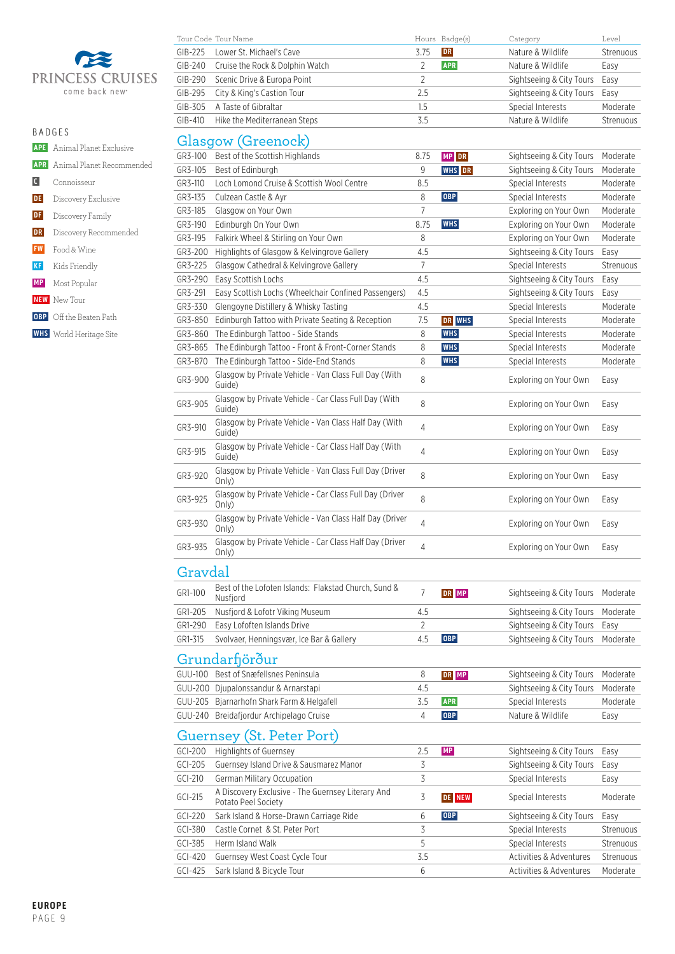

 **APE** Animal Planet Exclusive  **APR** Animal Planet Recommended

- **C** Connoisseur **DE** Discovery Exclusive **DF** Discovery Family **DR** Discovery Recommended  **FW** Food & Wine  **KF** Kids Friendly  **MP** Most Popular
- **NEW** New Tour
- **OBP** Off the Beaten Path
- **WHS** World Heritage Site

|           | Tour Code Tour Name             |         | Hours Badge(s) | Category                 | Level     |
|-----------|---------------------------------|---------|----------------|--------------------------|-----------|
| $GIB-225$ | Lower St. Michael's Cave        | 3.75    | <b>DR</b>      | Nature & Wildlife        | Strenuous |
| $GIB-240$ | Cruise the Rock & Dolphin Watch |         | <b>APR</b>     | Nature & Wildlife        | Easy      |
| GIB-290   | Scenic Drive & Europa Point     |         |                | Sightseeing & City Tours | Easy      |
| GIB-295   | City & King's Castion Tour      | 2.5     |                | Sightseeing & City Tours | Easv      |
| $GIB-305$ | A Taste of Gibraltar            | $1.5\,$ |                | Special Interests        | Moderate  |
| $GIB-410$ | Hike the Mediterranean Steps    | 3.5     |                | Nature & Wildlife        | Strenuous |

### Glasgow (Greenock)

| GR3-100 | Best of the Scottish Highlands                                   | 8.75           | MP DR         | Sightseeing & City Tours | Moderate  |  |  |  |  |
|---------|------------------------------------------------------------------|----------------|---------------|--------------------------|-----------|--|--|--|--|
| GR3-105 | Best of Edinburgh                                                | 9              | <b>WHS</b> DR | Sightseeing & City Tours | Moderate  |  |  |  |  |
| GR3-110 | Loch Lomond Cruise & Scottish Wool Centre                        | 8.5            |               | Special Interests        | Moderate  |  |  |  |  |
| GR3-135 | Culzean Castle & Ayr                                             | 8              | <b>OBP</b>    | Special Interests        | Moderate  |  |  |  |  |
| GR3-185 | Glasgow on Your Own                                              | 7              |               | Exploring on Your Own    | Moderate  |  |  |  |  |
| GR3-190 | Edinburgh On Your Own                                            | 8.75           | <b>WHS</b>    | Exploring on Your Own    | Moderate  |  |  |  |  |
| GR3-195 | Falkirk Wheel & Stirling on Your Own                             | 8              |               | Exploring on Your Own    | Moderate  |  |  |  |  |
| GR3-200 | Highlights of Glasgow & Kelvingrove Gallery                      | 4.5            |               | Sightseeing & City Tours | Easy      |  |  |  |  |
| GR3-225 | Glasgow Cathedral & Kelvingrove Gallery                          | 7              |               | Special Interests        | Strenuous |  |  |  |  |
| GR3-290 | Easy Scottish Lochs                                              | 4.5            |               | Sightseeing & City Tours | Easy      |  |  |  |  |
| GR3-291 | Easy Scottish Lochs (Wheelchair Confined Passengers)             | 4.5            |               | Sightseeing & City Tours | Easy      |  |  |  |  |
| GR3-330 | Glengoyne Distillery & Whisky Tasting                            | 4.5            |               | Special Interests        | Moderate  |  |  |  |  |
| GR3-850 | Edinburgh Tattoo with Private Seating & Reception                | 7.5            | DR WHS        | Special Interests        | Moderate  |  |  |  |  |
| GR3-860 | The Edinburgh Tattoo - Side Stands                               | 8              | <b>WHS</b>    | Special Interests        | Moderate  |  |  |  |  |
| GR3-865 | The Edinburgh Tattoo - Front & Front-Corner Stands               | 8              | <b>WHS</b>    | Special Interests        | Moderate  |  |  |  |  |
| GR3-870 | The Edinburgh Tattoo - Side-End Stands                           | 8              | <b>WHS</b>    | Special Interests        | Moderate  |  |  |  |  |
|         | Glasgow by Private Vehicle - Van Class Full Day (With            |                |               |                          |           |  |  |  |  |
| GR3-900 | Guide)                                                           | 8              |               | Exploring on Your Own    | Easy      |  |  |  |  |
| GR3-905 | Glasgow by Private Vehicle - Car Class Full Day (With<br>Guide)  | 8              |               | Exploring on Your Own    | Easy      |  |  |  |  |
| GR3-910 | Glasgow by Private Vehicle - Van Class Half Day (With<br>Guide)  | 4              |               | Exploring on Your Own    | Easy      |  |  |  |  |
| GR3-915 | Glasgow by Private Vehicle - Car Class Half Day (With<br>Guide)  | 4              |               | Exploring on Your Own    | Easy      |  |  |  |  |
| GR3-920 | Glasgow by Private Vehicle - Van Class Full Day (Driver<br>Only) | 8              |               | Exploring on Your Own    | Easy      |  |  |  |  |
| GR3-925 | Glasgow by Private Vehicle - Car Class Full Day (Driver<br>Only) | 8              |               | Exploring on Your Own    | Easy      |  |  |  |  |
| GR3-930 | Glasgow by Private Vehicle - Van Class Half Day (Driver<br>Only) | 4              |               | Exploring on Your Own    | Easy      |  |  |  |  |
| GR3-935 | Glasgow by Private Vehicle - Car Class Half Day (Driver<br>Only) | 4              |               | Exploring on Your Own    | Easy      |  |  |  |  |
| Gravdal |                                                                  |                |               |                          |           |  |  |  |  |
| GR1-100 | Best of the Lofoten Islands: Flakstad Church, Sund &<br>Nusfjord | $\overline{7}$ | DR MP         | Sightseeing & City Tours | Moderate  |  |  |  |  |
| GR1-205 | Nusfjord & Lofotr Viking Museum                                  | 4.5            |               | Sightseeing & City Tours | Moderate  |  |  |  |  |
| GR1-290 | Easy Lofoften Islands Drive                                      | 2              |               | Sightseeing & City Tours | Easy      |  |  |  |  |
| GR1-315 | Svolvaer, Henningsvær, Ice Bar & Gallery                         | 4.5            | OBP           | Sightseeing & City Tours | Moderate  |  |  |  |  |
|         | Grundarhörður                                                    |                |               |                          |           |  |  |  |  |
| GUU-100 | Best of Snæfellsnes Peninsula                                    | 8              | DR MP         | Sightseeing & City Tours | Moderate  |  |  |  |  |
| GUU-200 | Djupalonssandur & Arnarstapi                                     | 4.5            |               | Sightseeing & City Tours | Moderate  |  |  |  |  |
| GUU-205 | Bjarnarhofn Shark Farm & Helgafell                               | 3.5            | <b>APR</b>    | Special Interests        | Moderate  |  |  |  |  |
| GUU-240 | Breidafjordur Archipelago Cruise                                 | 4              | <b>OBP</b>    | Nature & Wildlife        | Easy      |  |  |  |  |
|         | <b>Guernsey (St. Peter Port)</b>                                 |                |               |                          |           |  |  |  |  |
| GCI-200 | Highlights of Guernsey                                           | 2.5            | <b>MP</b>     | Sightseeing & City Tours | Easy      |  |  |  |  |
| GCI-205 | Guernsey Island Drive & Sausmarez Manor                          | 3              |               | Sightseeing & City Tours | Easy      |  |  |  |  |
| GCI-210 | German Military Occupation                                       | 3              |               | Special Interests        | Easy      |  |  |  |  |

| GCI-205   | Guernsey Island Drive & Sausmarez Manor                                  |     |               | Sightseeing & City Tours | Easy      |
|-----------|--------------------------------------------------------------------------|-----|---------------|--------------------------|-----------|
| GCI-210   | <b>German Military Occupation</b>                                        |     |               | Special Interests        | Easy      |
| $GCl-215$ | A Discovery Exclusive - The Guernsey Literary And<br>Potato Peel Society |     | <b>DE NEW</b> | Special Interests        | Moderate  |
| GCI-220   | Sark Island & Horse-Drawn Carriage Ride                                  |     | <b>OBP</b>    | Sightseeing & City Tours | Easy      |
| $GCI-380$ | Castle Cornet & St. Peter Port                                           |     |               | Special Interests        | Strenuous |
| $GCI-385$ | Herm Island Walk                                                         |     |               | Special Interests        | Strenuous |
| GCI-420   | Guernsey West Coast Cycle Tour                                           | 3.5 |               | Activities & Adventures  | Strenuous |
| $GCl-425$ | Sark Island & Bicycle Tour                                               | b   |               | Activities & Adventures  | Moderate  |
|           |                                                                          |     |               |                          |           |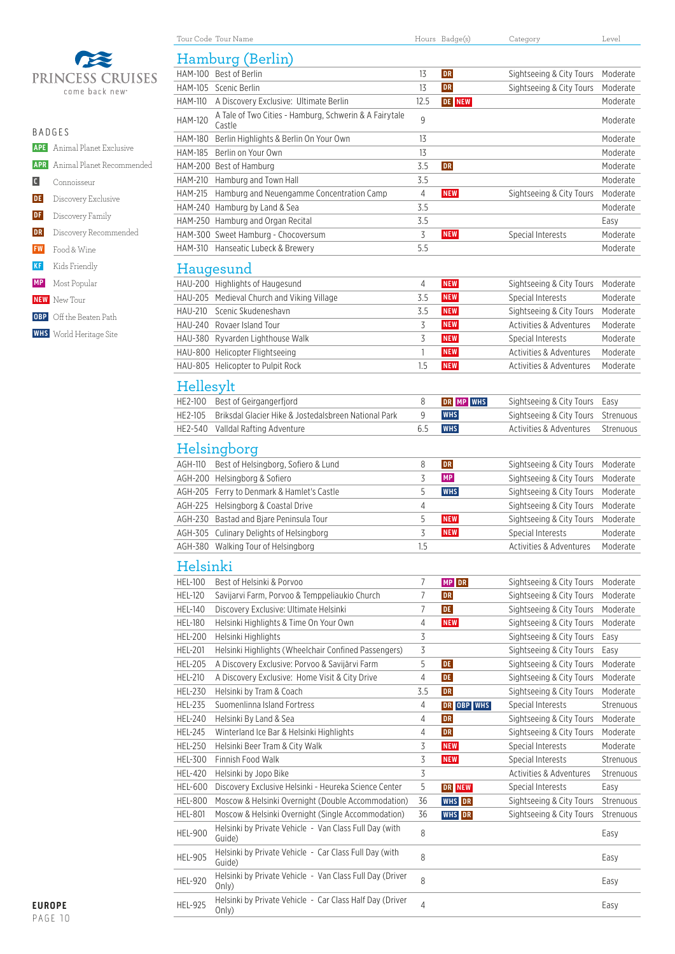

|           | <b>BADGES</b>                        |  |  |  |  |  |
|-----------|--------------------------------------|--|--|--|--|--|
|           | <b>APE</b> Animal Planet Exclusive   |  |  |  |  |  |
|           | <b>APR</b> Animal Planet Recommended |  |  |  |  |  |
|           | C Connoisseur                        |  |  |  |  |  |
|           | DE Discovery Exclusive               |  |  |  |  |  |
|           | <b>DF</b> Discovery Family           |  |  |  |  |  |
| DR        | Discovery Recommended                |  |  |  |  |  |
| <b>FW</b> | Food & Wine                          |  |  |  |  |  |
| <b>KF</b> | Kids Friendly                        |  |  |  |  |  |
|           | <b>MP</b> Most Popular               |  |  |  |  |  |
|           | <b>NEW</b> New Tour                  |  |  |  |  |  |
|           | <b>OBP</b> Off the Beaten Path       |  |  |  |  |  |
|           | <b>WHS</b> World Heritage Site       |  |  |  |  |  |
|           |                                      |  |  |  |  |  |

|                           | Hamburg (Berlin)                                                                                             |      |                         |                                               |           |
|---------------------------|--------------------------------------------------------------------------------------------------------------|------|-------------------------|-----------------------------------------------|-----------|
|                           | HAM-100 Best of Berlin                                                                                       | 13   | DR                      | Sightseeing & City Tours                      | Moderate  |
|                           | HAM-105 Scenic Berlin                                                                                        | 13   | DR                      | Sightseeing & City Tours                      | Moderate  |
| <b>HAM-110</b>            | A Discovery Exclusive: Ultimate Berlin                                                                       | 12.5 | <b>DE NEW</b>           |                                               | Moderate  |
| <b>HAM-120</b>            | A Tale of Two Cities - Hamburg, Schwerin & A Fairytale<br>Castle                                             | 9    |                         |                                               | Moderate  |
| HAM-180                   | Berlin Highlights & Berlin On Your Own                                                                       | 13   |                         |                                               | Moderate  |
| HAM-185                   | Berlin on Your Own                                                                                           | 13   |                         |                                               | Moderate  |
|                           | HAM-200 Best of Hamburg                                                                                      | 3.5  | DR                      |                                               | Moderate  |
| HAM-210                   | Hamburg and Town Hall                                                                                        | 3.5  |                         |                                               | Moderate  |
| <b>HAM-215</b>            | Hamburg and Neuengamme Concentration Camp                                                                    | 4    | <b>NEW</b>              | Sightseeing & City Tours                      | Moderate  |
|                           | HAM-240 Hamburg by Land & Sea                                                                                | 3.5  |                         |                                               | Moderate  |
|                           | HAM-250 Hamburg and Organ Recital                                                                            | 3.5  |                         |                                               | Easy      |
|                           | HAM-300 Sweet Hamburg - Chocoversum                                                                          | 3    | <b>NEW</b>              | Special Interests                             | Moderate  |
| HAM-310                   | Hanseatic Lubeck & Brewery                                                                                   | 5.5  |                         |                                               | Moderate  |
|                           |                                                                                                              |      |                         |                                               |           |
|                           | Haugesund                                                                                                    |      |                         |                                               |           |
|                           | HAU-200 Highlights of Haugesund                                                                              | 4    | <b>NEW</b>              | Sightseeing & City Tours                      | Moderate  |
|                           | HAU-205 Medieval Church and Viking Village                                                                   | 3.5  | <b>NEW</b>              | Special Interests                             | Moderate  |
| HAU-210                   | Scenic Skudeneshavn                                                                                          | 3.5  | <b>NEW</b>              | Sightseeing & City Tours                      | Moderate  |
|                           | HAU-240 Rovaer Island Tour                                                                                   | 3    | <b>NEW</b>              | Activities & Adventures                       | Moderate  |
|                           | HAU-380 Ryvarden Lighthouse Walk                                                                             | 3    | <b>NEW</b>              | Special Interests                             | Moderate  |
|                           | HAU-800 Helicopter Flightseeing                                                                              | 1    | <b>NEW</b>              | Activities & Adventures                       | Moderate  |
|                           | HAU-805 Helicopter to Pulpit Rock                                                                            | 1.5  | <b>NEW</b>              | Activities & Adventures                       | Moderate  |
| Hellesylt                 |                                                                                                              |      |                         |                                               |           |
| HE2-100                   | Best of Geirgangerfjord                                                                                      | 8    | DR MP WHS               | Sightseeing & City Tours                      | Easy      |
| HE2-105                   | Briksdal Glacier Hike & Jostedalsbreen National Park                                                         | 9    | <b>WHS</b>              | Sightseeing & City Tours                      | Strenuous |
| HE2-540                   | Valldal Rafting Adventure                                                                                    | 6.5  | <b>WHS</b>              | Activities & Adventures                       | Strenuous |
|                           |                                                                                                              |      |                         |                                               |           |
|                           | Helsingborg                                                                                                  |      |                         |                                               |           |
| AGH-110                   | Best of Helsingborg, Sofiero & Lund                                                                          | 8    | ${\bf DR}$              | Sightseeing & City Tours                      | Moderate  |
|                           | AGH-200 Helsingborg & Sofiero                                                                                | 3    | MP                      | Sightseeing & City Tours                      | Moderate  |
|                           | AGH-205 Ferry to Denmark & Hamlet's Castle                                                                   | 5    | <b>WHS</b>              | Sightseeing & City Tours                      | Moderate  |
|                           | AGH-225 Helsingborg & Coastal Drive                                                                          | 4    |                         | Sightseeing & City Tours                      | Moderate  |
| AGH-230                   | Bastad and Bjare Peninsula Tour                                                                              | 5    | <b>NEW</b>              | Sightseeing & City Tours                      | Moderate  |
|                           | AGH-305 Culinary Delights of Helsingborg                                                                     | 3    | <b>NEW</b>              | Special Interests                             | Moderate  |
|                           | AGH-380 Walking Tour of Helsingborg                                                                          | 1.5  |                         | Activities & Adventures                       | Moderate  |
| Helsinki                  |                                                                                                              |      |                         |                                               |           |
| <b>HEL-100</b>            | Best of Helsinki & Porvoo                                                                                    | 7    | MP DR                   | Sightseeing & City Tours                      | Moderate  |
| <b>HEL-120</b>            | Savijarvi Farm, Porvoo & Temppeliaukio Church                                                                | 7    | DR                      | Sightseeing & City Tours                      | Moderate  |
| <b>HEL-140</b>            | Discovery Exclusive: Ultimate Helsinki                                                                       | 7    | <b>DE</b>               | Sightseeing & City Tours                      | Moderate  |
| <b>HEL-180</b>            | Helsinki Highlights & Time On Your Own                                                                       | 4    | <b>NEW</b>              | Sightseeing & City Tours                      | Moderate  |
| <b>HEL-200</b>            | Helsinki Highlights                                                                                          | 3    |                         | Sightseeing & City Tours                      | Easy      |
| <b>HEL-201</b>            | Helsinki Highlights (Wheelchair Confined Passengers)                                                         | 3    |                         | Sightseeing & City Tours                      | Easy      |
| <b>HEL-205</b>            | A Discovery Exclusive: Porvoo & Savijärvi Farm                                                               | 5    | <b>DE</b>               | Sightseeing & City Tours                      | Moderate  |
| <b>HEL-210</b>            | A Discovery Exclusive: Home Visit & City Drive                                                               | 4    | <b>DE</b>               | Sightseeing & City Tours                      | Moderate  |
| HEL-230                   | Helsinki by Tram & Coach                                                                                     | 3.5  | DR                      | Sightseeing & City Tours                      | Moderate  |
| <b>HEL-235</b>            | Suomenlinna Island Fortress                                                                                  | 4    | DR OBP WHS              | Special Interests                             | Strenuous |
| <b>HEL-240</b>            | Helsinki By Land & Sea                                                                                       | 4    | <b>DR</b>               | Sightseeing & City Tours                      | Moderate  |
| <b>HEL-245</b>            | Winterland Ice Bar & Helsinki Highlights                                                                     | 4    | DR                      | Sightseeing & City Tours                      | Moderate  |
| <b>HEL-250</b>            | Helsinki Beer Tram & City Walk                                                                               | 3    | <b>NEW</b>              | Special Interests                             | Moderate  |
| HEL-300                   | Finnish Food Walk                                                                                            | 3    | <b>NEW</b>              | Special Interests                             | Strenuous |
| <b>HEL-420</b>            | Helsinki by Jopo Bike                                                                                        | 3    |                         | Activities & Adventures                       | Strenuous |
|                           |                                                                                                              | 5    |                         |                                               | Easy      |
| HEL-600<br><b>HEL-800</b> | Discovery Exclusive Helsinki - Heureka Science Center<br>Moscow & Helsinki Overnight (Double Accommodation)  | 36   | DR NEW<br><b>WHS</b> DR | Special Interests<br>Sightseeing & City Tours | Strenuous |
|                           |                                                                                                              |      |                         |                                               |           |
| <b>HEL-801</b>            | Moscow & Helsinki Overnight (Single Accommodation)<br>Helsinki by Private Vehicle - Van Class Full Day (with | 36   | WHS DR                  | Sightseeing & City Tours                      | Strenuous |
| <b>HEL-900</b>            | Guide)                                                                                                       | 8    |                         |                                               | Easy      |
| <b>HEL-905</b>            | Helsinki by Private Vehicle - Car Class Full Day (with<br>Guide)                                             | 8    |                         |                                               | Easy      |
| <b>HEL-920</b>            | Helsinki by Private Vehicle - Van Class Full Day (Driver<br>Only)                                            | 8    |                         |                                               | Easy      |
| <b>HEL-925</b>            | Helsinki by Private Vehicle - Car Class Half Day (Driver<br>Only)                                            | 4    |                         |                                               | Easy      |

Tour Code Tour Name **Hours Badge(s)** Category Category Level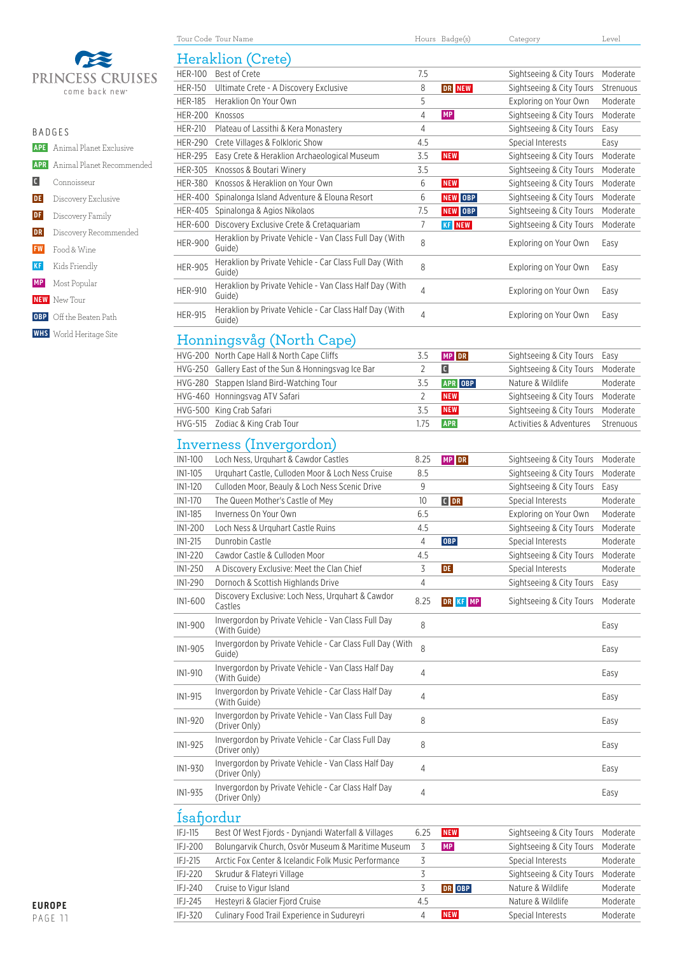

| <b>BADGES</b> |                                      |
|---------------|--------------------------------------|
|               | <b>APE</b> Animal Planet Exclusive   |
|               | <b>APR</b> Animal Planet Recommended |
|               | Connoisseur                          |
|               | <b>DE</b> Discovery Exclusive        |
|               | <b>DF</b> Discovery Family           |
| <b>DR</b>     | Discovery Recommended                |
|               | <b>FW</b> Food & Wine                |
|               | <b>KF</b> Kids Friendly              |
|               | <b>MP</b> Most Popular               |
|               | <b>NEW</b> New Tour                  |
|               |                                      |

- **OBP** Off the Beaten Path
- **WHS** World Heritage Site

|                | Heraklion (Crete)                                                    |                |               |                          |           |  |  |
|----------------|----------------------------------------------------------------------|----------------|---------------|--------------------------|-----------|--|--|
| <b>HER-100</b> | Best of Crete                                                        | 7.5            |               | Sightseeing & City Tours | Moderate  |  |  |
| <b>HER-150</b> | Ultimate Crete - A Discovery Exclusive                               | 8              | DR NEW        | Sightseeing & City Tours | Strenuous |  |  |
| <b>HER-185</b> | Heraklion On Your Own                                                | 5              |               | Exploring on Your Own    | Moderate  |  |  |
| <b>HER-200</b> | Knossos                                                              | 4              | <b>MP</b>     | Sightseeing & City Tours | Moderate  |  |  |
| <b>HER-210</b> | Plateau of Lassithi & Kera Monastery                                 | 4              |               | Sightseeing & City Tours | Easy      |  |  |
| <b>HER-290</b> | Crete Villages & Folkloric Show                                      | 4.5            |               | Special Interests        | Easy      |  |  |
| <b>HER-295</b> | Easy Crete & Heraklion Archaeological Museum                         | 3.5            | <b>NEW</b>    | Sightseeing & City Tours | Moderate  |  |  |
| <b>HER-305</b> | Knossos & Boutari Winery                                             | 3.5            |               | Sightseeing & City Tours | Moderate  |  |  |
| <b>HER-380</b> | Knossos & Heraklion on Your Own                                      | 6              | <b>NEW</b>    | Sightseeing & City Tours | Moderate  |  |  |
| <b>HER-400</b> | Spinalonga Island Adventure & Elouna Resort                          | 6              | NEW OBP       | Sightseeing & City Tours | Moderate  |  |  |
| <b>HER-405</b> | Spinalonga & Agios Nikolaos                                          | 7.5            | NEW OBP       | Sightseeing & City Tours | Moderate  |  |  |
| <b>HER-600</b> | Discovery Exclusive Crete & Cretaguariam                             | $\overline{7}$ | <b>KF</b> NEW | Sightseeing & City Tours | Moderate  |  |  |
| <b>HER-900</b> | Heraklion by Private Vehicle - Van Class Full Day (With<br>Guide)    | 8              |               | Exploring on Your Own    | Easy      |  |  |
| <b>HER-905</b> | Heraklion by Private Vehicle - Car Class Full Day (With<br>Guide)    | 8              |               | Exploring on Your Own    | Easy      |  |  |
| <b>HER-910</b> | Heraklion by Private Vehicle - Van Class Half Day (With<br>Guide)    | $\overline{4}$ |               | Exploring on Your Own    | Easy      |  |  |
| <b>HER-915</b> | Heraklion by Private Vehicle - Car Class Half Day (With<br>Guide)    | 4              |               | Exploring on Your Own    | Easy      |  |  |
|                | Honningsvåg (North Cape)                                             |                |               |                          |           |  |  |
|                | HVG-200 North Cape Hall & North Cape Cliffs                          | 3.5            | MP DR         | Sightseeing & City Tours | Easy      |  |  |
|                | HVG-250 Gallery East of the Sun & Honningsvag Ice Bar                | 2              | C             | Sightseeing & City Tours | Moderate  |  |  |
|                | HVG-280 Stappen Island Bird-Watching Tour                            | 3.5            | APR OBP       | Nature & Wildlife        | Moderate  |  |  |
|                | HVG-460 Honningsvag ATV Safari                                       | 2              | <b>NEW</b>    | Sightseeing & City Tours | Moderate  |  |  |
|                | HVG-500 King Crab Safari                                             | 3.5            | <b>NEW</b>    | Sightseeing & City Tours | Moderate  |  |  |
| HVG-515        | Zodiac & King Crab Tour                                              | 1.75           | APR           | Activities & Adventures  | Strenuous |  |  |
|                |                                                                      |                |               |                          |           |  |  |
|                | Inverness (Invergordon)                                              |                |               |                          |           |  |  |
| IN1-100        | Loch Ness, Urquhart & Cawdor Castles                                 | 8.25           | MP DR         | Sightseeing & City Tours | Moderate  |  |  |
| IN1-105        | Urquhart Castle, Culloden Moor & Loch Ness Cruise                    | 8.5            |               | Sightseeing & City Tours | Moderate  |  |  |
| IN1-120        | Culloden Moor, Beauly & Loch Ness Scenic Drive                       | 9              |               | Sightseeing & City Tours | Easy      |  |  |
| IN1-170        | The Queen Mother's Castle of Mey                                     | 10             | $C$ DR        | Special Interests        | Moderate  |  |  |
| IN1-185        | Inverness On Your Own                                                | 6.5            |               | Exploring on Your Own    | Moderate  |  |  |
| IN1-200        | Loch Ness & Urguhart Castle Ruins                                    | 4.5            |               | Sightseeing & City Tours | Moderate  |  |  |
| IN1-215        | Dunrobin Castle                                                      | 4              | <b>OBP</b>    | Special Interests        | Moderate  |  |  |
| IN1-220        | Cawdor Castle & Culloden Moor                                        | 4.5            |               | Sightseeing & City Tours | Moderate  |  |  |
| IN1-250        | A Discovery Exclusive: Meet the Clan Chief                           | 3              | <b>DE</b>     | Special Interests        | Moderate  |  |  |
| IN1-290        | Dornoch & Scottish Highlands Drive                                   | 4              |               | Sightseeing & City Tours | Easy      |  |  |
| IN1-600        | Discovery Exclusive: Loch Ness, Urguhart & Cawdor<br>Castles         | 8.25           | DR KF MP      | Sightseeing & City Tours | Moderate  |  |  |
| IN1-900        | Invergordon by Private Vehicle - Van Class Full Day<br>(With Guide)  | 8              |               |                          | Easy      |  |  |
| IN1-905        | Invergordon by Private Vehicle - Car Class Full Day (With<br>Guide)  | 8              |               |                          | Easy      |  |  |
| IN1-910        | Invergordon by Private Vehicle - Van Class Half Day<br>(With Guide)  | $\overline{4}$ |               |                          | Easy      |  |  |
| IN1-915        | Invergordon by Private Vehicle - Car Class Half Day<br>(With Guide)  | 4              |               |                          | Easy      |  |  |
| IN1-920        | Invergordon by Private Vehicle - Van Class Full Day<br>(Driver Only) | 8              |               |                          | Easy      |  |  |
| IN1-925        | Invergordon by Private Vehicle - Car Class Full Day<br>(Driver only) | 8              |               |                          | Easy      |  |  |
| IN1-930        | Invergordon by Private Vehicle - Van Class Half Day<br>(Driver Only) | 4              |               |                          | Easy      |  |  |
| IN1-935        | Invergordon by Private Vehicle - Car Class Half Day<br>(Driver Only) | 4              |               |                          | Easy      |  |  |
| Isafjordur     |                                                                      |                |               |                          |           |  |  |
| IFJ-115        | Best Of West Fjords - Dynjandi Waterfall & Villages                  | 6.25           | <b>NEW</b>    | Sightseeing & City Tours | Moderate  |  |  |
| IFJ-200        | Bolungarvik Church, Osvör Museum & Maritime Museum                   | 3              | MP            | Sightseeing & City Tours | Moderate  |  |  |
| $IFJ-215$      | Arctic Fox Center & Icelandic Folk Music Performance                 | 3              |               | Special Interests        | Moderate  |  |  |

IFJ-220 Skrudur & Flateyri Village 3 3 Sightseeing & City Tours Moderate IFJ-240 Cruise to Vigur Island 3 **DR OBP** Nature & Wildlife Moderate IFJ-245 Hesteyri & Glacier Fjord Cruise 4.5 Nature & Wildlife Moderate IFJ-320 Culinary Food Trail Experience in Sudureyri 4 **NEW** Special Interests Moderate

Tour Code Tour Name Tours Badge(s) Category Category Level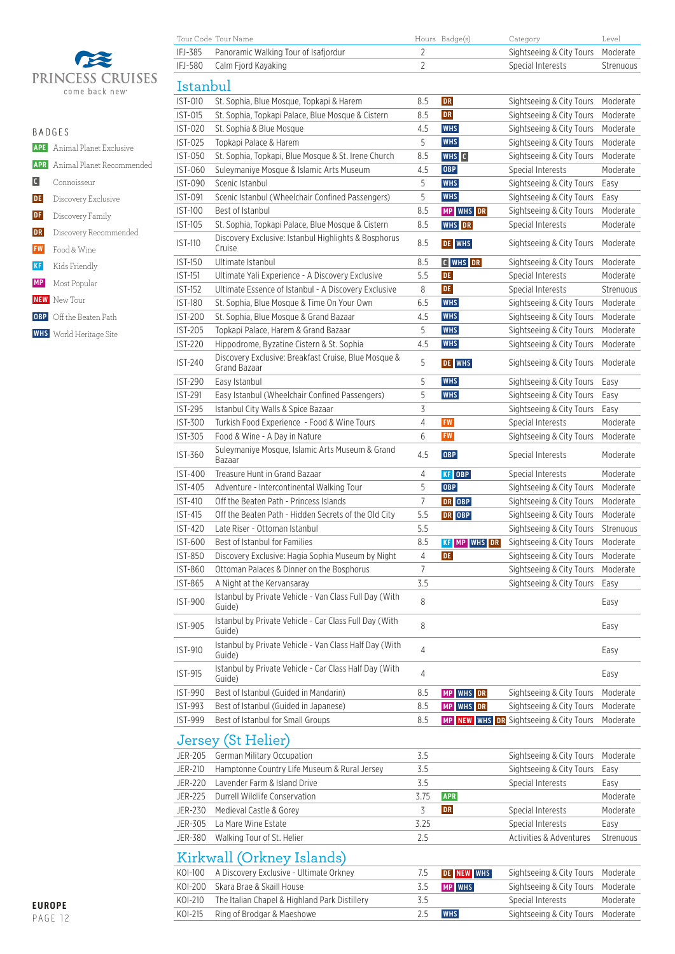

| $B$ $A$ $D$ $G$ $F$ $S$ |                                      |
|-------------------------|--------------------------------------|
|                         | <b>APE</b> Animal Planet Exclusive   |
|                         | <b>APR</b> Animal Planet Recommended |
| $\mathbf{C}$            | Connoisseur                          |
| <b>DE</b>               | Discovery Exclusive                  |
| DF                      | Discovery Family                     |
| DR                      | Discovery Recommended                |
| <b>FW</b>               | Food & Wine                          |
| <b>KF</b>               | Kids Friendly                        |
|                         | <b>MP</b> Most Popular               |
|                         | <b>NEW</b> New Tour                  |
|                         | <b>OBP</b> Off the Beaten Path       |
|                         | <b>WHS</b> World Heritage Site       |
|                         |                                      |

| IFJ-385        | Panoramic Walking Tour of Isafjordur                             | $\overline{2}$ |                     | Sightseeing & City Tours               | Moderate  |
|----------------|------------------------------------------------------------------|----------------|---------------------|----------------------------------------|-----------|
| IFJ-580        | Calm Fjord Kayaking                                              | $\overline{2}$ |                     | Special Interests                      | Strenuous |
| Istanbul       |                                                                  |                |                     |                                        |           |
|                |                                                                  |                |                     |                                        |           |
| IST-010        | St. Sophia, Blue Mosque, Topkapi & Harem                         | 8.5            | <b>DR</b>           | Sightseeing & City Tours               | Moderate  |
| IST-015        | St. Sophia, Topkapi Palace, Blue Mosque & Cistern                | 8.5            | <b>DR</b>           | Sightseeing & City Tours               | Moderate  |
| <b>IST-020</b> | St. Sophia & Blue Mosque                                         | 4.5            | <b>WHS</b>          | Sightseeing & City Tours               | Moderate  |
| IST-025        | Topkapi Palace & Harem                                           | 5              | <b>WHS</b>          | Sightseeing & City Tours               | Moderate  |
| <b>IST-050</b> | St. Sophia, Topkapi, Blue Mosque & St. Irene Church              | 8.5            | WHS C               | Sightseeing & City Tours               | Moderate  |
| <b>IST-060</b> | Suleymaniye Mosque & Islamic Arts Museum                         | 4.5            | OBP                 | Special Interests                      | Moderate  |
| <b>IST-090</b> | Scenic Istanbul                                                  | 5              | <b>WHS</b>          | Sightseeing & City Tours               | Easy      |
| IST-091        | Scenic Istanbul (Wheelchair Confined Passengers)                 | 5              | <b>WHS</b>          | Sightseeing & City Tours               | Easy      |
| <b>IST-100</b> | Best of Istanbul                                                 | 8.5            | MP WHS DR           | Sightseeing & City Tours               | Moderate  |
| IST-105        | St. Sophia, Topkapi Palace, Blue Mosque & Cistern                | 8.5            | <b>WHS</b> DR       | Special Interests                      | Moderate  |
| <b>IST-110</b> | Discovery Exclusive: Istanbul Highlights & Bosphorus             | 8.5            | DE WHS              | Sightseeing & City Tours               | Moderate  |
|                | Cruise                                                           |                |                     |                                        |           |
| <b>IST-150</b> | Ultimate Istanbul                                                | 8.5            | C WHS DR            | Sightseeing & City Tours               | Moderate  |
| <b>IST-151</b> | Ultimate Yali Experience - A Discovery Exclusive                 | 5.5            | <b>DE</b>           | Special Interests                      | Moderate  |
| <b>IST-152</b> | Ultimate Essence of Istanbul - A Discovery Exclusive             | 8              | <b>DE</b>           | Special Interests                      | Strenuous |
| <b>IST-180</b> | St. Sophia, Blue Mosque & Time On Your Own                       | 6.5            | <b>WHS</b>          | Sightseeing & City Tours               | Moderate  |
| <b>IST-200</b> | St. Sophia, Blue Mosque & Grand Bazaar                           | 4.5            | <b>WHS</b>          | Sightseeing & City Tours               | Moderate  |
| <b>IST-205</b> | Topkapi Palace, Harem & Grand Bazaar                             | 5              | <b>WHS</b>          | Sightseeing & City Tours               | Moderate  |
| <b>IST-220</b> | Hippodrome, Byzatine Cistern & St. Sophia                        | 4.5            | <b>WHS</b>          | Sightseeing & City Tours               | Moderate  |
| <b>IST-240</b> | Discovery Exclusive: Breakfast Cruise, Blue Mosque &             | 5              | DE WHS              | Sightseeing & City Tours               | Moderate  |
|                | Grand Bazaar                                                     |                |                     |                                        |           |
| <b>IST-290</b> | Easy Istanbul                                                    | 5              | <b>WHS</b>          | Sightseeing & City Tours               | Easy      |
| <b>IST-291</b> | Easy Istanbul (Wheelchair Confined Passengers)                   | 5              | <b>WHS</b>          | Sightseeing & City Tours               | Easy      |
| <b>IST-295</b> | Istanbul City Walls & Spice Bazaar                               | 3              |                     | Sightseeing & City Tours               | Easy      |
| <b>IST-300</b> | Turkish Food Experience - Food & Wine Tours                      | 4              | <b>FW</b>           | Special Interests                      | Moderate  |
| IST-305        | Food & Wine - A Day in Nature                                    | 6              | ${\sf FW}$          | Sightseeing & City Tours               | Moderate  |
| IST-360        | Suleymaniye Mosque, Islamic Arts Museum & Grand<br>Bazaar        | 4.5            | <b>OBP</b>          | Special Interests                      | Moderate  |
| <b>IST-400</b> | Treasure Hunt in Grand Bazaar                                    | 4              | KF OBP              | Special Interests                      | Moderate  |
| <b>IST-405</b> | Adventure - Intercontinental Walking Tour                        | 5              | <b>OBP</b>          | Sightseeing & City Tours               | Moderate  |
| <b>IST-410</b> | Off the Beaten Path - Princess Islands                           | 7              | DR OBP              | Sightseeing & City Tours               | Moderate  |
| <b>IST-415</b> | Off the Beaten Path - Hidden Secrets of the Old City             | 5.5            | DR OBP              | Sightseeing & City Tours               | Moderate  |
| <b>IST-420</b> | Late Riser - Ottoman Istanbul                                    | 5.5            |                     | Sightseeing & City Tours               | Strenuous |
| IST-600        | Best of Istanbul for Families                                    | 8.5            | <b>KF MP WHS DR</b> | Sightseeing & City Tours               | Moderate  |
| IST-850        | Discovery Exclusive: Hagia Sophia Museum by Night                | 4              | DE                  | Sightseeing & City Tours               | Moderate  |
| <b>IST-860</b> | Ottoman Palaces & Dinner on the Bosphorus                        | 7              |                     | Sightseeing & City Tours               | Moderate  |
| IST-865        | A Night at the Kervansaray                                       | 3.5            |                     | Sightseeing & City Tours               | Easy      |
| <b>IST-900</b> | Istanbul by Private Vehicle - Van Class Full Day (With           | 8              |                     |                                        | Easy      |
|                | Guide)                                                           |                |                     |                                        |           |
| IST-905        | Istanbul by Private Vehicle - Car Class Full Day (With<br>Guide) | 8              |                     |                                        | Easy      |
| <b>IST-910</b> | Istanbul by Private Vehicle - Van Class Half Day (With<br>Guide) | $\overline{4}$ |                     |                                        | Easy      |
| IST-915        | Istanbul by Private Vehicle - Car Class Half Day (With<br>Guide) | 4              |                     |                                        | Easy      |
| <b>IST-990</b> | Best of Istanbul (Guided in Mandarin)                            | 8.5            | MP WHS DR           | Sightseeing & City Tours               | Moderate  |
| <b>IST-993</b> | Best of Istanbul (Guided in Japanese)                            | 8.5            | MP WHS DR           | Sightseeing & City Tours               | Moderate  |
| <b>IST-999</b> | Best of Istanbul for Small Groups                                | 8.5            |                     | MP NEW WHS DR Sightseeing & City Tours | Moderate  |
|                | Jersey (St Helier)                                               |                |                     |                                        |           |
| JER-205        | <b>German Military Occupation</b>                                | 3.5            |                     | Sightseeing & City Tours               | Moderate  |
| <b>JER-210</b> | Hamptonne Country Life Museum & Rural Jersey                     | 3.5            |                     | Sightseeing & City Tours               |           |
| <b>JER-220</b> | Lavender Farm & Island Drive                                     | 3.5            |                     | Special Interests                      | Easy      |
|                | Durrell Wildlife Conservation                                    |                | <b>APR</b>          |                                        | Easy      |
| <b>JER-225</b> |                                                                  | 3.75           |                     |                                        | Moderate  |
| JER-230        | Medieval Castle & Gorey                                          | 3              | DR                  | Special Interests                      | Moderate  |
| JER-305        | La Mare Wine Estate                                              | 3.25           |                     | Special Interests                      | Easy      |
| JER-380        | Walking Tour of St. Helier                                       | 2.5            |                     | Activities & Adventures                | Strenuous |
|                | Kirkwall (Orkney Islands)                                        |                |                     |                                        |           |
| KOI-100        | A Discovery Exclusive - Ultimate Orkney                          | 7.5            | DE NEW WHS          | Sightseeing & City Tours               | Moderate  |
| KOI-200        | Skara Brae & Skaill House                                        | 3.5            | MP WHS              | Sightseeing & City Tours               | Moderate  |
| KOI-210        | The Italian Chapel & Highland Park Distillery                    | 3.5            |                     | Special Interests                      | Moderate  |
|                |                                                                  |                |                     |                                        |           |

KOI-215 Ring of Brodgar & Maeshowe 2.5 **WHS** Sightseeing & City Tours Moderate

 $\begin{tabular}{lllllllll} \multicolumn{3}{l}{{\small\textbf{Four Code Tour Name}}} & \multicolumn{3}{l}{{\small\textbf{FourS Badge(s)}}} & \multicolumn{3}{l}{{\small\textbf{Category}}} & \multicolumn{3}{l}{{\small\textbf{Level Badge(s)}}} \end{tabular}$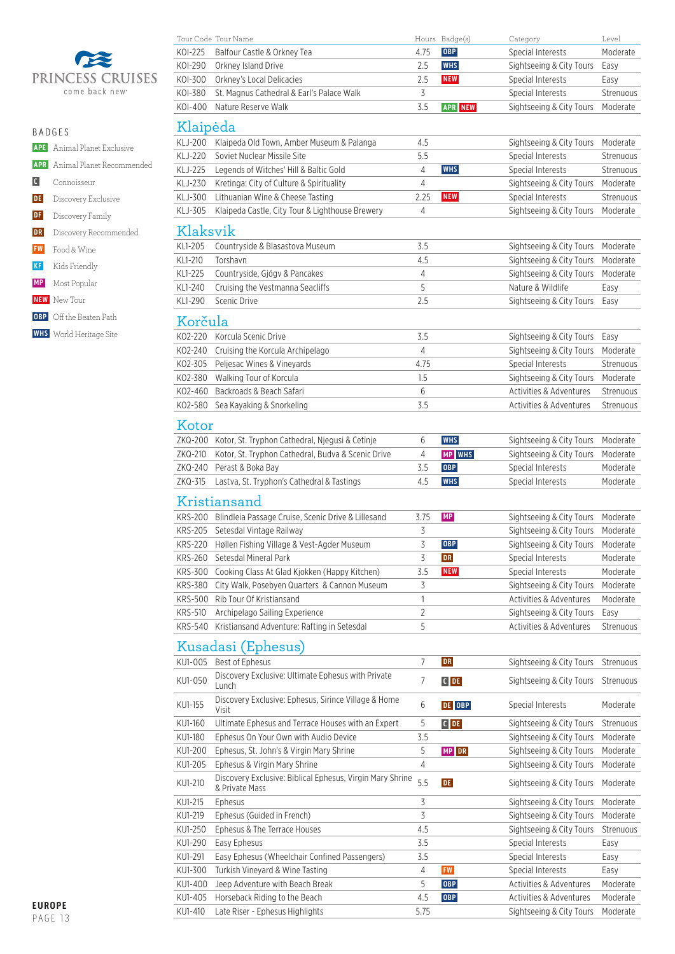

|                | <b>APE</b> Animal Planet Exclusive   |
|----------------|--------------------------------------|
|                | <b>APR</b> Animal Planet Recommended |
| $\overline{C}$ | Connoisseur                          |
|                | <b>DE</b> Discovery Exclusive        |
| DF             | Discovery Family                     |
| DR             | Discovery Recommended                |
|                | <b>FW</b> Food & Wine                |
|                | <b>KF</b> Kids Friendly              |
|                | <b>MP</b> Most Popular               |
|                | <b>NEW</b> New Tour                  |
|                | OBP Off the Beaten Path              |

 **WHS** World Heritage Site

|                | Tour Code Tour Name                                           |              | Hours Badge(s) | Category                 | Level     |
|----------------|---------------------------------------------------------------|--------------|----------------|--------------------------|-----------|
| KOI-225        | Balfour Castle & Orkney Tea                                   | 4.75         | <b>OBP</b>     | Special Interests        | Moderate  |
| KOI-290        | Orkney Island Drive                                           | 2.5          | <b>WHS</b>     | Sightseeing & City Tours | Easy      |
| K0I-300        | Orkney's Local Delicacies                                     | 2.5          | <b>NEW</b>     | Special Interests        | Easy      |
| K0I-380        | St. Magnus Cathedral & Earl's Palace Walk                     | 3            |                | Special Interests        | Strenuous |
| K0I-400        | Nature Reserve Walk                                           | 3.5          | <b>APR NEW</b> | Sightseeing & City Tours | Moderate  |
| Klaipėda       |                                                               |              |                |                          |           |
| KLJ-200        | Klaipeda Old Town, Amber Museum & Palanga                     | 4.5          |                | Sightseeing & City Tours | Moderate  |
| KLJ-220        | Soviet Nuclear Missile Site                                   | 5.5          |                | Special Interests        | Strenuous |
| <b>KLJ-225</b> | Legends of Witches' Hill & Baltic Gold                        | 4            | <b>WHS</b>     | Special Interests        | Strenuous |
| KLJ-230        | Kretinga: City of Culture & Spirituality                      | 4            |                | Sightseeing & City Tours | Moderate  |
| KLJ-300        | Lithuanian Wine & Cheese Tasting                              | 2.25         | <b>NEW</b>     | Special Interests        | Strenuous |
| KLJ-305        | Klaipeda Castle, City Tour & Lighthouse Brewery               | 4            |                | Sightseeing & City Tours | Moderate  |
| Klaksvik       |                                                               |              |                |                          |           |
| KL1-205        | Countryside & Blasastova Museum                               | 3.5          |                | Sightseeing & City Tours | Moderate  |
| KL1-210        | Torshavn                                                      | 4.5          |                | Sightseeing & City Tours | Moderate  |
| KL1-225        | Countryside, Gjógv & Pancakes                                 | 4            |                | Sightseeing & City Tours | Moderate  |
| KL1-240        | Cruising the Vestmanna Seacliffs                              | 5            |                | Nature & Wildlife        | Easy      |
| KL1-290        | Scenic Drive                                                  | 2.5          |                | Sightseeing & City Tours |           |
|                |                                                               |              |                |                          | Easy      |
| Korčula        |                                                               |              |                |                          |           |
| KO2-220        | Korcula Scenic Drive                                          | 3.5          |                | Sightseeing & City Tours | Easy      |
| KO2-240        | Cruising the Korcula Archipelago                              | 4            |                | Sightseeing & City Tours | Moderate  |
| KO2-305        | Peljesac Wines & Vineyards                                    | 4.75         |                | Special Interests        | Strenuous |
| KO2-380        | Walking Tour of Korcula                                       | 1.5          |                | Sightseeing & City Tours | Moderate  |
| KO2-460        | Backroads & Beach Safari                                      | 6            |                | Activities & Adventures  | Strenuous |
| KO2-580        | Sea Kayaking & Snorkeling                                     | 3.5          |                | Activities & Adventures  | Strenuous |
| Kotor          |                                                               |              |                |                          |           |
|                | ZKQ-200 Kotor, St. Tryphon Cathedral, Njegusi & Cetinje       | 6            | <b>WHS</b>     | Sightseeing & City Tours | Moderate  |
| ZKQ-210        | Kotor, St. Tryphon Cathedral, Budva & Scenic Drive            | 4            | <b>MP WHS</b>  | Sightseeing & City Tours | Moderate  |
| ZKQ-240        | Perast & Boka Bay                                             | 3.5          | <b>OBP</b>     | Special Interests        | Moderate  |
| ZKQ-315        | Lastva, St. Tryphon's Cathedral & Tastings                    | 4.5          | <b>WHS</b>     | Special Interests        | Moderate  |
|                |                                                               |              |                |                          |           |
|                | Kristiansand                                                  |              |                |                          |           |
| KRS-200        | Blindleia Passage Cruise, Scenic Drive & Lillesand            | 3.75         | MP             | Sightseeing & City Tours | Moderate  |
|                | KRS-205 Setesdal Vintage Railway                              | 3            |                | Sightseeing & City Tours | Moderate  |
| KRS-220        | Høllen Fishing Village & Vest-Agder Museum                    | 3            | <b>OBP</b>     | Sightseeing & City Tours | Moderate  |
| <b>KRS-260</b> | Setesdal Mineral Park                                         | 3            | <b>DR</b>      | Special Interests        | Moderate  |
| KRS-300        | Cooking Class At Glad Kjokken (Happy Kitchen)                 | 3.5          | <b>NEW</b>     | Special Interests        | Moderate  |
| <b>KRS-380</b> | City Walk, Posebyen Quarters & Cannon Museum                  | 3            |                | Sightseeing & City Tours | Moderate  |
| <b>KRS-500</b> | Rib Tour Of Kristiansand                                      | $\mathbf{1}$ |                | Activities & Adventures  | Moderate  |
| <b>KRS-510</b> | Archipelago Sailing Experience                                | 2            |                | Sightseeing & City Tours | Easy      |
| <b>KRS-540</b> | Kristiansand Adventure: Rafting in Setesdal                   | 5            |                | Activities & Adventures  | Strenuous |
|                | Kusadasi (Ephesus)                                            |              |                |                          |           |
| KU1-005        | Best of Ephesus                                               | 7            | DR             | Sightseeing & City Tours | Strenuous |
| KU1-050        | Discovery Exclusive: Ultimate Ephesus with Private<br>Lunch   | 7            | $C$ DE         | Sightseeing & City Tours | Strenuous |
| KU1-155        | Discovery Exclusive: Ephesus, Sirince Village & Home<br>Visit | 6            | DE OBP         | Special Interests        | Moderate  |
| KU1-160        | Ultimate Ephesus and Terrace Houses with an Expert            | 5            | $C$ DE         | Sightseeing & City Tours | Strenuous |
| KU1-180        | Ephesus On Your Own with Audio Device                         | 3.5          |                | Sightseeing & City Tours | Moderate  |
| KU1-200        | Ephesus, St. John's & Virgin Mary Shrine                      | 5            | MP DR          | Sightseeing & City Tours | Moderate  |
| KU1-205        | Ephesus & Virgin Mary Shrine                                  | 4            |                | Sightseeing & City Tours | Moderate  |
|                | Discovery Exclusive: Biblical Ephesus, Virgin Mary Shrine     | 5.5          |                |                          |           |
| KU1-210        | & Private Mass                                                |              | DE             | Sightseeing & City Tours | Moderate  |

KU1-215 Ephesus 3 Sightseeing & City Tours Moderate KU1-219 Ephesus (Guided in French) 3 3 Sightseeing & City Tours Moderate KU1-250 Ephesus & The Terrace Houses 4.5 Sightseeing & City Tours Strenuous KU1-290 Easy Ephesus **3.5** Special Interests Easy KU1-291 Easy Ephesus (Wheelchair Confined Passengers) 3.5 Special Interests Easy KU1-300 Turkish Vineyard & Wine Tasting **1988 12 Special Interests Fasy** Easy KU1-400 Jeep Adventure with Beach Break 5 OBP Activities & Adventures Moderate KU1-405 Horseback Riding to the Beach **4.5 OBP** Activities & Adventures Moderate KU1-410 Late Riser - Ephesus Highlights 5.75 Sightseeing & City Tours Moderate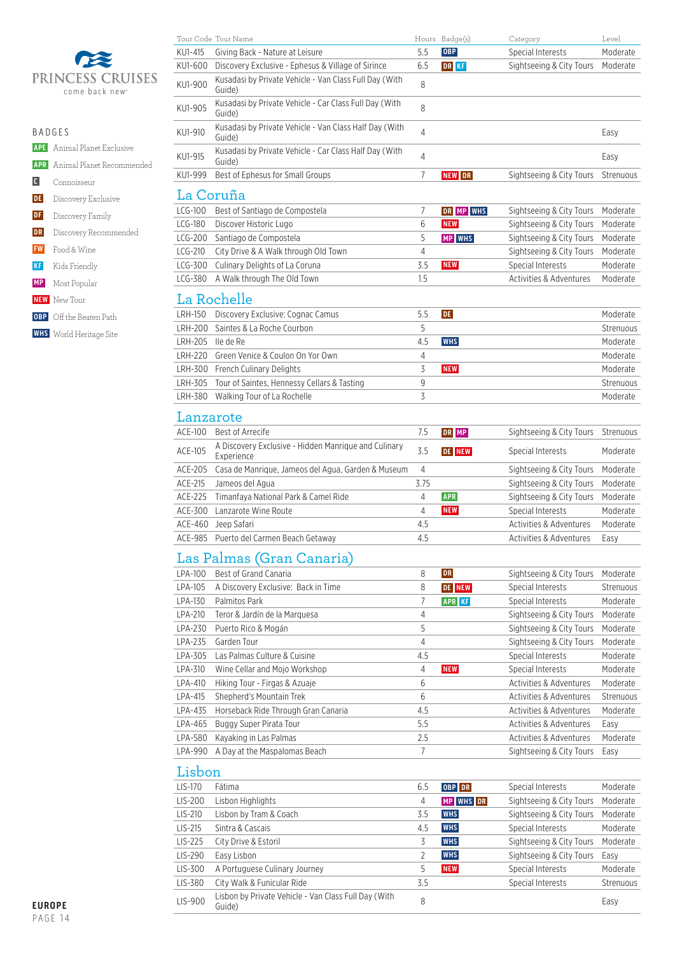

| PRINCESS CRUISES<br>come back new <sup>®</sup>                                   | KU1-900        | Kusadasi by Private Vehicle - Van Class Full Day (With<br>Guide) | 8   |            |                          |           |
|----------------------------------------------------------------------------------|----------------|------------------------------------------------------------------|-----|------------|--------------------------|-----------|
|                                                                                  | KU1-905        | Kusadasi by Private Vehicle - Car Class Full Day (With<br>Guide) | 8   |            |                          |           |
| <b>BADGES</b>                                                                    | KU1-910        | Kusadasi by Private Vehicle - Van Class Half Day (With<br>Guide) | 4   |            |                          | Easy      |
| Animal Planet Exclusive<br><b>APE</b><br><b>APR</b><br>Animal Planet Recommended | KU1-915        | Kusadasi by Private Vehicle - Car Class Half Day (With<br>Guide) | 4   |            |                          | Easy      |
| $\blacksquare$<br>Connoisseur                                                    | KU1-999        | Best of Ephesus for Small Groups                                 |     | NEW DR     | Sightseeing & City Tours | Strenuous |
| DE<br>Discovery Exclusive                                                        |                | La Coruña                                                        |     |            |                          |           |
| DF<br>Discovery Family                                                           | $LCG-100$      | Best of Santiago de Compostela                                   |     | DR MP WHS  | Sightseeing & City Tours | Moderate  |
|                                                                                  | $LCG-180$      | Discover Historic Lugo                                           | 6   | <b>NEW</b> | Sightseeing & City Tours | Moderate  |
| DR<br>Discovery Recommended                                                      | $LCG-200$      | Santiago de Compostela                                           | 5   | MP WHS     | Sightseeing & City Tours | Moderate  |
| FW<br>Food & Wine                                                                | $LCG-210$      | City Drive & A Walk through Old Town                             | 4   |            | Sightseeing & City Tours | Moderate  |
| KF<br>Kids Friendly                                                              | LCG-300        | Culinary Delights of La Coruna                                   | 3.5 | <b>NEW</b> | Special Interests        | Moderate  |
| <b>MP</b><br>Most Popular                                                        | LCG-380        | A Walk through The Old Town                                      | 1.5 |            | Activities & Adventures  | Moderate  |
| <b>NEW</b> New Tour                                                              |                | La Rochelle                                                      |     |            |                          |           |
| Off the Beaten Path<br><b>OBP</b>                                                | LRH-150        | Discovery Exclusive: Cognac Camus                                | 5.5 | DE         |                          | Moderate  |
| <b>WHS</b> World Heritage Site                                                   | LRH-200        | Saintes & La Roche Courbon                                       | 5   |            |                          | Strenuous |
|                                                                                  | <b>LRH-205</b> | lle de Re                                                        | 4.5 | <b>WHS</b> |                          | Moderate  |
|                                                                                  | <b>LRH-220</b> | Green Venice & Coulon On Yor Own                                 | 4   |            |                          | Moderate  |
|                                                                                  | LRH-300        | <b>French Culinary Delights</b>                                  | 3   | <b>NEW</b> |                          | Moderate  |
|                                                                                  | LRH-305        | Tour of Saintes, Hennessy Cellars & Tasting                      | 9   |            |                          | Strenuous |

| Lanzarote |                                                                    |      |               |                          |           |
|-----------|--------------------------------------------------------------------|------|---------------|--------------------------|-----------|
| $ACF-100$ | Best of Arrecife                                                   | 7.5  | DR MP         | Sightseeing & City Tours | Strenuous |
| ACE-105   | A Discovery Exclusive - Hidden Manrique and Culinary<br>Experience | 3.5  | <b>DE NEW</b> | Special Interests        | Moderate  |
| ACE-205   | Casa de Manrique, Jameos del Agua, Garden & Museum                 | 4    |               | Sightseeing & City Tours | Moderate  |
| ACE-215   | Jameos del Agua                                                    | 3.75 |               | Sightseeing & City Tours | Moderate  |
| ACE-225   | Timanfaya National Park & Camel Ride                               | 4    | <b>APR</b>    | Sightseeing & City Tours | Moderate  |
| ACE-300   | Lanzarote Wine Route                                               | 4    | <b>NEW</b>    | Special Interests        | Moderate  |
| ACE-460   | Jeep Safari                                                        | 4.5  |               | Activities & Adventures  | Moderate  |
|           | ACE-985 Puerto del Carmen Beach Getaway                            | 4.5  |               | Activities & Adventures  | Easy      |

LRH-380 Walking Tour of La Rochelle 2008 12 Moderate 3 Moderate 3 Moderate

Tour Code Tour Name **Hours Badge(s)** Category Level KU1-415 Giving Back - Nature at Leisure 5.5 **OBP** Special Interests Moderate KU1-600 Discovery Exclusive - Ephesus & Village of Sirince 6.5 **DR KF** Sightseeing & City Tours Moderate

# Las Palmas (Gran Canaria)

| LPA-100   | Best of Grand Canaria               | 8   | <b>DR</b>     | Sightseeing & City Tours | Moderate  |
|-----------|-------------------------------------|-----|---------------|--------------------------|-----------|
| LPA-105   | A Discovery Exclusive: Back in Time | 8   | <b>DE NEW</b> | Special Interests        | Strenuous |
| $LPA-130$ | Palmitos Park                       |     | <b>APR KF</b> | Special Interests        | Moderate  |
| LPA-210   | Teror & Jardín de la Marquesa       | 4   |               | Sightseeing & City Tours | Moderate  |
| LPA-230   | Puerto Rico & Mogán                 | 5   |               | Sightseeing & City Tours | Moderate  |
| LPA-235   | Garden Tour                         | 4   |               | Sightseeing & City Tours | Moderate  |
| LPA-305   | Las Palmas Culture & Cuisine        | 4.5 |               | Special Interests        | Moderate  |
| LPA-310   | Wine Cellar and Mojo Workshop       | 4   | <b>NEW</b>    | Special Interests        | Moderate  |
| LPA-410   | Hiking Tour - Firgas & Azuaje       | 6   |               | Activities & Adventures  | Moderate  |
| LPA-415   | Shepherd's Mountain Trek            | 6   |               | Activities & Adventures  | Strenuous |
| LPA-435   | Horseback Ride Through Gran Canaria | 4.5 |               | Activities & Adventures  | Moderate  |
| LPA-465   | Buggy Super Pirata Tour             | 5.5 |               | Activities & Adventures  | Easy      |
| LPA-580   | Kayaking in Las Palmas              | 2.5 |               | Activities & Adventures  | Moderate  |
| LPA-990   | A Day at the Maspalomas Beach       | 7   |               | Sightseeing & City Tours | Easy      |
|           |                                     |     |               |                          |           |

#### Lisbon

| LIS-170 | Fátima                                                         | 6.5 | <b>OBP</b> DR | Special Interests        | Moderate  |
|---------|----------------------------------------------------------------|-----|---------------|--------------------------|-----------|
| LIS-200 | Lisbon Highlights                                              | 4   | MP WHS DR     | Sightseeing & City Tours | Moderate  |
| LIS-210 | Lisbon by Tram & Coach                                         | 3.5 | <b>WHS</b>    | Sightseeing & City Tours | Moderate  |
| LIS-215 | Sintra & Cascais                                               | 4.5 | <b>WHS</b>    | Special Interests        | Moderate  |
| LIS-225 | City Drive & Estoril                                           |     | <b>WHS</b>    | Sightseeing & City Tours | Moderate  |
| LIS-290 | Easy Lisbon                                                    |     | <b>WHS</b>    | Sightseeing & City Tours | Easy      |
| LIS-300 | A Portuguese Culinary Journey                                  | 5   | <b>NEW</b>    | Special Interests        | Moderate  |
| LIS-380 | City Walk & Funicular Ride                                     | 3.5 |               | Special Interests        | Strenuous |
| LIS-900 | Lisbon by Private Vehicle - Van Class Full Day (With<br>Guide) | 8   |               |                          | Easy      |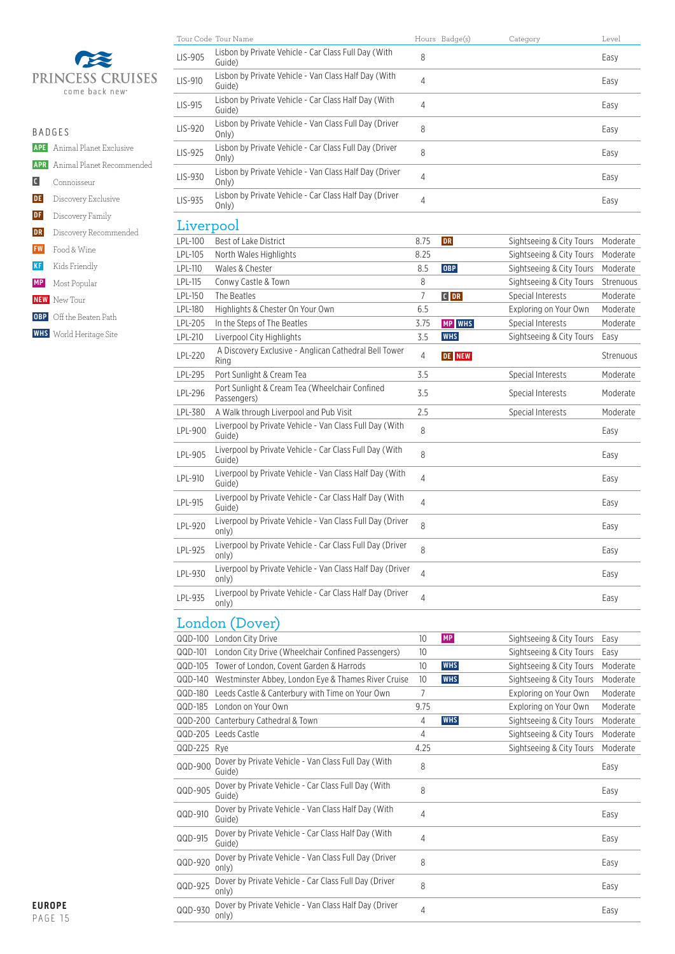

| R A D G F S |                                      |
|-------------|--------------------------------------|
|             | <b>APE</b> Animal Planet Exclusive   |
|             | <b>APR</b> Animal Planet Recommended |
|             | C Connoisseur                        |
|             | <b>DE</b> Discovery Exclusive        |
|             | <b>DF</b> Discovery Family           |
|             | <b>DR</b> Discovery Recommended      |
|             | <b>FW</b> Food & Wine                |
|             | KF Kids Friendly                     |
|             | <b>MP</b> Most Popular               |
|             | <b>NEW</b> New Tour                  |
|             | <b>OBP</b> Off the Beaten Path       |
|             | <b>WHS</b> World Heritage Site       |

|           | Tour Code Tour Name                                                |                | Hours Badge(s) | Category                 | Level     |
|-----------|--------------------------------------------------------------------|----------------|----------------|--------------------------|-----------|
| LIS-905   | Lisbon by Private Vehicle - Car Class Full Day (With<br>Guide)     | 8              |                |                          | Easy      |
| LIS-910   | Lisbon by Private Vehicle - Van Class Half Day (With<br>Guide)     | $\overline{4}$ |                |                          | Easy      |
| LIS-915   | Lisbon by Private Vehicle - Car Class Half Day (With<br>Guide)     | $\overline{4}$ |                |                          | Easy      |
| $LIS-920$ | Lisbon by Private Vehicle - Van Class Full Day (Driver<br>Only)    | 8              |                |                          | Easy      |
| LIS-925   | Lisbon by Private Vehicle - Car Class Full Day (Driver<br>Only)    | 8              |                |                          | Easy      |
| $LIS-930$ | Lisbon by Private Vehicle - Van Class Half Day (Driver<br>Only)    | $\overline{4}$ |                |                          | Easy      |
| LIS-935   | Lisbon by Private Vehicle - Car Class Half Day (Driver<br>On v)    | $\overline{4}$ |                |                          | Easy      |
| Liverpool |                                                                    |                |                |                          |           |
| LPL-100   | Best of Lake District                                              | 8.75           | <b>DR</b>      | Sightseeing & City Tours | Moderate  |
| LPL-105   | North Wales Highlights                                             | 8.25           |                | Sightseeing & City Tours | Moderate  |
| LPL-110   | Wales & Chester                                                    | 8.5            | <b>OBP</b>     | Sightseeing & City Tours | Moderate  |
| LPL-115   | Conwy Castle & Town                                                | 8              |                | Sightseeing & City Tours | Strenuous |
| LPL-150   | The Beatles                                                        | $\overline{7}$ | $C$ DR         | Special Interests        | Moderate  |
| LPL-180   | Highlights & Chester On Your Own                                   | 6.5            |                | Exploring on Your Own    | Moderate  |
| LPL-205   | In the Steps of The Beatles                                        | 3.75           | <b>MP</b> WHS  | Special Interests        | Moderate  |
| LPL-210   | Liverpool City Highlights                                          | 3.5            | <b>WHS</b>     | Sightseeing & City Tours | Easy      |
| LPL-220   | A Discovery Exclusive - Anglican Cathedral Bell Tower<br>Ring      | $\overline{4}$ | <b>DE NEW</b>  |                          | Strenuous |
| LPL-295   | Port Sunlight & Cream Tea                                          | 3.5            |                | Special Interests        | Moderate  |
| LPL-296   | Port Sunlight & Cream Tea (Wheelchair Confined<br>Passengers)      | 3.5            |                | Special Interests        | Moderate  |
| LPL-380   | A Walk through Liverpool and Pub Visit                             | 2.5            |                | Special Interests        | Moderate  |
| LPL-900   | Liverpool by Private Vehicle - Van Class Full Day (With<br>Guide)  | 8              |                |                          | Easy      |
| LPL-905   | Liverpool by Private Vehicle - Car Class Full Day (With<br>Guide)  | 8              |                |                          | Easy      |
| LPL-910   | Liverpool by Private Vehicle - Van Class Half Day (With<br>Guide)  | $\overline{4}$ |                |                          | Easy      |
| LPL-915   | Liverpool by Private Vehicle - Car Class Half Day (With<br>Guide)  | $\overline{4}$ |                |                          | Easy      |
| LPL-920   | Liverpool by Private Vehicle - Van Class Full Day (Driver<br>only) | 8              |                |                          | Easy      |
| LPL-925   | Liverpool by Private Vehicle - Car Class Full Day (Driver<br>only) | 8              |                |                          | Easy      |
| LPL-930   | Liverpool by Private Vehicle - Van Class Half Day (Driver<br>only) | $\overline{4}$ |                |                          | Easy      |
| LPL-935   | Liverpool by Private Vehicle - Car Class Half Day (Driver<br>only) | $\overline{4}$ |                |                          | Easy      |

## London (Dover)

| $QQD-100$ | London City Drive                                              | 10 <sup>°</sup>  | <b>MP</b>  | Sightseeing & City Tours | Easy     |
|-----------|----------------------------------------------------------------|------------------|------------|--------------------------|----------|
| QQD-101   | London City Drive (Wheelchair Confined Passengers)             | 10 <sup>10</sup> |            | Sightseeing & City Tours | Easy     |
| QQD-105   | Tower of London, Covent Garden & Harrods                       | 10               | <b>WHS</b> | Sightseeing & City Tours | Moderate |
| $QQD-140$ | Westminster Abbey, London Eye & Thames River Cruise            | 10               | <b>WHS</b> | Sightseeing & City Tours | Moderate |
| $QQD-18Q$ | Leeds Castle & Canterbury with Time on Your Own                | 7                |            | Exploring on Your Own    | Moderate |
| QQD-185   | London on Your Own                                             | 9.75             |            | Exploring on Your Own    | Moderate |
|           | QQD-200 Canterbury Cathedral & Town                            | 4                | <b>WHS</b> | Sightseeing & City Tours | Moderate |
| $QQD-205$ | Leeds Castle                                                   | 4                |            | Sightseeing & City Tours | Moderate |
| QQD-225   | Rve                                                            | 4.25             |            | Sightseeing & City Tours | Moderate |
| QQD-900   | Dover by Private Vehicle - Van Class Full Day (With<br>Guide)  | 8                |            |                          | Easy     |
| QQD-905   | Dover by Private Vehicle - Car Class Full Day (With<br>Guide)  | 8                |            |                          | Easy     |
| QQD-910   | Dover by Private Vehicle - Van Class Half Day (With<br>Guide)  | 4                |            |                          | Easy     |
| QQD-915   | Dover by Private Vehicle - Car Class Half Day (With<br>Guide)  | 4                |            |                          | Easy     |
| QQD-920   | Dover by Private Vehicle - Van Class Full Day (Driver<br>only) | 8                |            |                          | Easy     |
| QQD-925   | Dover by Private Vehicle - Car Class Full Day (Driver<br>only) | 8                |            |                          | Easy     |
| QQD-930   | Dover by Private Vehicle - Van Class Half Day (Driver<br>only) | 4                |            |                          | Easy     |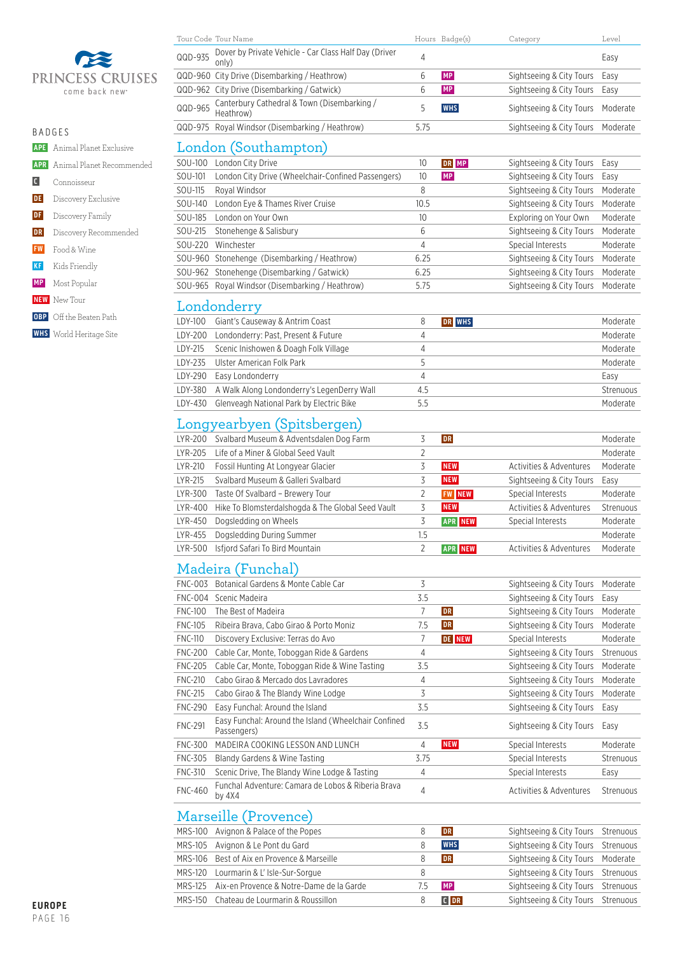

| <b>BADGES</b> |                                      |
|---------------|--------------------------------------|
|               | <b>APE</b> Animal Planet Exclusive   |
|               | <b>APR</b> Animal Planet Recommended |
| C             | Connoisseur                          |
|               | DE Discovery Exclusive               |
|               | <b>DF</b> Discovery Family           |
|               | <b>DR</b> Discovery Recommended      |
| <b>FW</b>     | Food & Wine                          |
| KF            | Kids Friendly                        |
|               | <b>MP</b> Most Popular               |
|               | <b>NEW</b> New Tour                  |
|               | <b>OBP</b> Off the Beaten Path       |
|               | <b>WHS</b> World Heritage Site       |
|               |                                      |
|               |                                      |

|                | Tour Code Tour Name                                                 |                | Hours Badge(s) | Category                 | Level     |
|----------------|---------------------------------------------------------------------|----------------|----------------|--------------------------|-----------|
| QQD-935        | Dover by Private Vehicle - Car Class Half Day (Driver<br>only)      | 4              |                |                          | Easy      |
|                | QQD-960 City Drive (Disembarking / Heathrow)                        | 6              | MP             | Sightseeing & City Tours | Easy      |
|                | QQD-962 City Drive (Disembarking / Gatwick)                         | 6              | <b>MP</b>      | Sightseeing & City Tours | Easy      |
| QQD-965        | Canterbury Cathedral & Town (Disembarking /<br>Heathrow)            | 5              | <b>WHS</b>     | Sightseeing & City Tours | Moderate  |
|                | QQD-975 Royal Windsor (Disembarking / Heathrow)                     | 5.75           |                | Sightseeing & City Tours | Moderate  |
|                | London (Southampton)                                                |                |                |                          |           |
| SOU-100        | London City Drive                                                   | 10             | DR MP          | Sightseeing & City Tours | Easy      |
| SOU-101        | London City Drive (Wheelchair-Confined Passengers)                  | 10             | MP             | Sightseeing & City Tours | Easy      |
| SOU-115        | Roval Windsor                                                       | 8              |                | Sightseeing & City Tours | Moderate  |
| SOU-140        | London Eye & Thames River Cruise                                    | 10.5           |                | Sightseeing & City Tours | Moderate  |
| SOU-185        | London on Your Own                                                  | 10             |                | Exploring on Your Own    | Moderate  |
| SOU-215        | Stonehenge & Salisbury                                              | 6              |                | Sightseeing & City Tours | Moderate  |
| SOU-220        | Winchester                                                          | 4              |                | Special Interests        | Moderate  |
|                | SOU-960 Stonehenge (Disembarking / Heathrow)                        | 6.25           |                | Sightseeing & City Tours | Moderate  |
|                | SOU-962 Stonehenge (Disembarking / Gatwick)                         | 6.25           |                | Sightseeing & City Tours | Moderate  |
|                | SOU-965 Royal Windsor (Disembarking / Heathrow)                     | 5.75           |                | Sightseeing & City Tours | Moderate  |
|                |                                                                     |                |                |                          |           |
|                | Londonderry                                                         |                |                |                          |           |
| LDY-100        | Giant's Causeway & Antrim Coast                                     | 8              | DR WHS         |                          | Moderate  |
| LDY-200        | Londonderry: Past, Present & Future                                 | 4              |                |                          | Moderate  |
| LDY-215        | Scenic Inishowen & Doagh Folk Village                               | 4              |                |                          | Moderate  |
| LDY-235        | Ulster American Folk Park                                           | 5              |                |                          | Moderate  |
| LDY-290        | Easy Londonderry                                                    | $\overline{4}$ |                |                          | Easy      |
| LDY-380        | A Walk Along Londonderry's LegenDerry Wall                          | 4.5            |                |                          | Strenuous |
| LDY-430        | Glenveagh National Park by Electric Bike                            | 5.5            |                |                          | Moderate  |
|                | Longyearbyen (Spitsbergen)                                          |                |                |                          |           |
| LYR-200        | Svalbard Museum & Adventsdalen Dog Farm                             | 3              | <b>DR</b>      |                          | Moderate  |
| LYR-205        | Life of a Miner & Global Seed Vault                                 | 2              |                |                          | Moderate  |
| LYR-210        | Fossil Hunting At Longyear Glacier                                  | 3              | <b>NEW</b>     | Activities & Adventures  | Moderate  |
| LYR-215        | Svalbard Museum & Galleri Svalbard                                  | 3              | <b>NEW</b>     | Sightseeing & City Tours | Easy      |
| LYR-300        | Taste Of Svalbard - Brewery Tour                                    | $\overline{2}$ | <b>FW NEW</b>  | Special Interests        | Moderate  |
| LYR-400        | Hike To Blomsterdalshogda & The Global Seed Vault                   | 3              | <b>NEW</b>     | Activities & Adventures  | Strenuous |
| LYR-450        | Dogsledding on Wheels                                               | 3              | <b>APR NEW</b> | Special Interests        | Moderate  |
| LYR-455        | Dogsledding During Summer                                           | 1.5            |                |                          | Moderate  |
| LYR-500        | Isfjord Safari To Bird Mountain                                     | 2              | <b>APR NEW</b> | Activities & Adventures  | Moderate  |
|                | Madeira (Funchal)                                                   |                |                |                          |           |
|                | FNC-003 Botanical Gardens & Monte Cable Car                         | 3              |                | Sightseeing & City Tours | Moderate  |
|                | FNC-004 Scenic Madeira                                              | 3.5            |                | Sightseeing & City Tours | Easy      |
| <b>FNC-100</b> | The Best of Madeira                                                 | 7              | DR             | Sightseeing & City Tours | Moderate  |
| <b>FNC-105</b> | Ribeira Brava, Cabo Girao & Porto Moniz                             | 7.5            | <b>DR</b>      | Sightseeing & City Tours | Moderate  |
| <b>FNC-110</b> | Discovery Exclusive: Terras do Avo                                  | 7              | <b>DE NEW</b>  | Special Interests        | Moderate  |
| <b>FNC-200</b> | Cable Car, Monte, Toboggan Ride & Gardens                           | 4              |                | Sightseeing & City Tours | Strenuous |
| <b>FNC-205</b> | Cable Car, Monte, Toboggan Ride & Wine Tasting                      | 3.5            |                | Sightseeing & City Tours | Moderate  |
| <b>FNC-210</b> | Cabo Girao & Mercado dos Lavradores                                 | 4              |                | Sightseeing & City Tours | Moderate  |
| <b>FNC-215</b> | Cabo Girao & The Blandy Wine Lodge                                  | 3              |                | Sightseeing & City Tours | Moderate  |
| <b>FNC-290</b> | Easy Funchal: Around the Island                                     | 3.5            |                | Sightseeing & City Tours | Easy      |
| <b>FNC-291</b> | Easy Funchal: Around the Island (Wheelchair Confined<br>Passengers) | 3.5            |                | Sightseeing & City Tours | Easy      |
| <b>FNC-300</b> | MADEIRA COOKING LESSON AND LUNCH                                    | 4              | <b>NEW</b>     | Special Interests        | Moderate  |
| <b>FNC-305</b> | Blandy Gardens & Wine Tasting                                       | 3.75           |                | Special Interests        | Strenuous |
| <b>FNC-310</b> | Scenic Drive, The Blandy Wine Lodge & Tasting                       | 4              |                | Special Interests        | Easy      |
|                | Funchal Adventure: Camara de Lobos & Riberia Brava                  |                |                |                          |           |
| <b>FNC-460</b> | by 4X4                                                              | 4              |                | Activities & Adventures  | Strenuous |
|                | Marseille (Provence)                                                |                |                |                          |           |

#### Marseille (Provence)

| MRS-100 Avignon & Palace of the Popes            | DR          | Sightseeing & City Tours Strenuous |  |
|--------------------------------------------------|-------------|------------------------------------|--|
| MRS-105 Avignon & Le Pont du Gard                | <b>WHS</b>  | Sightseeing & City Tours Strenuous |  |
| MRS-106 Best of Aix en Provence & Marseille      | <b>DR</b>   | Sightseeing & City Tours Moderate  |  |
| MRS-120 Lourmarin & L' Isle-Sur-Sorgue           |             | Sightseeing & City Tours Strenuous |  |
| MRS-125 Aix-en Provence & Notre-Dame de la Garde | <b>MP</b>   | Sightseeing & City Tours Strenuous |  |
| MRS-150 Chateau de Lourmarin & Roussillon        | <b>CIDR</b> | Sightseeing & City Tours Strenuous |  |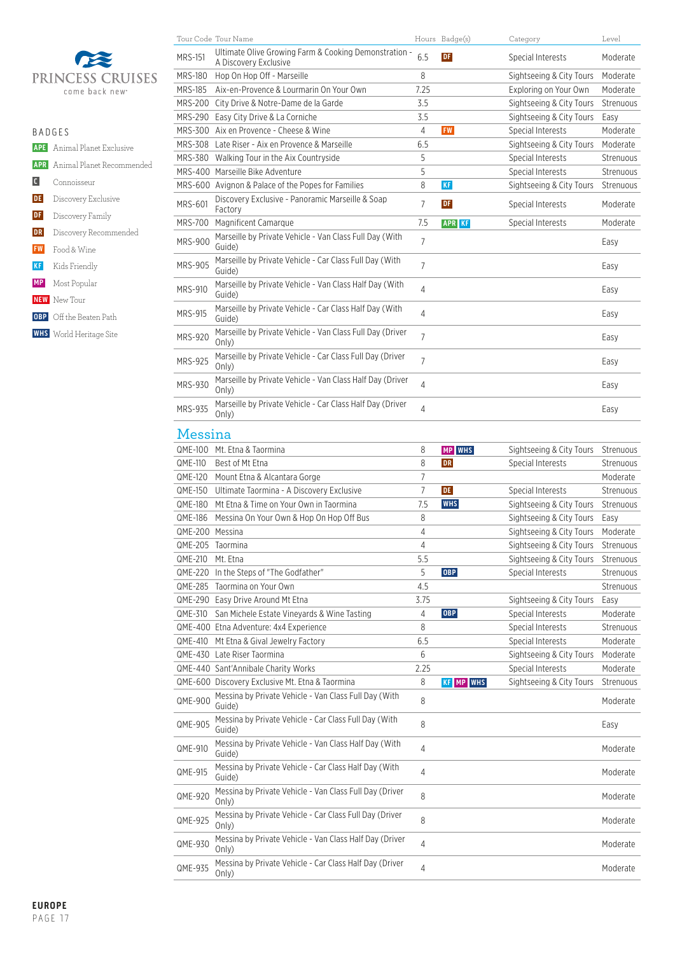

|                | R A D G F S                          |
|----------------|--------------------------------------|
|                | <b>APE</b> Animal Planet Exclusive   |
|                | <b>APR</b> Animal Planet Recommended |
| $\blacksquare$ | Connoisseur                          |
|                | <b>DE</b> Discovery Exclusive        |
| DF             | Discovery Family                     |
| DR             | Discovery Recommended                |
| <b>FW</b>      | Food & Wine                          |
| <b>KF</b>      | Kids Friendly                        |
| <b>MP</b>      | Most Popular                         |
|                | <b>NEW</b> New Tour                  |
|                | <b>OBP</b> Off the Beaten Path       |
|                | <b>WHS</b> World Heritage Site       |

|                    | Tour Code Tour Name                                                                                      |                | Hours Badge(s)   | Category                                             | Level                 |
|--------------------|----------------------------------------------------------------------------------------------------------|----------------|------------------|------------------------------------------------------|-----------------------|
| <b>MRS-151</b>     | Ultimate Olive Growing Farm & Cooking Demonstration -<br>A Discovery Exclusive                           | 6.5            | <b>DF</b>        | Special Interests                                    | Moderate              |
| MRS-180            | Hop On Hop Off - Marseille                                                                               | 8              |                  | Sightseeing & City Tours                             | Moderate              |
| MRS-185            | Aix-en-Provence & Lourmarin On Your Own                                                                  | 7.25           |                  | Exploring on Your Own                                | Moderate              |
|                    | MRS-200 City Drive & Notre-Dame de la Garde                                                              | 3.5            |                  | Sightseeing & City Tours                             | Strenuous             |
|                    | MRS-290 Easy City Drive & La Corniche                                                                    | 3.5            |                  | Sightseeing & City Tours                             | Easy                  |
|                    | MRS-300 Aix en Provence - Cheese & Wine                                                                  | $\overline{4}$ | <b>FW</b>        | Special Interests                                    | Moderate              |
|                    | MRS-308 Late Riser - Aix en Provence & Marseille                                                         | 6.5            |                  | Sightseeing & City Tours                             | Moderate              |
|                    | MRS-380 Walking Tour in the Aix Countryside                                                              | 5              |                  | Special Interests                                    | Strenuous             |
|                    | MRS-400 Marseille Bike Adventure                                                                         | 5              |                  | Special Interests                                    | Strenuous             |
|                    | MRS-600 Avignon & Palace of the Popes for Families                                                       | 8              | <b>KF</b>        | Sightseeing & City Tours                             | Strenuous             |
| <b>MRS-601</b>     | Discovery Exclusive - Panoramic Marseille & Soap<br>Factory                                              | $\overline{7}$ | DF               | Special Interests                                    | Moderate              |
| MRS-700            | Magnificent Camarque                                                                                     | 7.5            | <b>APR KF</b>    | <b>Special Interests</b>                             | Moderate              |
| <b>MRS-900</b>     | Marseille by Private Vehicle - Van Class Full Day (With<br>Guide)                                        | 7              |                  |                                                      | Easy                  |
| <b>MRS-905</b>     | Marseille by Private Vehicle - Car Class Full Day (With<br>Guide)                                        | $\overline{7}$ |                  |                                                      | Easy                  |
| <b>MRS-910</b>     | Marseille by Private Vehicle - Van Class Half Day (With<br>Guide)                                        | 4              |                  |                                                      | Easy                  |
| <b>MRS-915</b>     | Marseille by Private Vehicle - Car Class Half Day (With<br>Guide)                                        | 4              |                  |                                                      | Easy                  |
| <b>MRS-920</b>     | Marseille by Private Vehicle - Van Class Full Day (Driver<br>Only)                                       | $\overline{7}$ |                  |                                                      | Easy                  |
| MRS-925            | Marseille by Private Vehicle - Car Class Full Day (Driver<br>Only)                                       | $\overline{7}$ |                  |                                                      | Easy                  |
| <b>MRS-930</b>     | Marseille by Private Vehicle - Van Class Half Day (Driver<br>Only)                                       | 4              |                  |                                                      | Easy                  |
| MRS-935            | Marseille by Private Vehicle - Car Class Half Day (Driver<br>Only)                                       | 4              |                  |                                                      | Easy                  |
| Messina            |                                                                                                          |                |                  |                                                      |                       |
|                    | QME-100 Mt. Etna & Taormina                                                                              | 8              | <b>MP</b> WHS    | Sightseeing & City Tours                             | Strenuous             |
| QME-110            | Best of Mt Etna                                                                                          | 8              | <b>DR</b>        | <b>Special Interests</b>                             | Strenuous             |
|                    |                                                                                                          |                |                  |                                                      |                       |
|                    | QME-120 Mount Etna & Alcantara Gorge                                                                     | 7              |                  |                                                      | Moderate              |
|                    | QME-150 Ultimate Taormina - A Discovery Exclusive                                                        | $\overline{7}$ | DE               | Special Interests                                    | Strenuous             |
|                    | QME-180 Mt Etna & Time on Your Own in Taormina                                                           | 7.5            | <b>WHS</b>       |                                                      | Strenuous             |
|                    | QME-186 Messina On Your Own & Hop On Hop Off Bus                                                         | 8              |                  | Sightseeing & City Tours<br>Sightseeing & City Tours | Easy                  |
| QME-200 Messina    |                                                                                                          | 4              |                  | Sightseeing & City Tours                             | Moderate              |
|                    |                                                                                                          |                |                  |                                                      |                       |
| QME-205 Taormina   |                                                                                                          | 4<br>5.5       |                  | Sightseeing & City Tours                             | Strenuous             |
| QME-210 Mt. Etna   |                                                                                                          | 5              | OBP              | Sightseeing & City Tours                             | Strenuous             |
|                    | QME-220 In the Steps of "The Godfather"<br>QME-285 Taormina on Your Own                                  |                |                  | Special Interests                                    | Strenuous             |
|                    |                                                                                                          | 4.5<br>3.75    |                  |                                                      | Strenuous             |
|                    | QME-290 Easy Drive Around Mt Etna                                                                        |                |                  | Sightseeing & City Tours                             | Easy                  |
|                    | QME-310 San Michele Estate Vineyards & Wine Tasting                                                      | 4<br>8         | OBP              | Special Interests                                    | Moderate              |
|                    | QME-400 Etna Adventure: 4x4 Experience                                                                   |                |                  | Special Interests                                    | Strenuous             |
|                    | QME-410 Mt Etna & Gival Jewelry Factory                                                                  | 6.5<br>6       |                  | Special Interests                                    | Moderate              |
|                    | QME-430 Late Riser Taormina                                                                              |                |                  | Sightseeing & City Tours                             | Moderate              |
|                    | QME-440 Sant'Annibale Charity Works                                                                      | 2.25           |                  | Special Interests                                    | Moderate              |
|                    | QME-600 Discovery Exclusive Mt. Etna & Taormina<br>Messina by Private Vehicle - Van Class Full Day (With | 8<br>8         | <b>KF MP WHS</b> | Sightseeing & City Tours                             | Strenuous<br>Moderate |
| QME-900<br>QME-905 | Guide)<br>Messina by Private Vehicle - Car Class Full Day (With<br>Guide)                                | 8              |                  |                                                      | Easy                  |
| QME-910            | Messina by Private Vehicle - Van Class Half Day (With<br>Guide)                                          | 4              |                  |                                                      | Moderate              |
| QME-915            | Messina by Private Vehicle - Car Class Half Day (With<br>Guide)                                          | 4              |                  |                                                      | Moderate              |

QME-925 Messina by Private Vehicle - Car Class Full Day (Driver Only) <sup>8</sup> Moderate

QME-930 Messina by Private Vehicle - Van Class Half Day (Driver Only) <sup>4</sup> Moderate

QME-935 Messina by Private Vehicle - Car Class Half Day (Driver Only) <sup>4</sup> Moderate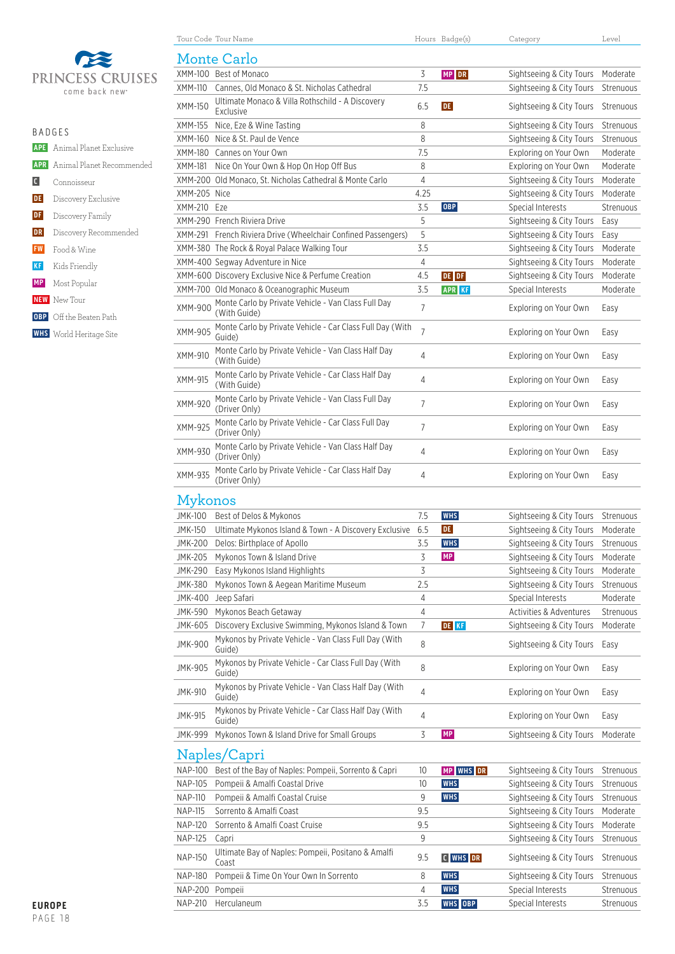

|                | $R$ $A$ $D$ $G$ $F$ $S$              |
|----------------|--------------------------------------|
|                | <b>APE</b> Animal Planet Exclusive   |
|                | <b>APR</b> Animal Planet Recommended |
| $\overline{c}$ | Connoisseur                          |
| <b>DE</b>      | Discovery Exclusive                  |
| <b>DF</b>      | Discovery Family                     |
| <b>DR</b>      | Discovery Recommended                |
|                | <b>FW</b> Food & Wine                |
|                | <b>KF</b> Kids Friendly              |
|                | <b>MP</b> Most Popular               |
|                | <b>NEW</b> New Tour                  |
|                | <b>OBP</b> Off the Beaten Path       |
|                | <b>WHS</b> World Heritage Site       |
|                |                                      |

|                | Tour Code Tour Name                                                  |                | Hours Badge(s) | Category                 | Level     |
|----------------|----------------------------------------------------------------------|----------------|----------------|--------------------------|-----------|
|                | Monte Carlo                                                          |                |                |                          |           |
|                | XMM-100 Best of Monaco                                               | 3              | MP DR          | Sightseeing & City Tours | Moderate  |
| XMM-110        | Cannes, Old Monaco & St. Nicholas Cathedral                          | 7.5            |                | Sightseeing & City Tours | Strenuous |
|                | Ultimate Monaco & Villa Rothschild - A Discovery                     |                |                |                          |           |
| XMM-150        | Exclusive                                                            | 6.5            | <b>DE</b>      | Sightseeing & City Tours | Strenuous |
| XMM-155        | Nice, Eze & Wine Tasting                                             | 8              |                | Sightseeing & City Tours | Strenuous |
| XMM-160        | Nice & St. Paul de Vence                                             | 8              |                | Sightseeing & City Tours | Strenuous |
|                | XMM-180 Cannes on Your Own                                           | 7.5            |                | Exploring on Your Own    | Moderate  |
| XMM-181        | Nice On Your Own & Hop On Hop Off Bus                                | 8              |                | Exploring on Your Own    | Moderate  |
|                | XMM-200 Old Monaco, St. Nicholas Cathedral & Monte Carlo             | 4              |                | Sightseeing & City Tours | Moderate  |
| XMM-205 Nice   |                                                                      | 4.25           |                | Sightseeing & City Tours | Moderate  |
| XMM-210 Eze    |                                                                      | 3.5            | <b>OBP</b>     | Special Interests        | Strenuous |
|                | XMM-290 French Riviera Drive                                         | 5              |                | Sightseeing & City Tours | Easy      |
|                | XMM-291 French Riviera Drive (Wheelchair Confined Passengers)        | 5              |                | Sightseeing & City Tours | Easy      |
|                | XMM-380 The Rock & Royal Palace Walking Tour                         | 3.5            |                | Sightseeing & City Tours | Moderate  |
|                | XMM-400 Segway Adventure in Nice                                     | 4              |                | Sightseeing & City Tours | Moderate  |
|                | XMM-600 Discovery Exclusive Nice & Perfume Creation                  | 4.5            | DE DF          | Sightseeing & City Tours | Moderate  |
|                | XMM-700 Old Monaco & Oceanographic Museum                            | 3.5            | <b>APR KF</b>  | Special Interests        | Moderate  |
| XMM-900        | Monte Carlo by Private Vehicle - Van Class Full Day<br>(With Guide)  | $\overline{7}$ |                | Exploring on Your Own    | Easy      |
| XMM-905        | Monte Carlo by Private Vehicle - Car Class Full Day (With<br>Guide)  | $\overline{7}$ |                | Exploring on Your Own    | Easy      |
| XMM-910        | Monte Carlo by Private Vehicle - Van Class Half Day<br>(With Guide)  | 4              |                | Exploring on Your Own    | Easy      |
| XMM-915        | Monte Carlo by Private Vehicle - Car Class Half Day<br>(With Guide)  | 4              |                | Exploring on Your Own    | Easy      |
| XMM-920        | Monte Carlo by Private Vehicle - Van Class Full Day<br>(Driver Only) | $\overline{7}$ |                | Exploring on Your Own    | Easy      |
| XMM-925        | Monte Carlo by Private Vehicle - Car Class Full Day<br>(Driver Only) | $\overline{7}$ |                | Exploring on Your Own    | Easy      |
| XMM-930        | Monte Carlo by Private Vehicle - Van Class Half Day<br>(Driver Only) | 4              |                | Exploring on Your Own    | Easy      |
| XMM-935        | Monte Carlo by Private Vehicle - Car Class Half Day<br>(Driver Only) | 4              |                | Exploring on Your Own    | Easy      |
| Mykonos        |                                                                      |                |                |                          |           |
| <b>JMK-100</b> | Best of Delos & Mykonos                                              | 7.5            | <b>WHS</b>     | Sightseeing & City Tours | Strenuous |
| <b>JMK-150</b> | Ultimate Mykonos Island & Town - A Discovery Exclusive               | 6.5            | DE             | Sightseeing & City Tours | Moderate  |
|                | JMK-200 Delos: Birthplace of Apollo                                  | 3.5            | <b>WHS</b>     | Sightseeing & City Tours | Strenuous |
| JMK-205        | Mykonos Town & Island Drive                                          | 3              | <b>MP</b>      | Sightseeing & City Tours | Moderate  |
| <b>JMK-290</b> | Easy Mykonos Island Highlights                                       | 3              |                | Sightseeing & City Tours | Moderate  |
| JMK-380        | Mykonos Town & Aegean Maritime Museum                                | 2.5            |                | Sightseeing & City Tours | Strenuous |
| <b>JMK-400</b> | Jeep Safari                                                          | 4              |                | Special Interests        | Moderate  |
| JMK-590        | Mykonos Beach Getaway                                                | 4              |                | Activities & Adventures  | Strenuous |
| JMK-605        | Discovery Exclusive Swimming, Mykonos Island & Town                  | $\overline{7}$ | DE KF          | Sightseeing & City Tours | Moderate  |
| <b>JMK-900</b> | Mykonos by Private Vehicle - Van Class Full Day (With<br>Guide)      | 8              |                | Sightseeing & City Tours | Easy      |
| <b>JMK-905</b> | Mykonos by Private Vehicle - Car Class Full Day (With<br>Guide)      | 8              |                | Exploring on Your Own    | Easy      |
| <b>JMK-910</b> | Mykonos by Private Vehicle - Van Class Half Day (With<br>Guide)      | 4              |                | Exploring on Your Own    | Easy      |
| <b>JMK-915</b> | Mykonos by Private Vehicle - Car Class Half Day (With<br>Guide)      | 4              |                | Exploring on Your Own    | Easy      |
| JMK-999        | Mykonos Town & Island Drive for Small Groups                         | 3              | MP             | Sightseeing & City Tours | Moderate  |
|                | Naples/Capri                                                         |                |                |                          |           |
| NAP-100        | Best of the Bay of Naples: Pompeii, Sorrento & Capri                 | 10             | MP WHS DR      | Sightseeing & City Tours | Strenuous |
| <b>NAP-105</b> | Pompeii & Amalfi Coastal Drive                                       | 10             | <b>WHS</b>     | Sightseeing & City Tours | Strenuous |
| <b>NAP-110</b> | Pompeii & Amalfi Coastal Cruise                                      | 9              | <b>WHS</b>     | Sightseeing & City Tours | Strenuous |
| <b>NAP-115</b> | Sorrento & Amalfi Coast                                              | 9.5            |                | Sightseeing & City Tours | Moderate  |
| <b>NAP-120</b> | Sorrento & Amalfi Coast Cruise                                       | 9.5            |                | Sightseeing & City Tours | Moderate  |

NAP-125 Capri 2008 Capri 9 Sightseeing & City Tours Strenuous

NAP-180 Pompeii & Time On Your Own In Sorrento **8 WHS** Sightseeing & City Tours Strenuous NAP-200 Pompeii **4 WHS** Special Interests Strenuous NAP-210 Herculaneum **1980 System Strenuous** 3.5 **WHS OBP** Special Interests Strenuous

9.5 C **WHS DR** Sightseeing & City Tours Strenuous

NAP-150 Ultimate Bay of Naples: Pompeii, Positano & Amalfi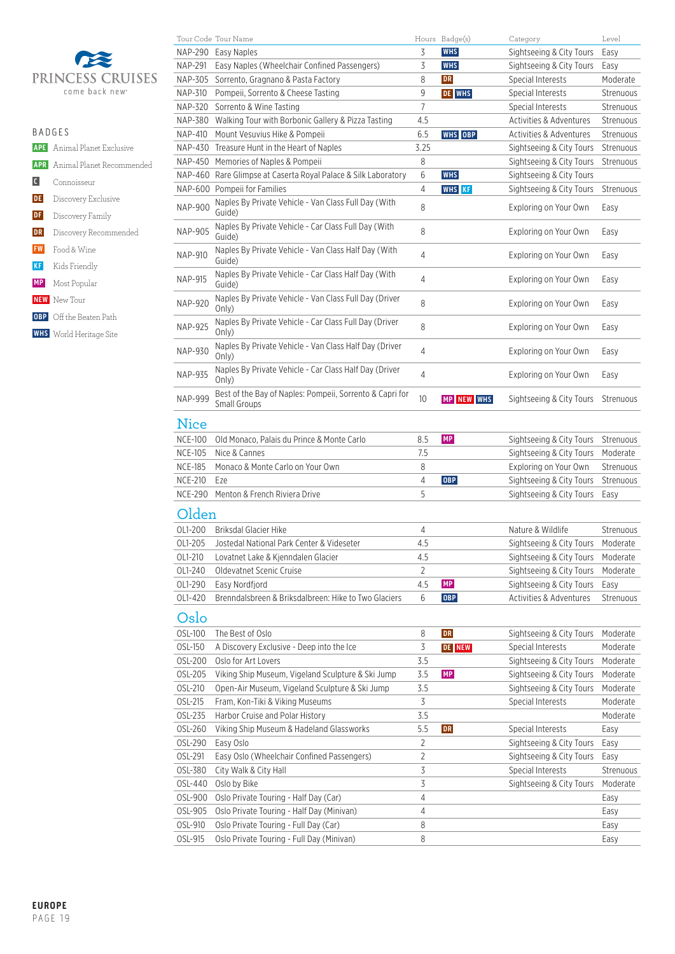

| <b>BADGES</b>         |                                      |
|-----------------------|--------------------------------------|
|                       | <b>APE</b> Animal Planet Exclusive   |
|                       | <b>APR</b> Animal Planet Recommended |
| $\lfloor$ C $\rfloor$ | Connoisseur                          |
| <b>DE</b>             | Discovery Exclusive                  |
| DF                    | Discovery Family                     |
| DR                    | Discovery Recommended                |
| <b>FW</b>             | Food & Wine                          |
| <b>KF</b>             | Kids Friendly                        |
|                       | <b>MP</b> Most Popular               |
|                       | <b>NEW</b> New Tour                  |
|                       | <b>OBP</b> Off the Beaten Path       |
|                       | <b>WHS</b> World Heritage Site       |
|                       |                                      |

|                | Tour Code Tour Name                                                      |      | Hours Badge(s) | Category                 | Level     |
|----------------|--------------------------------------------------------------------------|------|----------------|--------------------------|-----------|
| NAP-290        | Easy Naples                                                              | 3    | <b>WHS</b>     | Sightseeing & City Tours | Easy      |
| NAP-291        | Easy Naples (Wheelchair Confined Passengers)                             | 3    | <b>WHS</b>     | Sightseeing & City Tours | Easy      |
| NAP-305        | Sorrento, Gragnano & Pasta Factory                                       | 8    | ${\bf DR}$     | Special Interests        | Moderate  |
| NAP-310        | Pompeii, Sorrento & Cheese Tasting                                       | 9    | <b>DE WHS</b>  | <b>Special Interests</b> | Strenuous |
| <b>NAP-320</b> | Sorrento & Wine Tasting                                                  | 7    |                | Special Interests        | Strenuous |
| <b>NAP-380</b> | Walking Tour with Borbonic Gallery & Pizza Tasting                       | 4.5  |                | Activities & Adventures  | Strenuous |
| NAP-410        | Mount Vesuvius Hike & Pompeii                                            | 6.5  | WHS OBP        | Activities & Adventures  | Strenuous |
| NAP-430        | Treasure Hunt in the Heart of Naples                                     | 3.25 |                | Sightseeing & City Tours | Strenuous |
|                |                                                                          |      |                |                          |           |
| <b>NAP-450</b> | Memories of Naples & Pompeii                                             | 8    |                | Sightseeing & City Tours | Strenuous |
| NAP-460        | Rare Glimpse at Caserta Royal Palace & Silk Laboratory                   | 6    | <b>WHS</b>     | Sightseeing & City Tours |           |
|                | NAP-600 Pompeii for Families                                             | 4    | <b>WHS</b> KF  | Sightseeing & City Tours | Strenuous |
| <b>NAP-900</b> | Naples By Private Vehicle - Van Class Full Day (With<br>Guide)           | 8    |                | Exploring on Your Own    | Easy      |
| <b>NAP-905</b> | Naples By Private Vehicle - Car Class Full Day (With<br>Guide)           | 8    |                | Exploring on Your Own    | Easy      |
| <b>NAP-910</b> | Naples By Private Vehicle - Van Class Half Day (With<br>Guide)           | 4    |                | Exploring on Your Own    | Easy      |
| <b>NAP-915</b> | Naples By Private Vehicle - Car Class Half Day (With<br>Guide)           | 4    |                | Exploring on Your Own    | Easy      |
| <b>NAP-920</b> | Naples By Private Vehicle - Van Class Full Day (Driver<br>Only)          | 8    |                | Exploring on Your Own    | Easy      |
| <b>NAP-925</b> | Naples By Private Vehicle - Car Class Full Day (Driver<br>Only)          | 8    |                | Exploring on Your Own    | Easy      |
| <b>NAP-930</b> | Naples By Private Vehicle - Van Class Half Day (Driver<br>Only)          | 4    |                | Exploring on Your Own    | Easy      |
| <b>NAP-935</b> | Naples By Private Vehicle - Car Class Half Day (Driver<br>Only)          | 4    |                | Exploring on Your Own    | Easy      |
| <b>NAP-999</b> | Best of the Bay of Naples: Pompeii, Sorrento & Capri for<br>Small Groups | 10   | MP NEW WHS     | Sightseeing & City Tours | Strenuous |
| <b>Nice</b>    |                                                                          |      |                |                          |           |
| <b>NCE-100</b> | Old Monaco, Palais du Prince & Monte Carlo                               | 8.5  | MP             | Sightseeing & City Tours | Strenuous |
| <b>NCE-105</b> | Nice & Cannes                                                            | 7.5  |                | Sightseeing & City Tours | Moderate  |
| <b>NCE-185</b> | Monaco & Monte Carlo on Your Own                                         | 8    |                | Exploring on Your Own    | Strenuous |
| <b>NCE-210</b> | Eze                                                                      | 4    | <b>OBP</b>     | Sightseeing & City Tours | Strenuous |
| <b>NCE-290</b> | Menton & French Riviera Drive                                            | 5    |                | Sightseeing & City Tours | Easy      |
|                |                                                                          |      |                |                          |           |
| Olden          |                                                                          |      |                |                          |           |
| OL1-200        | <b>Briksdal Glacier Hike</b>                                             | 4    |                | Nature & Wildlife        | Strenuous |
| OL1-205        | Jostedal National Park Center & Videseter                                | 4.5  |                | Sightseeing & City Tours | Moderate  |
| OL1-210        | Lovatnet Lake & Kjenndalen Glacier                                       | 4.5  |                | Sightseeing & City Tours | Moderate  |
| OL1-240        | Oldevatnet Scenic Cruise                                                 | 2    |                | Sightseeing & City Tours | Moderate  |
| OL1-290        | Easy Nordfjord                                                           | 4.5  | MP             | Sightseeing & City Tours | Easy      |
|                | Brenndalsbreen & Briksdalbreen: Hike to Two Glaciers                     | 6    | 0BP            | Activities & Adventures  |           |
| OL1-420        |                                                                          |      |                |                          | Strenuous |
| Oslo           |                                                                          |      |                |                          |           |
| OSL-100        | The Best of Oslo                                                         | 8    | DR             | Sightseeing & City Tours | Moderate  |
| OSL-150        | A Discovery Exclusive - Deep into the Ice                                | 3    | <b>DE NEW</b>  | Special Interests        | Moderate  |
| OSL-200        | Oslo for Art Lovers                                                      | 3.5  |                | Sightseeing & City Tours | Moderate  |
| OSL-205        | Viking Ship Museum, Vigeland Sculpture & Ski Jump                        | 3.5  | MP             | Sightseeing & City Tours |           |
|                |                                                                          |      |                |                          | Moderate  |
| OSL-210        | Open-Air Museum, Vigeland Sculpture & Ski Jump                           | 3.5  |                | Sightseeing & City Tours | Moderate  |
| OSL-215        | Fram, Kon-Tiki & Viking Museums                                          | 3    |                | Special Interests        | Moderate  |
| OSL-235        | Harbor Cruise and Polar History                                          | 3.5  |                |                          | Moderate  |
| OSL-260        | Viking Ship Museum & Hadeland Glassworks                                 | 5.5  | <b>DR</b>      | Special Interests        | Easy      |
| OSL-290        | Easy Oslo                                                                | 2    |                | Sightseeing & City Tours | Easy      |
| OSL-291        | Easy Oslo (Wheelchair Confined Passengers)                               | 2    |                | Sightseeing & City Tours | Easy      |
| OSL-380        | City Walk & City Hall                                                    | 3    |                | Special Interests        | Strenuous |
| OSL-440        | Oslo by Bike                                                             | 3    |                | Sightseeing & City Tours | Moderate  |
| OSL-900        | Oslo Private Touring - Half Day (Car)                                    | 4    |                |                          | Easy      |
| OSL-905        | Oslo Private Touring - Half Day (Minivan)                                | 4    |                |                          | Easy      |
| OSL-910        | Oslo Private Touring - Full Day (Car)                                    | 8    |                |                          | Easy      |
| OSL-915        | Oslo Private Touring - Full Day (Minivan)                                | 8    |                |                          | Easy      |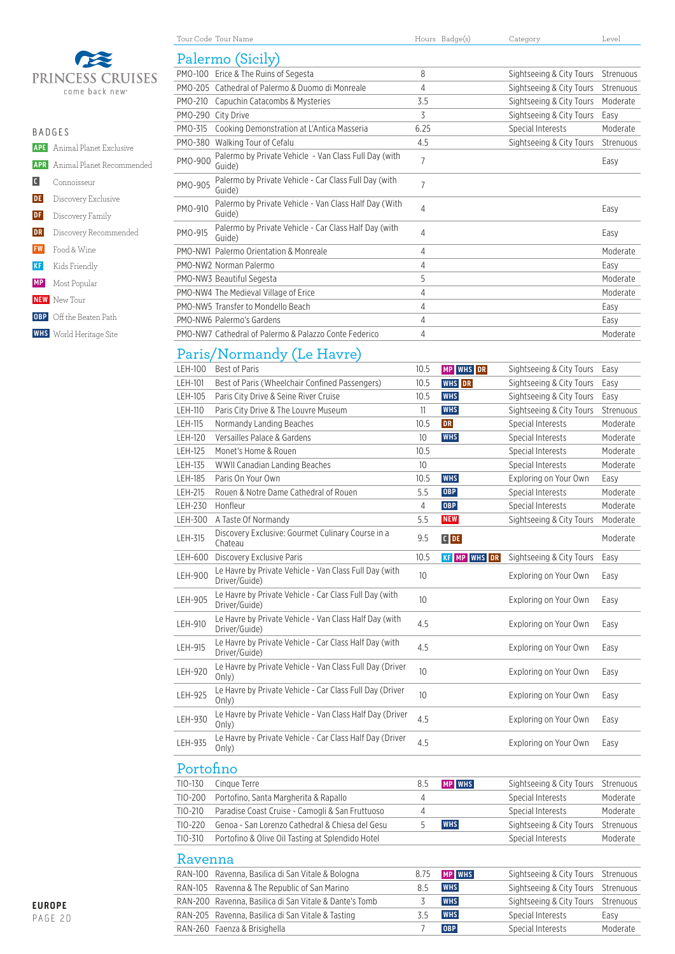

| <b>BADGES</b> |                                      |
|---------------|--------------------------------------|
|               | <b>APE</b> Animal Planet Exclusive   |
|               | <b>APR</b> Animal Planet Recommended |
|               | C Connoisseur                        |
|               | <b>DE</b> Discovery Exclusive        |
|               | <b>DF</b> Discovery Family           |
| DR            | Discovery Recommended                |
|               | <b>FW</b> Food & Wine                |
| KF            | Kids Friendly                        |
|               | <b>MP</b> Most Popular               |
|               | <b>NEW</b> New Tour                  |
|               | <b>OBP</b> Off the Beaten Path       |
|               | <b>WHS</b> World Heritage Site       |

|         | Palermo (Sicily)                                                |      |                          |           |
|---------|-----------------------------------------------------------------|------|--------------------------|-----------|
|         | PMO-100 Erice & The Ruins of Segesta                            | 8    | Sightseeing & City Tours | Strenuous |
|         | PMO-205 Cathedral of Palermo & Duomo di Monreale                | 4    | Sightseeing & City Tours | Strenuous |
| PMO-210 | Capuchin Catacombs & Mysteries                                  | 3.5  | Sightseeing & City Tours | Moderate  |
| PMO-290 | City Drive                                                      | 3    | Sightseeing & City Tours | Easy      |
| PMO-315 | Cooking Demonstration at L'Antica Masseria                      | 6.25 | Special Interests        | Moderate  |
| PMO-380 | Walking Tour of Cefalu                                          | 4.5  | Sightseeing & City Tours | Strenuous |
| PMO-900 | Palermo by Private Vehicle - Van Class Full Day (with<br>Guide) | 7    |                          | Easy      |
| PMO-905 | Palermo by Private Vehicle - Car Class Full Day (with<br>Guide) | 7    |                          |           |
| PMO-910 | Palermo by Private Vehicle - Van Class Half Day (With<br>Guide) | 4    |                          | Easy      |
| PMO-915 | Palermo by Private Vehicle - Car Class Half Day (with<br>Guide) | 4    |                          | Easy      |
|         | PMO-NW1 Palermo Orientation & Monreale                          | 4    |                          | Moderate  |
|         | PMO-NW2 Norman Palermo                                          | 4    |                          | Easy      |
|         | PMO-NW3 Beautiful Segesta                                       | 5    |                          | Moderate  |
|         | PMO-NW4 The Medieval Village of Erice                           | 4    |                          | Moderate  |
|         | PMO-NW5 Transfer to Mondello Beach                              | 4    |                          | Easy      |
|         | PMO-NW6 Palermo's Gardens                                       | 4    |                          | Easy      |

PMO-NW7 Cathedral of Palermo & Palazzo Conte Federico 4 Moderate

Tour Code Tour Name Tours Badge(s) Category Category Level

### Paris/Normandy (Le Havre)

| LEH-100        | <b>Best of Paris</b>                                                    | 10.5 | MP WHS DR           | Sightseeing & City Tours | Easy      |
|----------------|-------------------------------------------------------------------------|------|---------------------|--------------------------|-----------|
| LEH-101        | Best of Paris (Wheelchair Confined Passengers)                          | 10.5 | <b>WHS</b> DR       | Sightseeing & City Tours | Easy      |
| LEH-105        | Paris City Drive & Seine River Cruise                                   | 10.5 | <b>WHS</b>          | Sightseeing & City Tours | Easy      |
| LEH-110        | Paris City Drive & The Louvre Museum                                    | 11   | <b>WHS</b>          | Sightseeing & City Tours | Strenuous |
| LEH-115        | Normandy Landing Beaches                                                | 10.5 | <b>DR</b>           | Special Interests        | Moderate  |
| LEH-120        | Versailles Palace & Gardens                                             | 10   | <b>WHS</b>          | Special Interests        | Moderate  |
| <b>LEH-125</b> | Monet's Home & Rouen                                                    | 10.5 |                     | Special Interests        | Moderate  |
| LEH-135        | WWII Canadian Landing Beaches                                           | 10   |                     | Special Interests        | Moderate  |
| LEH-185        | Paris On Your Own                                                       | 10.5 | <b>WHS</b>          | Exploring on Your Own    | Easy      |
| LEH-215        | Rouen & Notre Dame Cathedral of Rouen                                   | 5.5  | <b>OBP</b>          | Special Interests        | Moderate  |
| <b>LEH-230</b> | Honfleur                                                                | 4    | <b>OBP</b>          | Special Interests        | Moderate  |
| LEH-300        | A Taste Of Normandy                                                     | 5.5  | <b>NEW</b>          | Sightseeing & City Tours | Moderate  |
| LEH-315        | Discovery Exclusive: Gourmet Culinary Course in a<br>Chateau            | 9.5  | $C$ DE              |                          | Moderate  |
| LEH-600        | <b>Discovery Exclusive Paris</b>                                        | 10.5 | <b>KF MP WHS DR</b> | Sightseeing & City Tours | Easy      |
| <b>LEH-900</b> | Le Havre by Private Vehicle - Van Class Full Day (with<br>Driver/Guide) | 10   |                     | Exploring on Your Own    | Easy      |
| <b>LEH-905</b> | Le Havre by Private Vehicle - Car Class Full Day (with<br>Driver/Guide) | 10   |                     | Exploring on Your Own    | Easy      |
| LEH-910        | Le Havre by Private Vehicle - Van Class Half Day (with<br>Driver/Guide) | 4.5  |                     | Exploring on Your Own    | Easy      |
| LEH-915        | Le Havre by Private Vehicle - Car Class Half Day (with<br>Driver/Guide) | 4.5  |                     | Exploring on Your Own    | Easy      |
| <b>LEH-920</b> | Le Havre by Private Vehicle - Van Class Full Day (Driver<br>Only)       | 10   |                     | Exploring on Your Own    | Easy      |
| LEH-925        | Le Havre by Private Vehicle - Car Class Full Day (Driver<br>Only)       | 10   |                     | Exploring on Your Own    | Easy      |
| LEH-930        | Le Havre by Private Vehicle - Van Class Half Day (Driver<br>Only)       | 4.5  |                     | Exploring on Your Own    | Easy      |
| LEH-935        | Le Havre by Private Vehicle - Car Class Half Day (Driver<br>Only)       | 4.5  |                     | Exploring on Your Own    | Easy      |
| Portofino      |                                                                         |      |                     |                          |           |

| TIO-130 | Cinque Terre                                     | 8.5  | <b>MP</b> WHS | Sightseeing & City Tours | Strenuous |  |
|---------|--------------------------------------------------|------|---------------|--------------------------|-----------|--|
| TIO-200 | Portofino, Santa Margherita & Rapallo            | 4    |               | Special Interests        | Moderate  |  |
| TIO-210 | Paradise Coast Cruise - Camogli & San Fruttuoso  | 4    |               | Special Interests        | Moderate  |  |
| TIO-220 | Genoa - San Lorenzo Cathedral & Chiesa del Gesu  |      | <b>WHS</b>    | Sightseeing & City Tours | Strenuous |  |
| TIO-310 | Portofino & Olive Oil Tasting at Splendido Hotel |      |               | Special Interests        | Moderate  |  |
| Ravenna |                                                  |      |               |                          |           |  |
| RAN-100 | Ravenna, Basilica di San Vitale & Bologna        | 8.75 | <b>MP WHS</b> | Sightseeing & City Tours | Strenuous |  |
| RAN-105 | Ravenna & The Republic of San Marino             | 85   | <b>WHS</b>    | Sightseeing & City Tours | Strenuous |  |

RAN-200 Ravenna, Basilica di San Vitale & Dante's Tomb 3 WHS Sightseeing & City Tours Strenuous RAN-205 Ravenna, Basilica di San Vitale & Tasting 3.5 WHS Special Interests Easy RAN-260 Faenza & Brisighella 7 **OBP** Special Interests Moderate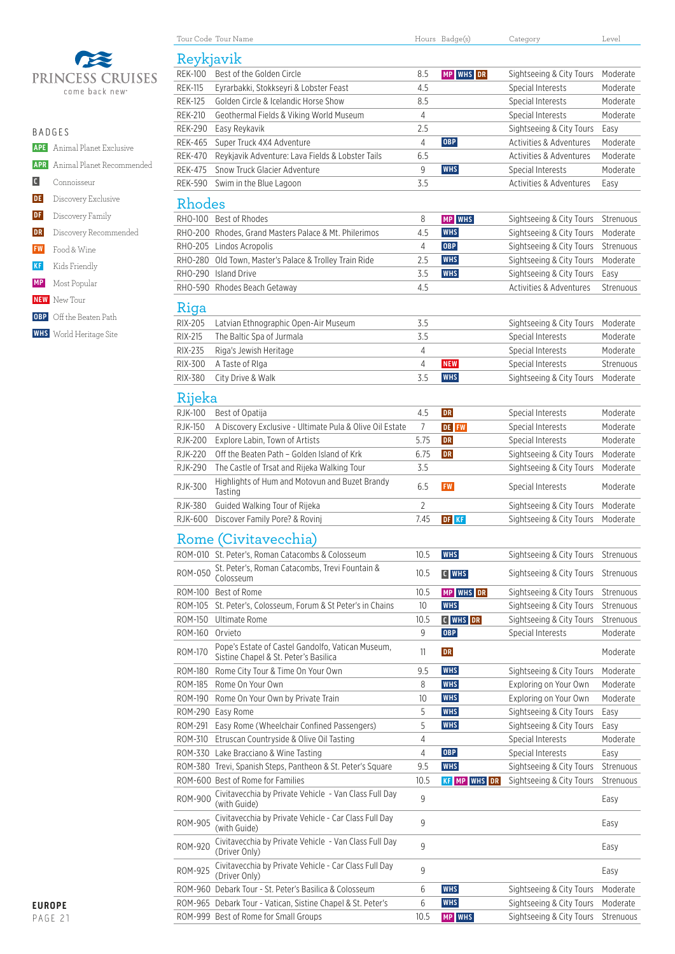

| ۹<br>٠<br>× |  |  |  |  |  |  |  |
|-------------|--|--|--|--|--|--|--|
|-------------|--|--|--|--|--|--|--|

|    | <b>APE</b> Animal Planet Exclusive   |
|----|--------------------------------------|
|    | <b>APR</b> Animal Planet Recommended |
|    | C Connoisseur                        |
|    | <b>DE</b> Discovery Exclusive        |
|    | <b>DF</b> Discovery Family           |
| DR | Discovery Recommended                |
|    | <b>FW</b> Food & Wine                |
| KF | Kids Friendly                        |
|    | <b>MP</b> Most Popular               |

- **NEW** New Tour
- **OBP** Off the Beaten Path
- **WHS** World Heritage Site

|                | Tour Code Tour Name                                                                        |                | Hours Badge(s)      | Category                 | Level     |
|----------------|--------------------------------------------------------------------------------------------|----------------|---------------------|--------------------------|-----------|
| Reykjavik      |                                                                                            |                |                     |                          |           |
| <b>REK-100</b> | Best of the Golden Circle                                                                  | 8.5            | MP WHS DR           | Sightseeing & City Tours | Moderate  |
| <b>REK-115</b> | Eyrarbakki, Stokkseyri & Lobster Feast                                                     | 4.5            |                     | Special Interests        | Moderate  |
| <b>REK-125</b> | Golden Circle & Icelandic Horse Show                                                       | 8.5            |                     | Special Interests        | Moderate  |
| <b>REK-210</b> | Geothermal Fields & Viking World Museum                                                    | $\overline{4}$ |                     | Special Interests        | Moderate  |
| <b>REK-290</b> | Easy Reykavik                                                                              | 2.5            |                     | Sightseeing & City Tours | Easy      |
| <b>REK-465</b> | Super Truck 4X4 Adventure                                                                  | 4              | <b>OBP</b>          | Activities & Adventures  | Moderate  |
| <b>REK-470</b> | Reykjavik Adventure: Lava Fields & Lobster Tails                                           | 6.5            |                     | Activities & Adventures  | Moderate  |
| REK-475        | Snow Truck Glacier Adventure                                                               | 9              | <b>WHS</b>          | Special Interests        | Moderate  |
| REK-590        | Swim in the Blue Lagoon                                                                    | 3.5            |                     | Activities & Adventures  | Easy      |
| Rhodes         |                                                                                            |                |                     |                          |           |
|                | RHO-100 Best of Rhodes                                                                     | 8              | MP WHS              | Sightseeing & City Tours | Strenuous |
|                | RHO-200 Rhodes, Grand Masters Palace & Mt. Philerimos                                      | 4.5            | <b>WHS</b>          | Sightseeing & City Tours | Moderate  |
|                | RHO-205 Lindos Acropolis                                                                   | $\overline{4}$ | <b>OBP</b>          | Sightseeing & City Tours | Strenuous |
|                | RHO-280 Old Town, Master's Palace & Trolley Train Ride                                     | 2.5            | <b>WHS</b>          | Sightseeing & City Tours | Moderate  |
|                | RHO-290 Island Drive                                                                       | 3.5            | <b>WHS</b>          | Sightseeing & City Tours | Easy      |
|                | RHO-590 Rhodes Beach Getaway                                                               | 4.5            |                     | Activities & Adventures  | Strenuous |
| Riga           |                                                                                            |                |                     |                          |           |
| RIX-205        | Latvian Ethnographic Open-Air Museum                                                       | 3.5            |                     | Sightseeing & City Tours | Moderate  |
| RIX-215        | The Baltic Spa of Jurmala                                                                  | 3.5            |                     | Special Interests        | Moderate  |
| <b>RIX-235</b> | Riga's Jewish Heritage                                                                     | 4              |                     | Special Interests        | Moderate  |
| RIX-300        | A Taste of Riga                                                                            | 4              | <b>NEW</b>          | Special Interests        |           |
|                |                                                                                            | 3.5            | <b>WHS</b>          |                          | Strenuous |
| RIX-380        | City Drive & Walk                                                                          |                |                     | Sightseeing & City Tours | Moderate  |
| Rijeka         |                                                                                            |                |                     |                          |           |
| <b>RJK-100</b> | Best of Opatija                                                                            | 4.5            | <b>DR</b>           | Special Interests        | Moderate  |
| <b>RJK-150</b> | A Discovery Exclusive - Ultimate Pula & Olive Oil Estate                                   | $\overline{7}$ | <b>DE FW</b>        | Special Interests        | Moderate  |
| <b>RJK-200</b> | Explore Labin, Town of Artists                                                             | 5.75           | DR                  | Special Interests        | Moderate  |
| <b>RJK-220</b> | Off the Beaten Path - Golden Island of Krk                                                 | 6.75           | DR                  | Sightseeing & City Tours | Moderate  |
| <b>RJK-290</b> | The Castle of Trsat and Rijeka Walking Tour                                                | 3.5            |                     | Sightseeing & City Tours | Moderate  |
| RJK-300        | Highlights of Hum and Motovun and Buzet Brandy<br>Tasting                                  | 6.5            | <b>FW</b>           | Special Interests        | Moderate  |
| <b>RJK-380</b> | Guided Walking Tour of Rijeka                                                              | 2              |                     | Sightseeing & City Tours | Moderate  |
| RJK-600        | Discover Family Pore? & Rovinj                                                             | 7.45           | DF KF               | Sightseeing & City Tours | Moderate  |
|                |                                                                                            |                |                     |                          |           |
|                | Rome (Civitavecchia)                                                                       |                |                     |                          |           |
|                | ROM-010 St. Peter's, Roman Catacombs & Colosseum                                           | 10.5           | <b>WHS</b>          | Sightseeing & City Tours | Strenuous |
| ROM-050        | St. Peter's, Roman Catacombs, Trevi Fountain &<br>Colosseum                                | 10.5           | C WHS               | Sightseeing & City Tours | Strenuous |
| ROM-100        | Best of Rome                                                                               | 10.5           | MP WHS DR           | Sightseeing & City Tours | Strenuous |
| ROM-105        | St. Peter's, Colosseum, Forum & St Peter's in Chains                                       | 10             | <b>WHS</b>          | Sightseeing & City Tours | Strenuous |
| ROM-150        | <b>Ultimate Rome</b>                                                                       | 10.5           | C WHS DR            | Sightseeing & City Tours | Strenuous |
| ROM-160        | Orvieto                                                                                    | 9              | <b>OBP</b>          | Special Interests        | Moderate  |
| <b>ROM-170</b> | Pope's Estate of Castel Gandolfo, Vatican Museum,<br>Sistine Chapel & St. Peter's Basilica | 11             | DR                  |                          | Moderate  |
| ROM-180        | Rome City Tour & Time On Your Own                                                          | 9.5            | <b>WHS</b>          | Sightseeing & City Tours | Moderate  |
| ROM-185        | Rome On Your Own                                                                           | 8              | <b>WHS</b>          | Exploring on Your Own    | Moderate  |
| ROM-190        | Rome On Your Own by Private Train                                                          | 10             | <b>WHS</b>          | Exploring on Your Own    | Moderate  |
|                | ROM-290 Easy Rome                                                                          | 5              | <b>WHS</b>          | Sightseeing & City Tours | Easy      |
| ROM-291        | Easy Rome (Wheelchair Confined Passengers)                                                 | 5              | <b>WHS</b>          | Sightseeing & City Tours | Easy      |
| ROM-310        | Etruscan Countryside & Olive Oil Tasting                                                   | 4              |                     | Special Interests        | Moderate  |
|                | ROM-330 Lake Bracciano & Wine Tasting                                                      | 4              | <b>OBP</b>          | Special Interests        | Easy      |
|                | ROM-380 Trevi, Spanish Steps, Pantheon & St. Peter's Square                                | 9.5            | <b>WHS</b>          | Sightseeing & City Tours | Strenuous |
|                | ROM-600 Best of Rome for Families                                                          | 10.5           | <b>KF MP WHS DR</b> | Sightseeing & City Tours | Strenuous |
| ROM-900        | Civitavecchia by Private Vehicle - Van Class Full Day<br>(with Guide)                      | 9              |                     |                          | Easy      |
| <b>ROM-905</b> | Civitavecchia by Private Vehicle - Car Class Full Day<br>(with Guide)                      | 9              |                     |                          | Easy      |
| ROM-920        | Civitavecchia by Private Vehicle - Van Class Full Day<br>(Driver Only)                     | 9              |                     |                          | Easy      |

ROM-925 Civitavecchia by Private Vehicle - Car Class Full Day (Driver Only) <sup>9</sup> Easy ROM-960 Debark Tour - St. Peter's Basilica & Colosseum 6 **WHS** Sightseeing & City Tours Moderate ROM-965 Debark Tour - Vatican, Sistine Chapel & St. Peter's 6 WHS Sightseeing & City Tours Moderate ROM-999 Best of Rome for Small Groups 10.5 **MP WHS** Sightseeing & City Tours Strenuous

 $\overline{a}$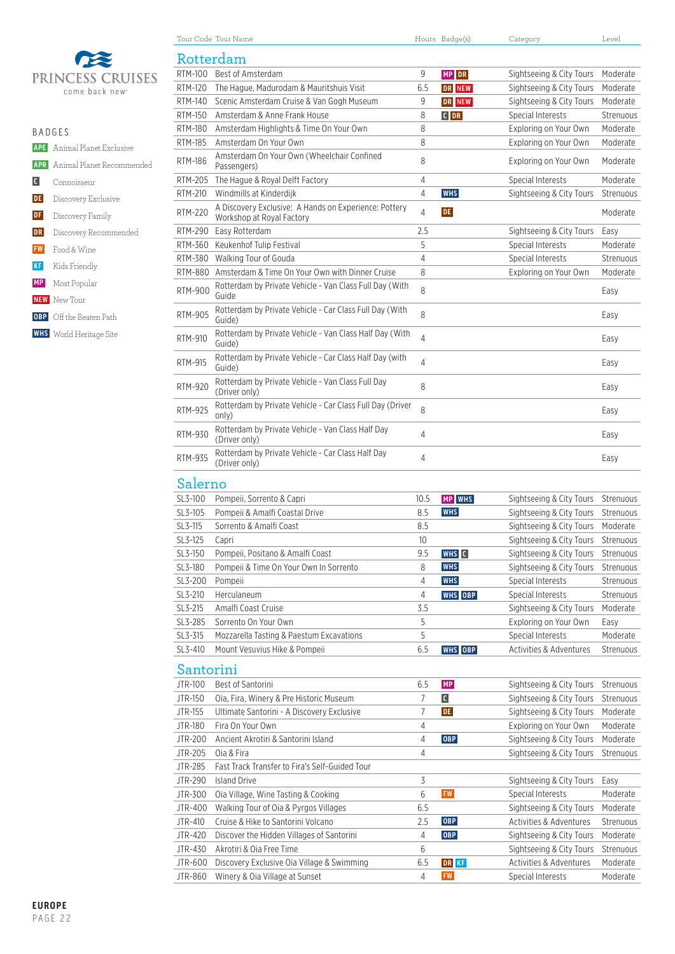

|                   | R A D G F S                          |  |  |  |  |  |
|-------------------|--------------------------------------|--|--|--|--|--|
|                   | <b>APE</b> Animal Planet Exclusive   |  |  |  |  |  |
|                   | <b>APR</b> Animal Planet Recommended |  |  |  |  |  |
| $\vert$ C $\vert$ | Connoisseur                          |  |  |  |  |  |
| DE                | Discovery Exclusive                  |  |  |  |  |  |
| DF                | Discovery Family                     |  |  |  |  |  |
| DR                | Discovery Recommended                |  |  |  |  |  |
| <b>FW</b>         | Food & Wine                          |  |  |  |  |  |
| <b>KF</b>         | Kids Friendly                        |  |  |  |  |  |
|                   | <b>MP</b> Most Popular               |  |  |  |  |  |
|                   | <b>NEW</b> New Tour                  |  |  |  |  |  |
|                   | <b>OBP</b> Off the Beaten Path       |  |  |  |  |  |
|                   | <b>WHS</b> World Heritage Site       |  |  |  |  |  |

| RTM-100<br><b>RTM-120</b><br>RTM-140                                                                         | Tour Code Tour Name                                                                |      | Hours Badge(s) | Category                 | Level                                                      |
|--------------------------------------------------------------------------------------------------------------|------------------------------------------------------------------------------------|------|----------------|--------------------------|------------------------------------------------------------|
|                                                                                                              | Rotterdam                                                                          |      |                |                          |                                                            |
|                                                                                                              | Best of Amsterdam                                                                  | 9    | MP DR          | Sightseeing & City Tours | Moderate                                                   |
|                                                                                                              | The Hague, Madurodam & Mauritshuis Visit                                           | 6.5  | DR NEW         | Sightseeing & City Tours | Moderate                                                   |
|                                                                                                              | Scenic Amsterdam Cruise & Van Gogh Museum                                          | 9    | DR NEW         | Sightseeing & City Tours | Moderate                                                   |
| <b>RTM-150</b>                                                                                               | Amsterdam & Anne Frank House                                                       | 8    | $C$ DR         | Special Interests        | Strenuous                                                  |
| RTM-180                                                                                                      | Amsterdam Highlights & Time On Your Own                                            | 8    |                | Exploring on Your Own    | Moderate                                                   |
| <b>RTM-185</b>                                                                                               | Amsterdam On Your Own                                                              | 8    |                | Exploring on Your Own    | Moderate                                                   |
| <b>RTM-186</b>                                                                                               | Amsterdam On Your Own (Wheelchair Confined<br>Passengers)                          | 8    |                | Exploring on Your Own    | Moderate                                                   |
| RTM-205                                                                                                      | The Hague & Royal Delft Factory                                                    | 4    |                | Special Interests        | Moderate                                                   |
| RTM-210                                                                                                      | Windmills at Kinderdijk                                                            | 4    | WHS            | Sightseeing & City Tours | Strenuous                                                  |
| <b>RTM-220</b>                                                                                               | A Discovery Exclusive: A Hands on Experience: Pottery<br>Workshop at Royal Factory | 4    | DE.            |                          | Moderate                                                   |
| RTM-290                                                                                                      | Easy Rotterdam                                                                     | 2.5  |                | Sightseeing & City Tours | Easy                                                       |
| RTM-360                                                                                                      | Keukenhof Tulip Festival                                                           | 5    |                | Special Interests        | Moderate                                                   |
| RTM-380                                                                                                      | Walking Tour of Gouda                                                              | 4    |                | Special Interests        | Strenuous                                                  |
|                                                                                                              | RTM-880 Amsterdam & Time On Your Own with Dinner Cruise                            | 8    |                | Exploring on Your Own    | Moderate                                                   |
| <b>RTM-900</b>                                                                                               | Rotterdam by Private Vehicle - Van Class Full Day (With<br>Guide                   | 8    |                |                          | Easy                                                       |
| <b>RTM-905</b>                                                                                               | Rotterdam by Private Vehicle - Car Class Full Day (With<br>Guide)                  | 8    |                |                          | Easy                                                       |
| RTM-910                                                                                                      | Rotterdam by Private Vehicle - Van Class Half Day (With<br>Guide)                  | 4    |                |                          | Easy                                                       |
| <b>RTM-915</b>                                                                                               | Rotterdam by Private Vehicle - Car Class Half Day (with<br>Guide)                  | 4    |                |                          | Easy                                                       |
| <b>RTM-920</b>                                                                                               | Rotterdam by Private Vehicle - Van Class Full Day<br>(Driver only)                 | 8    |                |                          | Easy                                                       |
| <b>RTM-925</b>                                                                                               | Rotterdam by Private Vehicle - Car Class Full Day (Driver<br>only)                 | 8    |                |                          | Easy                                                       |
| RTM-930                                                                                                      | Rotterdam by Private Vehicle - Van Class Half Day<br>(Driver only)                 | 4    |                |                          | Easy                                                       |
| RTM-935                                                                                                      | Rotterdam by Private Vehicle - Car Class Half Day<br>(Driver only)                 | 4    |                |                          | Easy                                                       |
| Salerno                                                                                                      |                                                                                    |      |                |                          |                                                            |
| SL3-100                                                                                                      | Pompeji, Sorrento & Capri                                                          | 10.5 | MP WHS         | Sightseeing & City Tours | Strenuous                                                  |
| SL3-105                                                                                                      | Pompeii & Amalfi Coastal Drive                                                     | 8.5  | <b>WHS</b>     | Sightseeing & City Tours | Strenuous                                                  |
| SL3-115                                                                                                      | Sorrento & Amalfi Coast                                                            | 8.5  |                | Sightseeing & City Tours | Moderate                                                   |
| SL3-125                                                                                                      | Capri                                                                              | 10   |                | Sightseeing & City Tours | Strenuous                                                  |
| SL3-150                                                                                                      | Pompeii, Positano & Amalfi Coast                                                   | 9.5  | WHS C          | Sightseeing & City Tours | Strenuous                                                  |
| SL3-180                                                                                                      | Pompeii & Time On Your Own In Sorrento                                             | 8    | <b>WHS</b>     | Sightseeing & City Tours | Strenuous                                                  |
| SL3-200                                                                                                      | Pompeii                                                                            | 4    | <b>WHS</b>     | Special Interests        | Strenuous                                                  |
| SL3-210                                                                                                      | Herculaneum                                                                        | 4    | WHS OBP        | Special Interests        | Strenuous                                                  |
|                                                                                                              | Amalfi Coast Cruise                                                                | 3.5  |                | Sightseeing & City Tours | Moderate                                                   |
|                                                                                                              | Sorrento On Your Own                                                               | 5    |                | Exploring on Your Own    | Easy                                                       |
|                                                                                                              | Mozzarella Tasting & Paestum Excavations                                           | 5    |                | Special Interests        | Moderate                                                   |
|                                                                                                              |                                                                                    |      | <b>WHS</b> OBP | Activities & Adventures  | Strenuous                                                  |
|                                                                                                              |                                                                                    |      |                |                          |                                                            |
|                                                                                                              | Mount Vesuvius Hike & Pompeii                                                      | 6.5  |                |                          |                                                            |
|                                                                                                              |                                                                                    |      |                |                          |                                                            |
|                                                                                                              | Best of Santorini                                                                  | 6.5  | MP             | Sightseeing & City Tours |                                                            |
|                                                                                                              | Oia, Fira, Winery & Pre Historic Museum                                            | 7    | $\mathbf{G}$   | Sightseeing & City Tours |                                                            |
|                                                                                                              | Ultimate Santorini - A Discovery Exclusive                                         | 7    | <b>DE</b>      | Sightseeing & City Tours |                                                            |
|                                                                                                              | Fira On Your Own                                                                   | 4    |                | Exploring on Your Own    |                                                            |
| SL3-215<br>SL3-285<br>SL3-315<br>SL3-410<br>Santorini<br>JTR-100<br>JTR-150<br>JTR-155<br>JTR-180<br>JTR-200 | Ancient Akrotiri & Santorini Island                                                | 4    | <b>OBP</b>     | Sightseeing & City Tours | Strenuous<br>Strenuous<br>Moderate<br>Moderate<br>Moderate |
|                                                                                                              | Oia & Fira                                                                         | 4    |                | Sightseeing & City Tours |                                                            |
| JTR-205<br>JTR-285<br>JTR-290                                                                                | Fast Track Transfer to Fira's Self-Guided Tour<br><b>Island Drive</b>              | 3    |                | Sightseeing & City Tours | Strenuous<br>Easy                                          |

JTR-400 Walking Tour of Oia & Pyrgos Villages 6.5 Sightseeing & City Tours Moderate JTR-410 Cruise & Hike to Santorini Volcano 2.5 OBP Activities & Adventures Strenuous JTR-420 Discover the Hidden Villages of Santorini **4 OBP** Sightseeing & City Tours Moderate JTR-430 Akrotiri & Oia Free Time 6 Sightseeing & City Tours Strenuous JTR-600 Discovery Exclusive Oia Village & Swimming 6.5 DR KF **CALCIVITY Activities & Adventures Moderate** JTR-860 Winery & Oia Village at Sunset 4 **FW** Special Interests Moderate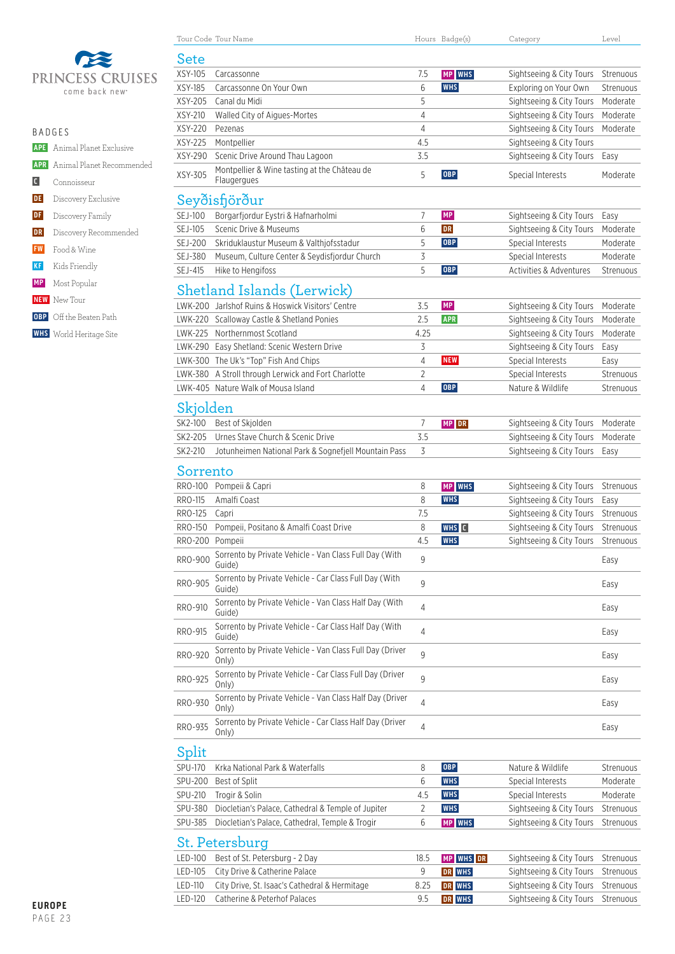

| ۹<br>I |  |
|--------|--|
|--------|--|

 **APE** Animal Planet Exclusive  **APR** Animal Planet Recommended  **C** Connoisseur **DE** Discovery Exclusive **DF** Discovery Family **DR** Discovery Recommended  **FW** Food & Wine  **KF** Kids Friendly  **MP** Most Popular

- **NEW** New Tour
- **OBP** Off the Beaten Path
- **WHS** World Heritage Site

|                 | Tour Code Tour Name                                               |      | Hours Badge(s) | Category                 | Level     |
|-----------------|-------------------------------------------------------------------|------|----------------|--------------------------|-----------|
| Sete            |                                                                   |      |                |                          |           |
| XSY-105         | Carcassonne                                                       | 7.5  | MP WHS         | Sightseeing & City Tours | Strenuous |
| XSY-185         | Carcassonne On Your Own                                           | 6    | <b>WHS</b>     | Exploring on Your Own    | Strenuous |
| XSY-205         | Canal du Midi                                                     | 5    |                | Sightseeing & City Tours | Moderate  |
| XSY-210         | Walled City of Aigues-Mortes                                      | 4    |                | Sightseeing & City Tours | Moderate  |
| XSY-220         | Pezenas                                                           | 4    |                | Sightseeing & City Tours | Moderate  |
| XSY-225         | Montpellier                                                       | 4.5  |                | Sightseeing & City Tours |           |
| XSY-290         | Scenic Drive Around Thau Lagoon                                   | 3.5  |                | Sightseeing & City Tours | Easy      |
| XSY-305         | Montpellier & Wine tasting at the Château de<br>Flaugergues       | 5    | <b>OBP</b>     | Special Interests        | Moderate  |
|                 | Seyðisfjörður                                                     |      |                |                          |           |
| SEJ-100         | Borgarfjordur Eystri & Hafnarholmi                                | 7    | <b>MP</b>      | Sightseeing & City Tours | Easy      |
| SEJ-105         | Scenic Drive & Museums                                            | 6    | <b>DR</b>      | Sightseeing & City Tours | Moderate  |
| <b>SEJ-200</b>  | Skriduklaustur Museum & Valthjofsstadur                           | 5    | <b>OBP</b>     | Special Interests        | Moderate  |
| SEJ-380         | Museum, Culture Center & Seydisfjordur Church                     | 3    |                | Special Interests        | Moderate  |
| SEJ-415         | Hike to Hengifoss                                                 | 5    | <b>OBP</b>     | Activities & Adventures  | Strenuous |
|                 | Shetland Islands (Lerwick)                                        |      |                |                          |           |
|                 | LWK-200 Jarlshof Ruins & Hoswick Visitors' Centre                 | 3.5  | MP             | Sightseeing & City Tours | Moderate  |
|                 | LWK-220 Scalloway Castle & Shetland Ponies                        | 2.5  | <b>APR</b>     | Sightseeing & City Tours | Moderate  |
|                 | LWK-225 Northernmost Scotland                                     | 4.25 |                | Sightseeing & City Tours | Moderate  |
|                 | LWK-290 Easy Shetland: Scenic Western Drive                       | 3    |                | Sightseeing & City Tours | Easy      |
|                 | LWK-300 The Uk's "Top" Fish And Chips                             | 4    | <b>NEW</b>     | Special Interests        | Easy      |
|                 | LWK-380 A Stroll through Lerwick and Fort Charlotte               | 2    |                | Special Interests        | Strenuous |
|                 | LWK-405 Nature Walk of Mousa Island                               | 4    | <b>OBP</b>     | Nature & Wildlife        | Strenuous |
|                 |                                                                   |      |                |                          |           |
| Skjolden        |                                                                   |      |                |                          |           |
| SK2-100         | Best of Skjolden                                                  | 7    | MP DR          | Sightseeing & City Tours | Moderate  |
| SK2-205         | Urnes Stave Church & Scenic Drive                                 | 3.5  |                | Sightseeing & City Tours | Moderate  |
| SK2-210         | Jotunheimen National Park & Sognefjell Mountain Pass              | 3    |                | Sightseeing & City Tours | Easy      |
| Sorrento        |                                                                   |      |                |                          |           |
|                 | RRO-100 Pompeii & Capri                                           | 8    | MP WHS         | Sightseeing & City Tours | Strenuous |
| RRO-115         | Amalfi Coast                                                      | 8    | <b>WHS</b>     | Sightseeing & City Tours | Easy      |
| RRO-125         | Capri                                                             | 7.5  |                | Sightseeing & City Tours | Strenuous |
| RRO-150         | Pompeii, Positano & Amalfi Coast Drive                            | 8    | WHS C          | Sightseeing & City Tours | Strenuous |
| RRO-200 Pompeii |                                                                   | 4.5  | <b>WHS</b>     | Sightseeing & City Tours | Strenuous |
| <b>RRO-900</b>  | Sorrento by Private Vehicle - Van Class Full Day (With<br>Guide)  | 9    |                |                          | Easy      |
| RRO-905         | Sorrento by Private Vehicle - Car Class Full Day (With<br>Guide)  | 9    |                |                          | Easy      |
| RRO-910         | Sorrento by Private Vehicle - Van Class Half Day (With<br>Guide)  | 4    |                |                          | Easy      |
| RRO-915         | Sorrento by Private Vehicle - Car Class Half Day (With<br>Guide)  | 4    |                |                          | Easy      |
| RRO-920         | Sorrento by Private Vehicle - Van Class Full Day (Driver<br>Only) | 9    |                |                          | Easy      |
| RRO-925         | Sorrento by Private Vehicle - Car Class Full Day (Driver<br>Only) | 9    |                |                          | Easy      |

St. Petersburg

Split<br>SPU-170

 $\overline{\phantom{0}}$ 

L,

 $\overline{\phantom{0}}$ 

÷

 $\overline{\phantom{0}}$ 

| LED-100 Best of St. Petersburg - 2 Day                | 18.5 | <b>MP WHS DR</b> | Sightseeing & City Tours Strenuous |  |
|-------------------------------------------------------|------|------------------|------------------------------------|--|
| LED-105 City Drive & Catherine Palace                 |      | <b>DR WHS</b>    | Sightseeing & City Tours Strenuous |  |
| LED-110 City Drive, St. Isaac's Cathedral & Hermitage | 8.25 | <b>DR</b> WHS    | Sightseeing & City Tours Strenuous |  |
| LED-120 Catherine & Peterhof Palaces                  | 9.5  | <b>DRIVHS</b>    | Sightseeing & City Tours Strenuous |  |
|                                                       |      |                  |                                    |  |

RRO-930 Sorrento by Private Vehicle - Van Class Half Day (Driver  $\frac{4}{4}$ 

RRO-935 Sorrento by Private Vehicle - Car Class Half Day (Driver  $\frac{4}{4}$ 

SPU-200 Best of Split **6** WHS Special Interests Moderate SPU-210 Trogir & Solin **Special Interests** Moderate Moderate Moderate Association of the Special Interests Moderate SPU-380 Diocletian's Palace, Cathedral & Temple of Jupiter 2 WHS Sightseeing & City Tours Strenuous SPU-385 Diocletian's Palace, Cathedral, Temple & Trogir 6 MP WHS Sightseeing & City Tours Strenuous

SPU-170 Krka National Park & Waterfalls 8 **OBP** Nature & Wildlife Strenuous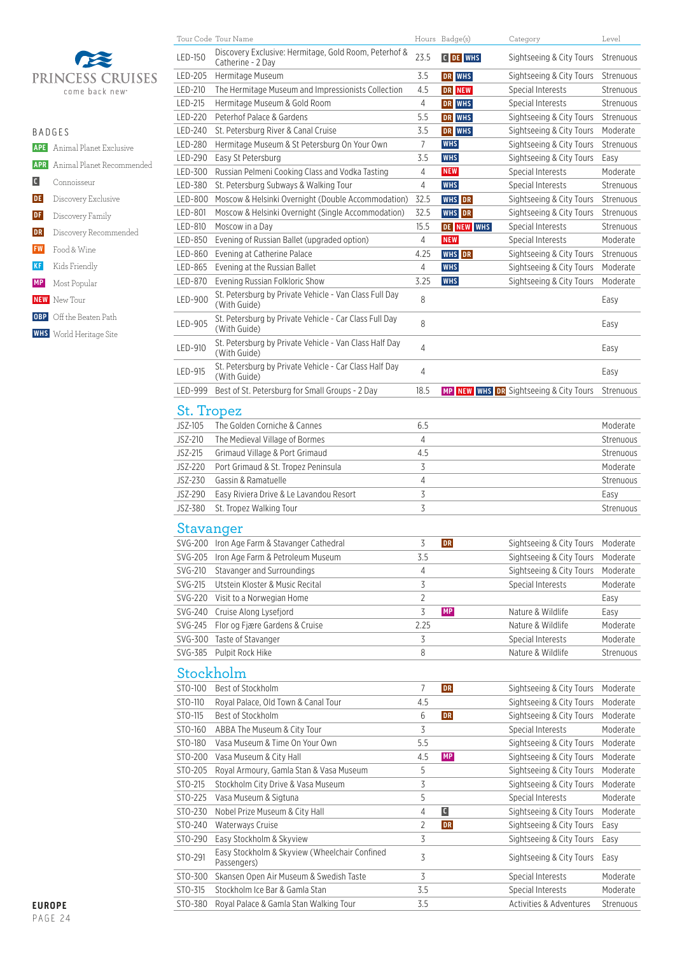

| R A D G F S       |                                      |  |  |  |  |
|-------------------|--------------------------------------|--|--|--|--|
|                   | <b>APE</b> Animal Planet Exclusive   |  |  |  |  |
|                   | <b>APR</b> Animal Planet Recommended |  |  |  |  |
| $\vert$ C $\vert$ | Connoisseur                          |  |  |  |  |
| DE                | Discovery Exclusive                  |  |  |  |  |
| DF                | Discovery Family                     |  |  |  |  |
| DR                | Discovery Recommended                |  |  |  |  |
| <b>FW</b>         | Food & Wine                          |  |  |  |  |
| <b>KF</b>         | Kids Friendly                        |  |  |  |  |
|                   | <b>MP</b> Most Popular               |  |  |  |  |
|                   | <b>NEW</b> New Tour                  |  |  |  |  |
|                   | <b>OBP</b> Off the Beaten Path       |  |  |  |  |
|                   | <b>WHS</b> World Heritage Site       |  |  |  |  |
|                   |                                      |  |  |  |  |

|            | Tour Code Tour Name                                                        |                         | Hours Badge(s) | Category                               | Level     |
|------------|----------------------------------------------------------------------------|-------------------------|----------------|----------------------------------------|-----------|
| LED-150    | Discovery Exclusive: Hermitage, Gold Room, Peterhof &<br>Catherine - 2 Day | 23.5                    | C DE WHS       | Sightseeing & City Tours               | Strenuous |
| LED-205    | Hermitage Museum                                                           | 3.5                     | DR WHS         | Sightseeing & City Tours               | Strenuous |
| LED-210    | The Hermitage Museum and Impressionists Collection                         | 4.5                     | DR NEW         | Special Interests                      | Strenuous |
| LED-215    | Hermitage Museum & Gold Room                                               | 4                       | DR WHS         | Special Interests                      | Strenuous |
| LED-220    | Peterhof Palace & Gardens                                                  | 5.5                     | DR WHS         | Sightseeing & City Tours               | Strenuous |
| LED-240    | St. Petersburg River & Canal Cruise                                        | 3.5                     | DR WHS         | Sightseeing & City Tours               | Moderate  |
| LED-280    | Hermitage Museum & St Petersburg On Your Own                               | $\overline{7}$          | <b>WHS</b>     | Sightseeing & City Tours               | Strenuous |
| LED-290    | Easy St Petersburg                                                         | 3.5                     | <b>WHS</b>     | Sightseeing & City Tours               | Easy      |
| LED-300    | Russian Pelmeni Cooking Class and Vodka Tasting                            | 4                       | <b>NEW</b>     | Special Interests                      | Moderate  |
| LED-380    | St. Petersburg Subways & Walking Tour                                      | 4                       | <b>WHS</b>     | Special Interests                      | Strenuous |
| LED-800    | Moscow & Helsinki Overnight (Double Accommodation)                         | 32.5                    | <b>WHS</b> DR  | Sightseeing & City Tours               | Strenuous |
| LED-801    | Moscow & Helsinki Overnight (Single Accommodation)                         | 32.5                    | <b>WHS</b> DR  | Sightseeing & City Tours               | Strenuous |
| LED-810    | Moscow in a Day                                                            | 15.5                    | DE NEW WHS     | Special Interests                      | Strenuous |
| LED-850    | Evening of Russian Ballet (upgraded option)                                | 4                       | <b>NEW</b>     | Special Interests                      | Moderate  |
| LED-860    | Evening at Catherine Palace                                                | 4.25                    | <b>WHS</b> DR  | Sightseeing & City Tours               | Strenuous |
| LED-865    | Evening at the Russian Ballet                                              | 4                       | <b>WHS</b>     | Sightseeing & City Tours               | Moderate  |
| LED-870    | Evening Russian Folkloric Show                                             | 3.25                    | <b>WHS</b>     | Sightseeing & City Tours               | Moderate  |
| LED-900    | St. Petersburg by Private Vehicle - Van Class Full Day<br>(With Guide)     | 8                       |                |                                        | Easy      |
| LED-905    | St. Petersburg by Private Vehicle - Car Class Full Day<br>(With Guide)     | 8                       |                |                                        | Easy      |
| LED-910    | St. Petersburg by Private Vehicle - Van Class Half Day<br>(With Guide)     | 4                       |                |                                        | Easy      |
| LED-915    | St. Petersburg by Private Vehicle - Car Class Half Day<br>(With Guide)     | 4                       |                |                                        | Easy      |
| LED-999    | Best of St. Petersburg for Small Groups - 2 Day                            | 18.5                    |                | MP NEW WHS DR Sightseeing & City Tours | Strenuous |
| St. Tropez |                                                                            |                         |                |                                        |           |
| JSZ-105    | The Golden Corniche & Cannes                                               | 6.5                     |                |                                        | Moderate  |
| JSZ-210    | The Medieval Village of Bormes                                             | 4                       |                |                                        | Strenuous |
| JSZ-215    | Grimaud Village & Port Grimaud                                             | 4.5                     |                |                                        | Strenuous |
| JSZ-220    | Port Grimaud & St. Tropez Peninsula                                        | 3                       |                |                                        | Moderate  |
| JSZ-230    | Gassin & Ramatuelle                                                        | $\overline{4}$          |                |                                        | Strenuous |
| JSZ-290    | Easy Riviera Drive & Le Lavandou Resort                                    | 3                       |                |                                        | Easy      |
| JSZ-380    | St. Tropez Walking Tour                                                    | 3                       |                |                                        | Strenuous |
| Stavanger  |                                                                            |                         |                |                                        |           |
| SVG-200    | Iron Age Farm & Stavanger Cathedral                                        | 3                       | DR             | Sightseeing & City Tours               | Moderate  |
| SVG-205    | Iron Age Farm & Petroleum Museum                                           | 3.5                     |                | Sightseeing & City Tours               | Moderate  |
| SVG-210    | Stavanger and Surroundings                                                 | 4                       |                | Sightseeing & City Tours               | Moderate  |
| SVG-215    | Utstein Kloster & Music Recital                                            | $\overline{\mathsf{S}}$ |                | Special Interests                      | Moderate  |
|            | SVG-220 Visit to a Norwegian Home                                          | $\overline{2}$          |                |                                        | Easy      |
| SVG-240    | Cruise Along Lysefjord                                                     | 3                       | MP             | Nature & Wildlife                      | Easy      |
| SVG-245    | Flor og Fjære Gardens & Cruise                                             | 2.25                    |                | Nature & Wildlife                      | Moderate  |
| SVG-300    | Taste of Stavanger                                                         | 3                       |                | Special Interests                      | Moderate  |
| SVG-385    | Pulpit Rock Hike                                                           | 8                       |                | Nature & Wildlife                      | Strenuous |
|            | Stockholm                                                                  |                         |                |                                        |           |
| STO-100    | Best of Stockholm                                                          | $\overline{7}$          | DR             | Sightseeing & City Tours               | Moderate  |
| STO-110    | Royal Palace, Old Town & Canal Tour                                        | 4.5                     |                | Sightseeing & City Tours               | Moderate  |
| STO-115    | Best of Stockholm                                                          | 6                       | DR             | Sightseeing & City Tours               | Moderate  |
| STO-160    | ABBA The Museum & City Tour                                                | 3                       |                | Special Interests                      | Moderate  |
| STO-180    | Vasa Museum & Time On Your Own                                             | 5.5                     |                | Sightseeing & City Tours               | Moderate  |
| STO-200    | Vasa Museum & City Hall                                                    | 4.5                     | MP             | Sightseeing & City Tours               | Moderate  |
| STO-205    | Royal Armoury, Gamla Stan & Vasa Museum                                    | 5                       |                | Sightseeing & City Tours               | Moderate  |
| STO-215    | Stockholm City Drive & Vasa Museum                                         | 3                       |                | Sightseeing & City Tours               | Moderate  |
| STO-225    | Vasa Museum & Sigtuna                                                      | 5                       |                | Special Interests                      | Moderate  |
| STO-230    | Nobel Prize Museum & City Hall                                             | $\overline{4}$          | $\blacksquare$ | Sightseeing & City Tours               | Moderate  |
| STO-240    | Waterways Cruise                                                           | 2                       | <b>DR</b>      | Sightseeing & City Tours               | Easy      |
| STO-290    | Easy Stockholm & Skyview                                                   | 3                       |                | Sightseeing & City Tours               | Easy      |
| STO-291    | Easy Stockholm & Skyview (Wheelchair Confined<br>Passengers)               | 3                       |                | Sightseeing & City Tours               | Easy      |
| STO-300    | Skansen Open Air Museum & Swedish Taste                                    | 3                       |                | Special Interests                      | Moderate  |
| STO-315    |                                                                            |                         |                |                                        | Moderate  |
|            | Stockholm Ice Bar & Gamla Stan                                             | 3.5                     |                | Special Interests                      |           |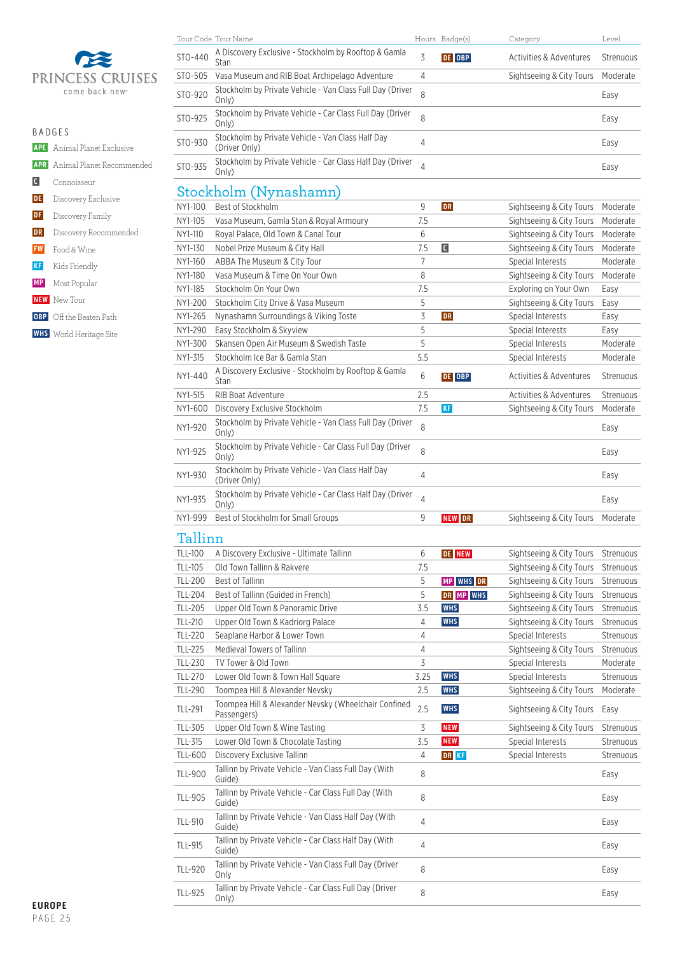

|                | <b>APE</b> Animal Planet Exclusive   |
|----------------|--------------------------------------|
|                | <b>APR</b> Animal Planet Recommended |
| $\blacksquare$ | Connoisseur                          |
|                | <b>DE</b> Discovery Exclusive        |
| DF             | Discovery Family                     |
| DR             | Discovery Recommended                |
|                | <b>FW</b> Food & Wine                |
| <b>KF</b>      | Kids Friendly                        |
|                | <b>MP</b> Most Popular               |
|                | <b>NEW</b> New Tour                  |
|                | <b>OBP</b> Off the Beaten Path       |

 **WHS** World Heritage Site

|         | Tour Code Tour Name                                                |                | Hours Badge(s) | Category                           | Level     |
|---------|--------------------------------------------------------------------|----------------|----------------|------------------------------------|-----------|
| STO-440 | A Discovery Exclusive - Stockholm by Rooftop & Gamla<br>Stan       | 3              | DE OBP         | Activities & Adventures            | Strenuous |
| STO-505 | Vasa Museum and RIB Boat Archipelago Adventure                     | 4              |                | Sightseeing & City Tours           | Moderate  |
| STO-920 | Stockholm by Private Vehicle - Van Class Full Day (Driver<br>Only) | 8              |                |                                    | Easy      |
| STO-925 | Stockholm by Private Vehicle - Car Class Full Day (Driver<br>Only) | 8              |                |                                    | Easy      |
| STO-930 | Stockholm by Private Vehicle - Van Class Half Day<br>(Driver Only) | 4              |                |                                    | Easy      |
| STO-935 | Stockholm by Private Vehicle - Car Class Half Day (Driver<br>Only) | $\overline{4}$ |                |                                    | Easy      |
|         | Stockholm (Nynashamn)                                              |                |                |                                    |           |
| NY1-100 | Best of Stockholm                                                  | 9              | <b>DR</b>      | Sightseeing & City Tours           | Moderate  |
| NY1-105 | Vasa Museum, Gamla Stan & Royal Armoury                            | 7.5            |                | Sightseeing & City Tours           | Moderate  |
| NY1-110 | Royal Palace, Old Town & Canal Tour                                | 6              |                | Sightseeing & City Tours           | Moderate  |
| NY1-130 | Nobel Prize Museum & City Hall                                     | 7.5            | C              | Sightseeing & City Tours           | Moderate  |
| NY1-160 | ABBA The Museum & City Tour                                        | 7              |                | Special Interests                  | Moderate  |
| NY1-180 | Vasa Museum & Time On Your Own                                     | 8              |                | Sightseeing & City Tours           | Moderate  |
| NY1-185 | Stockholm On Your Own                                              | 7.5            |                | Exploring on Your Own              | Easy      |
| NY1-200 | Stockholm City Drive & Vasa Museum                                 | 5              |                | Sightseeing & City Tours           | Easy      |
| NY1-265 | Nynashamn Surroundings & Viking Toste                              | 3              | <b>DR</b>      | Special Interests                  | Easy      |
| NY1-290 | Easy Stockholm & Skyview                                           | 5              |                | Special Interests                  | Easy      |
| NY1-300 | Skansen Open Air Museum & Swedish Taste                            | 5              |                | Special Interests                  | Moderate  |
| NY1-315 | Stockholm Ice Bar & Gamla Stan                                     | 5.5            |                | Special Interests                  | Moderate  |
| NY1-440 | A Discovery Exclusive - Stockholm by Rooftop & Gamla<br>Stan       | 6              | DE OBP         | <b>Activities &amp; Adventures</b> | Strenuous |
| NY1-515 | RIB Boat Adventure                                                 | 2.5            |                | <b>Activities &amp; Adventures</b> | Strenuous |
| NY1-600 | Discovery Exclusive Stockholm                                      | 7.5            | <b>KF</b>      | Sightseeing & City Tours           | Moderate  |
| NY1-920 | Stockholm by Private Vehicle - Van Class Full Day (Driver<br>Only) | 8              |                |                                    | Easy      |

NY1-925 Stockholm by Private Vehicle - Car Class Full Day (Driver <sub>8</sub> and the stockholm by Private Vehicle - Car Class Full Day (Driver <sub>8</sub> and the stockholm by Private Vehicle - Car Class Full Day (Driver <sub>8</sub> and the st

NY1-930 Stockholm by Private Vehicle - Van Class Half Day (Driver Only) <sup>4</sup> Easy

NY1-935 Stockholm by Private Vehicle - Car Class Half Day (Driver <sub>4</sub> and the control of the class of the class<br>
Conly)

# NY1-999 Best of Stockholm for Small Groups **19 Sightseeing & City Tours Moderate**

| Tallinn        |                                                                     |      |               |                          |           |
|----------------|---------------------------------------------------------------------|------|---------------|--------------------------|-----------|
| TLL-100        | A Discovery Exclusive - Ultimate Tallinn                            | 6    | <b>DE NEW</b> | Sightseeing & City Tours | Strenuous |
| TLL-105        | Old Town Tallinn & Rakvere                                          | 7.5  |               | Sightseeing & City Tours | Strenuous |
| <b>TLL-200</b> | <b>Best of Tallinn</b>                                              | 5    | MP WHS DR     | Sightseeing & City Tours | Strenuous |
| TLL-204        | Best of Tallinn (Guided in French)                                  | 5    | DR MP WHS     | Sightseeing & City Tours | Strenuous |
| TLL-205        | Upper Old Town & Panoramic Drive                                    | 3.5  | <b>WHS</b>    | Sightseeing & City Tours | Strenuous |
| TLL-210        | Upper Old Town & Kadriorg Palace                                    | 4    | <b>WHS</b>    | Sightseeing & City Tours | Strenuous |
| TLL-220        | Seaplane Harbor & Lower Town                                        | 4    |               | Special Interests        | Strenuous |
| <b>TLL-225</b> | Medieval Towers of Tallinn                                          | 4    |               | Sightseeing & City Tours | Strenuous |
| TLL-230        | TV Tower & Old Town                                                 | 3    |               | Special Interests        | Moderate  |
| TLL-270        | Lower Old Town & Town Hall Square                                   | 3.25 | <b>WHS</b>    | Special Interests        | Strenuous |
| TLL-290        | Toompea Hill & Alexander Nevsky                                     | 2.5  | <b>WHS</b>    | Sightseeing & City Tours | Moderate  |
| TLL-291        | Toompea Hill & Alexander Nevsky (Wheelchair Confined<br>Passengers) | 2.5  | <b>WHS</b>    | Sightseeing & City Tours | Easy      |
| TLL-305        | Upper Old Town & Wine Tasting                                       | 3    | <b>NEW</b>    | Sightseeing & City Tours | Strenuous |
| TLL-315        | Lower Old Town & Chocolate Tasting                                  | 3.5  | <b>NEW</b>    | Special Interests        | Strenuous |
| TLL-600        | Discovery Exclusive Tallinn                                         | 4    | <b>DR</b> KF  | Special Interests        | Strenuous |
| TLL-900        | Tallinn by Private Vehicle - Van Class Full Day (With<br>Guide)     | 8    |               |                          | Easy      |
| TLL-905        | Tallinn by Private Vehicle - Car Class Full Day (With<br>Guide)     | 8    |               |                          | Easy      |
| TLL-910        | Tallinn by Private Vehicle - Van Class Half Day (With<br>Guide)     | 4    |               |                          | Easy      |
| TLL-915        | Tallinn by Private Vehicle - Car Class Half Day (With<br>Guide)     | 4    |               |                          | Easy      |
| TLL-920        | Tallinn by Private Vehicle - Van Class Full Day (Driver<br>Only     | 8    |               |                          | Easy      |
| TLL-925        | Tallinn by Private Vehicle - Car Class Full Day (Driver<br>Only)    | 8    |               |                          | Easy      |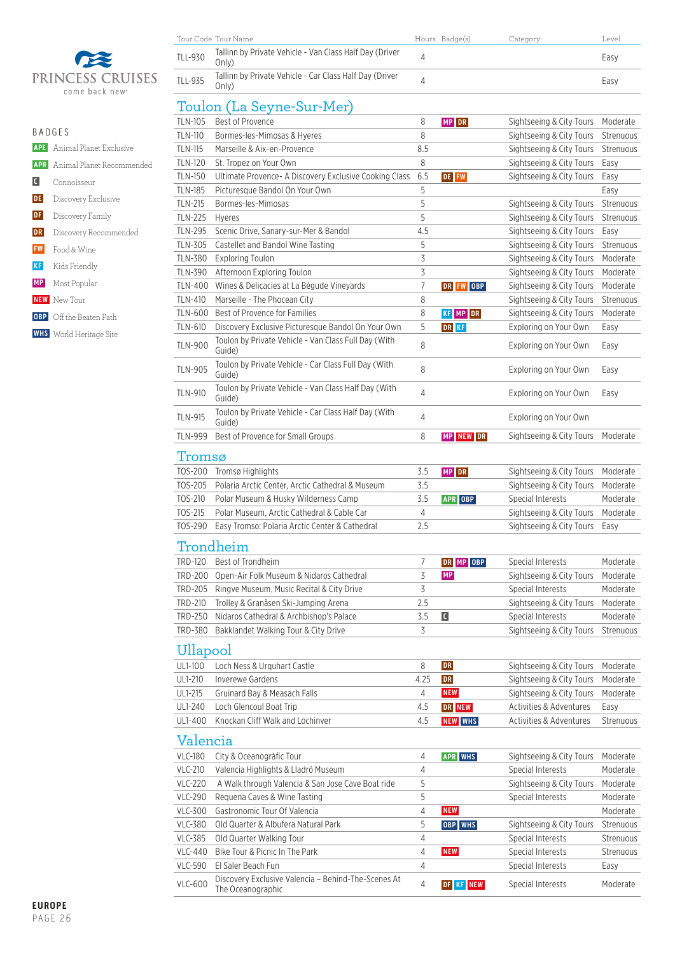

|    | <b>BADGES</b>                        |  |  |  |  |
|----|--------------------------------------|--|--|--|--|
|    | <b>APE</b> Animal Planet Exclusive   |  |  |  |  |
|    | <b>APR</b> Animal Planet Recommended |  |  |  |  |
|    | $\Box$ Connoisseur                   |  |  |  |  |
|    | <b>DE</b> Discovery Exclusive        |  |  |  |  |
|    | <b>DF</b> Discovery Family           |  |  |  |  |
| DR | Discovery Recommended                |  |  |  |  |
|    | <b>FW</b> Food & Wine                |  |  |  |  |
|    | KF Kids Friendly                     |  |  |  |  |
|    | <b>MP</b> Most Popular               |  |  |  |  |
|    | <b>NEW</b> New Tour                  |  |  |  |  |
|    | <b>OBP</b> Off the Beaten Path       |  |  |  |  |

 **WHS** World Heritage Site

| Tour Code Tour Name |                                                                  | Hours Badge(s) | Category | Level |
|---------------------|------------------------------------------------------------------|----------------|----------|-------|
| TLL-930             | Tallinn by Private Vehicle - Van Class Half Day (Driver<br>Only) |                |          | Easy  |
| TLL-935             | Tallinn by Private Vehicle - Car Class Half Day (Driver<br>Only) |                |          | Easy  |

# Toulon (La Seyne-Sur-Mer)

| <b>TLN-105</b> | <b>Best of Provence</b>                                        | 8              | MP DR                   | Sightseeing & City Tours | Moderate  |
|----------------|----------------------------------------------------------------|----------------|-------------------------|--------------------------|-----------|
| <b>TLN-110</b> | Bormes-les-Mimosas & Hyeres                                    | 8              |                         | Sightseeing & City Tours | Strenuous |
| <b>TLN-115</b> | Marseille & Aix-en-Provence                                    | 8.5            |                         | Sightseeing & City Tours | Strenuous |
| <b>TLN-120</b> | St. Tropez on Your Own                                         | 8              |                         | Sightseeing & City Tours | Easy      |
| <b>TLN-150</b> | Ultimate Provence- A Discovery Exclusive Cooking Class         | 6.5            | DE FW                   | Sightseeing & City Tours | Easy      |
| <b>TLN-185</b> | Picturesque Bandol On Your Own                                 | 5              |                         |                          | Easy      |
| <b>TLN-215</b> | Bormes-les-Mimosas                                             | 5              |                         | Sightseeing & City Tours | Strenuous |
| <b>TLN-225</b> | Hyeres                                                         | 5              |                         | Sightseeing & City Tours | Strenuous |
| <b>TLN-295</b> | Scenic Drive, Sanary-sur-Mer & Bandol                          | 4.5            |                         | Sightseeing & City Tours | Easy      |
| TLN-305        | Castellet and Bandol Wine Tasting                              | 5              |                         | Sightseeing & City Tours | Strenuous |
| TLN-380        | <b>Exploring Toulon</b>                                        | 3              |                         | Sightseeing & City Tours | Moderate  |
| TLN-390        | Afternoon Exploring Toulon                                     | 3              |                         | Sightseeing & City Tours | Moderate  |
| TLN-400        | Wines & Delicacies at La Bégude Vineyards                      | 7              | DR FW OBP               | Sightseeing & City Tours | Moderate  |
| TLN-410        | Marseille - The Phocean City                                   | 8              |                         | Sightseeing & City Tours | Strenuous |
| TLN-600        | Best of Provence for Families                                  | 8              | KF MP DR                | Sightseeing & City Tours | Moderate  |
| TLN-610        | Discovery Exclusive Picturesque Bandol On Your Own             | 5              | DR KF                   | Exploring on Your Own    | Easy      |
| <b>TLN-900</b> | Toulon by Private Vehicle - Van Class Full Day (With<br>Guide) | 8              |                         | Exploring on Your Own    | Easy      |
| TLN-905        | Toulon by Private Vehicle - Car Class Full Day (With<br>Guide) | 8              |                         | Exploring on Your Own    | Easy      |
| <b>TLN-910</b> | Toulon by Private Vehicle - Van Class Half Day (With<br>Guide) | 4              |                         | Exploring on Your Own    | Easy      |
| <b>TLN-915</b> | Toulon by Private Vehicle - Car Class Half Day (With<br>Guide) | 4              |                         | Exploring on Your Own    |           |
| <b>TLN-999</b> | Best of Provence for Small Groups                              | 8              | MP NEW DR               | Sightseeing & City Tours | Moderate  |
| Tromsø         |                                                                |                |                         |                          |           |
|                | TOS-200 Tromsø Highlights                                      | 3.5            | MP DR                   | Sightseeing & City Tours | Moderate  |
| TOS-205        | Polaria Arctic Center, Arctic Cathedral & Museum               | 3.5            |                         | Sightseeing & City Tours | Moderate  |
| TOS-210        | Polar Museum & Husky Wilderness Camp                           | 3.5            | <b>APR OBP</b>          | Special Interests        | Moderate  |
| TOS-215        | Polar Museum, Arctic Cathedral & Cable Car                     | 4              |                         | Sightseeing & City Tours | Moderate  |
| TOS-290        | Easy Tromso: Polaria Arctic Center & Cathedral                 | 2.5            |                         | Sightseeing & City Tours | Easy      |
|                | Trondheim                                                      |                |                         |                          |           |
| TRD-120        | Best of Trondheim                                              | 7              | DR MP OBP               | Special Interests        | Moderate  |
|                | TRD-200 Open-Air Folk Museum & Nidaros Cathedral               | 3              | <b>MP</b>               | Sightseeing & City Tours | Moderate  |
| TRD-205        | Ringve Museum, Music Recital & City Drive                      | $\overline{3}$ |                         | Special Interests        | Moderate  |
| TRD-210        | Trolley & Granåsen Ski-Jumping Arena                           | 2.5            |                         | Sightseeing & City Tours | Moderate  |
| TRD-250        | Nidaros Cathedral & Archbishop's Palace                        | 3.5            | $\overline{\mathsf{C}}$ | Special Interests        | Moderate  |
|                | TRD-380 Bakklandet Walking Tour & City Drive                   | 3              |                         | Sightseeing & City Tours | Strenuous |
| Ullapool       |                                                                |                |                         |                          |           |
| UL1-100        | Loch Ness & Urguhart Castle                                    | 8              | DR                      | Sightseeing & City Tours | Moderate  |
| UL1-210        | Inverewe Gardens                                               | 4.25           | DR                      | Sightseeing & City Tours | Moderate  |
| UL1-215        | Gruinard Bay & Measach Falls                                   | 4              | <b>NEW</b>              | Sightseeing & City Tours | Moderate  |
| UL1-240        | Loch Glencoul Boat Trip                                        | 4.5            | DR NEW                  | Activities & Adventures  | Easy      |
| UL1-400        | Knockan Cliff Walk and Lochinver                               | 4.5            | <b>NEW WHS</b>          | Activities & Adventures  | Strenuous |
| Valencia       |                                                                |                |                         |                          |           |
| <b>VLC-180</b> | City & Oceanogràfic Tour                                       | 4              | <b>APR WHS</b>          | Sightseeing & City Tours | Moderate  |
| <b>VLC-210</b> | Valencia Highlights & Lladró Museum                            | 4              |                         | Special Interests        | Moderate  |
| <b>VLC-220</b> | A Walk through Valencia & San Jose Cave Boat ride              | 5              |                         | Sightseeing & City Tours | Moderate  |
| <b>VLC-290</b> | Requena Caves & Wine Tasting                                   | 5              |                         | Special Interests        | Moderate  |
| <b>VLC-300</b> | Gastronomic Tour Of Valencia                                   | 4              | <b>NEW</b>              |                          | Moderate  |
| <b>VLC-380</b> | Old Quarter & Albufera Natural Park                            | 5              | OBP WHS                 | Sightseeing & City Tours | Strenuous |
| <b>VLC-385</b> | Old Quarter Walking Tour                                       | 4              |                         | Special Interests        | Strenuous |
| <b>VLC-440</b> | Bike Tour & Picnic In The Park                                 | 4              | <b>NEW</b>              | Special Interests        | Strenuous |
| <b>VLC-590</b> | El Saler Beach Fun                                             | 4              |                         | Special Interests        | Easy      |

VLC-600 Discovery Exclusive Valencia – Behind-The-Scenes At The Oceanographic <sup>4</sup> **DF KF NEW** Special Interests Moderate